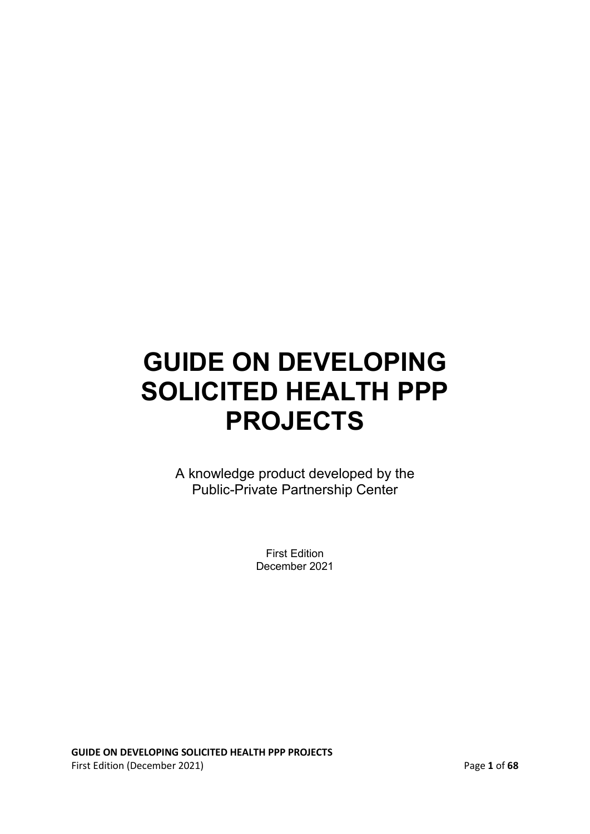A knowledge product developed by the Public-Private Partnership Center

> First Edition December 2021

**GUIDE ON DEVELOPING SOLICITED HEALTH PPP PROJECTS**  First Edition (December 2021) Page **1** of **68**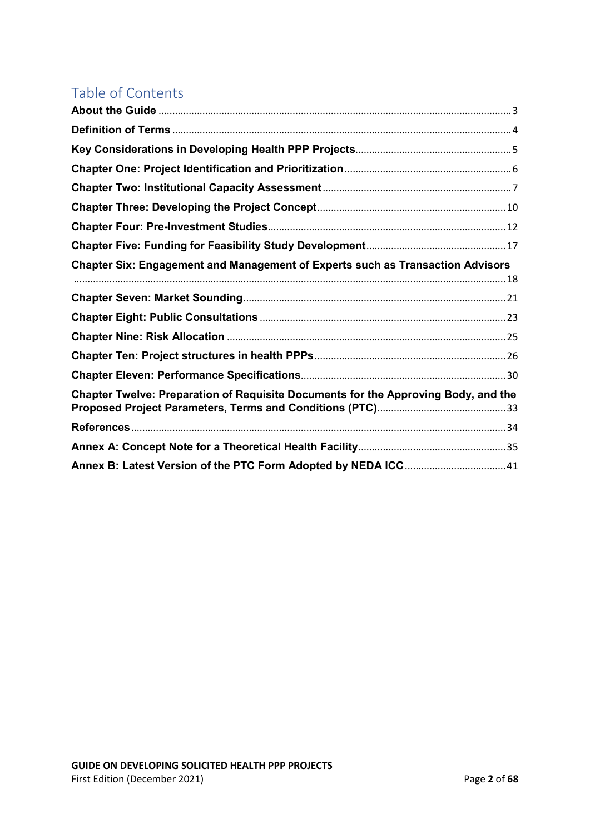### Table of Contents

| <b>Chapter Six: Engagement and Management of Experts such as Transaction Advisors</b> |  |
|---------------------------------------------------------------------------------------|--|
|                                                                                       |  |
|                                                                                       |  |
|                                                                                       |  |
|                                                                                       |  |
|                                                                                       |  |
| Chapter Twelve: Preparation of Requisite Documents for the Approving Body, and the    |  |
|                                                                                       |  |
|                                                                                       |  |
|                                                                                       |  |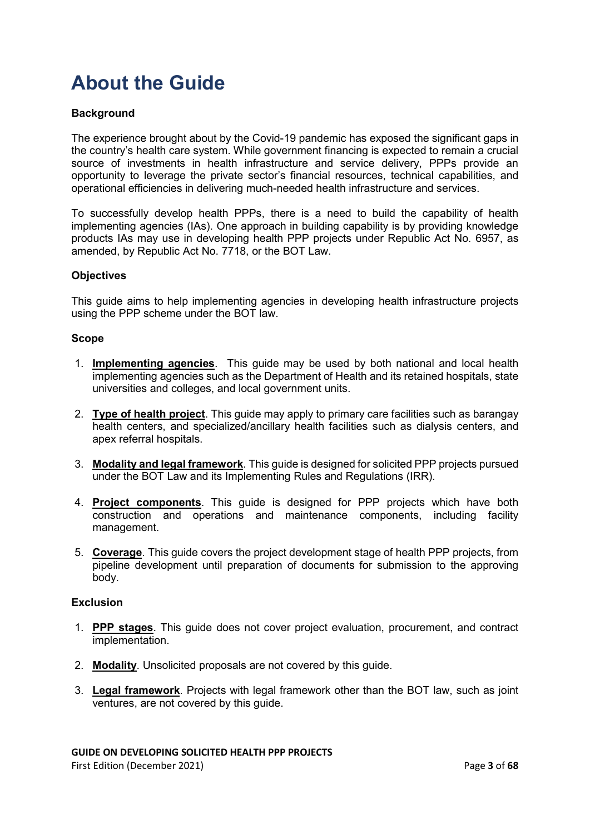## <span id="page-2-0"></span>**About the Guide**

### **Background**

The experience brought about by the Covid-19 pandemic has exposed the significant gaps in the country's health care system. While government financing is expected to remain a crucial source of investments in health infrastructure and service delivery, PPPs provide an opportunity to leverage the private sector's financial resources, technical capabilities, and operational efficiencies in delivering much-needed health infrastructure and services.

To successfully develop health PPPs, there is a need to build the capability of health implementing agencies (IAs). One approach in building capability is by providing knowledge products IAs may use in developing health PPP projects under Republic Act No. 6957, as amended, by Republic Act No. 7718, or the BOT Law.

#### **Objectives**

This guide aims to help implementing agencies in developing health infrastructure projects using the PPP scheme under the BOT law.

#### **Scope**

- 1. **Implementing agencies**. This guide may be used by both national and local health implementing agencies such as the Department of Health and its retained hospitals, state universities and colleges, and local government units.
- 2. **Type of health project**. This guide may apply to primary care facilities such as barangay health centers, and specialized/ancillary health facilities such as dialysis centers, and apex referral hospitals.
- 3. **Modality and legal framework**. This guide is designed for solicited PPP projects pursued under the BOT Law and its Implementing Rules and Regulations (IRR).
- 4. **Project components**. This guide is designed for PPP projects which have both construction and operations and maintenance components, including facility management.
- 5. **Coverage**. This guide covers the project development stage of health PPP projects, from pipeline development until preparation of documents for submission to the approving body.

#### **Exclusion**

- 1. **PPP stages**. This guide does not cover project evaluation, procurement, and contract implementation.
- 2. **Modality**. Unsolicited proposals are not covered by this guide.
- 3. **Legal framework**. Projects with legal framework other than the BOT law, such as joint ventures, are not covered by this guide.

#### **GUIDE ON DEVELOPING SOLICITED HEALTH PPP PROJECTS**

First Edition (December 2021) Page **3** of **68**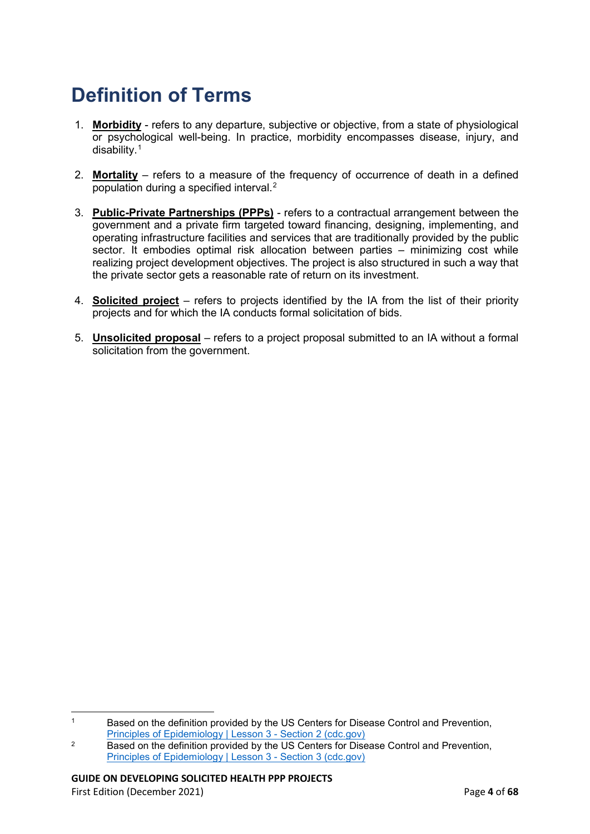## <span id="page-3-0"></span>**Definition of Terms**

- 1. **Morbidity** refers to any departure, subjective or objective, from a state of physiological or psychological well-being. In practice, morbidity encompasses disease, injury, and disability.[1](#page-3-1)
- 2. **Mortality** refers to a measure of the frequency of occurrence of death in a defined population during a specified interval.<sup>[2](#page-3-2)</sup>
- 3. **Public-Private Partnerships (PPPs)** refers to a contractual arrangement between the government and a private firm targeted toward financing, designing, implementing, and operating infrastructure facilities and services that are traditionally provided by the public sector. It embodies optimal risk allocation between parties – minimizing cost while realizing project development objectives. The project is also structured in such a way that the private sector gets a reasonable rate of return on its investment.
- 4. **Solicited project** refers to projects identified by the IA from the list of their priority projects and for which the IA conducts formal solicitation of bids.
- 5. **Unsolicited proposal** refers to a project proposal submitted to an IA without a formal solicitation from the government.

<span id="page-3-1"></span> $\overline{a}$ <sup>1</sup> Based on the definition provided by the US Centers for Disease Control and Prevention, [Principles of Epidemiology | Lesson 3 -](https://www.cdc.gov/csels/dsepd/ss1978/lesson3/section2.html) Section 2 (cdc.gov)

<span id="page-3-2"></span><sup>&</sup>lt;sup>2</sup> Based on the definition provided by the US Centers for Disease Control and Prevention, [Principles of Epidemiology | Lesson 3 -](https://www.cdc.gov/csels/dsepd/ss1978/lesson3/section3.html) Section 3 (cdc.gov)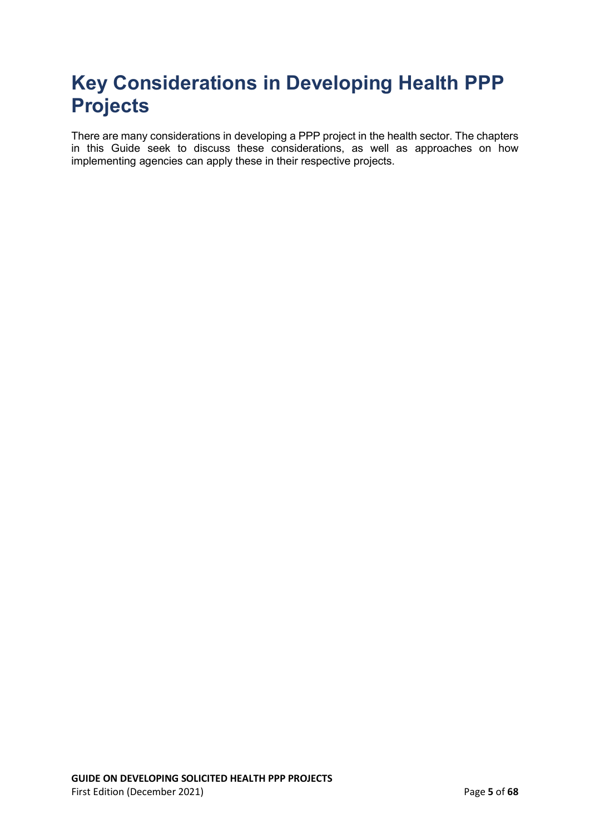## <span id="page-4-0"></span>**Key Considerations in Developing Health PPP Projects**

There are many considerations in developing a PPP project in the health sector. The chapters in this Guide seek to discuss these considerations, as well as approaches on how implementing agencies can apply these in their respective projects.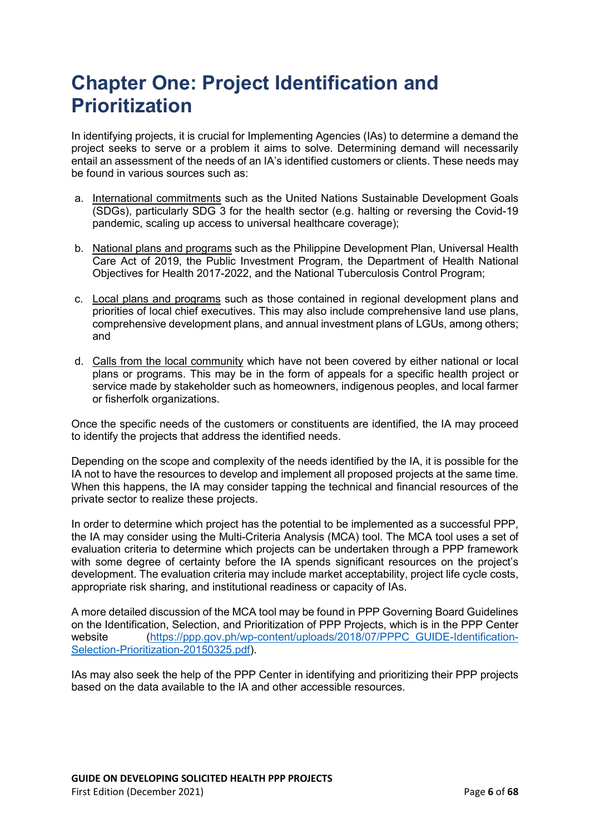### <span id="page-5-0"></span>**Chapter One: Project Identification and Prioritization**

In identifying projects, it is crucial for Implementing Agencies (IAs) to determine a demand the project seeks to serve or a problem it aims to solve. Determining demand will necessarily entail an assessment of the needs of an IA's identified customers or clients. These needs may be found in various sources such as:

- a. International commitments such as the United Nations Sustainable Development Goals (SDGs), particularly SDG 3 for the health sector (e.g. halting or reversing the Covid-19 pandemic, scaling up access to universal healthcare coverage);
- b. National plans and programs such as the Philippine Development Plan, Universal Health Care Act of 2019, the Public Investment Program, the Department of Health National Objectives for Health 2017-2022, and the National Tuberculosis Control Program;
- c. Local plans and programs such as those contained in regional development plans and priorities of local chief executives. This may also include comprehensive land use plans, comprehensive development plans, and annual investment plans of LGUs, among others; and
- d. Calls from the local community which have not been covered by either national or local plans or programs. This may be in the form of appeals for a specific health project or service made by stakeholder such as homeowners, indigenous peoples, and local farmer or fisherfolk organizations.

Once the specific needs of the customers or constituents are identified, the IA may proceed to identify the projects that address the identified needs.

Depending on the scope and complexity of the needs identified by the IA, it is possible for the IA not to have the resources to develop and implement all proposed projects at the same time. When this happens, the IA may consider tapping the technical and financial resources of the private sector to realize these projects.

In order to determine which project has the potential to be implemented as a successful PPP, the IA may consider using the Multi-Criteria Analysis (MCA) tool. The MCA tool uses a set of evaluation criteria to determine which projects can be undertaken through a PPP framework with some degree of certainty before the IA spends significant resources on the project's development. The evaluation criteria may include market acceptability, project life cycle costs, appropriate risk sharing, and institutional readiness or capacity of IAs.

A more detailed discussion of the MCA tool may be found in PPP Governing Board Guidelines on the Identification, Selection, and Prioritization of PPP Projects, which is in the PPP Center website [\(https://ppp.gov.ph/wp-content/uploads/2018/07/PPPC\\_GUIDE-Identification-](https://ppp.gov.ph/wp-content/uploads/2018/07/PPPC_GUIDE-Identification-Selection-Prioritization-20150325.pdf)[Selection-Prioritization-20150325.pdf\)](https://ppp.gov.ph/wp-content/uploads/2018/07/PPPC_GUIDE-Identification-Selection-Prioritization-20150325.pdf).

IAs may also seek the help of the PPP Center in identifying and prioritizing their PPP projects based on the data available to the IA and other accessible resources.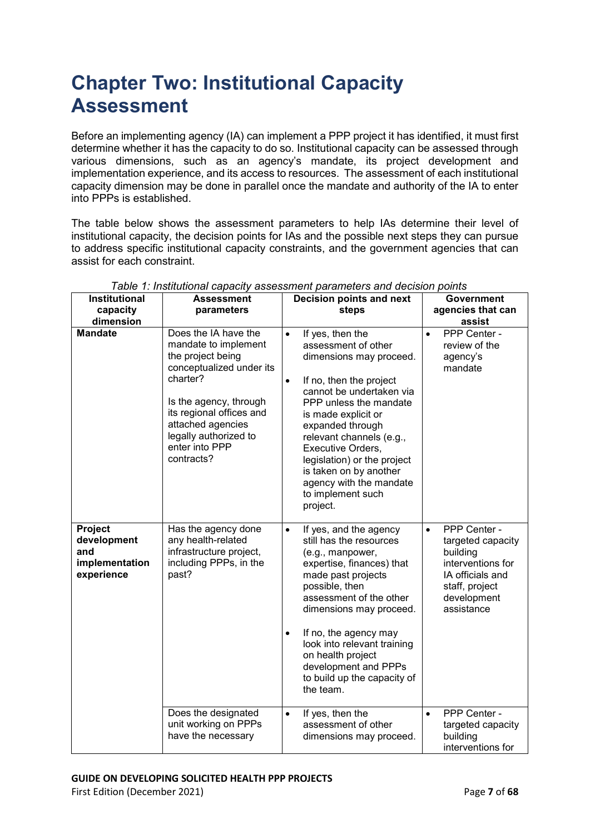## <span id="page-6-0"></span>**Chapter Two: Institutional Capacity Assessment**

Before an implementing agency (IA) can implement a PPP project it has identified, it must first determine whether it has the capacity to do so. Institutional capacity can be assessed through various dimensions, such as an agency's mandate, its project development and implementation experience, and its access to resources. The assessment of each institutional capacity dimension may be done in parallel once the mandate and authority of the IA to enter into PPPs is established.

The table below shows the assessment parameters to help IAs determine their level of institutional capacity, the decision points for IAs and the possible next steps they can pursue to address specific institutional capacity constraints, and the government agencies that can assist for each constraint.

| <b>Institutional</b><br>capacity<br>dimension                 | <b>Assessment</b><br>parameters                                                                                                                                                                                                               | Decision points and next<br>steps                                                                                                                                                                                                                                                                                                                                                              | <b>Government</b><br>agencies that can<br>assist                                                                                                   |
|---------------------------------------------------------------|-----------------------------------------------------------------------------------------------------------------------------------------------------------------------------------------------------------------------------------------------|------------------------------------------------------------------------------------------------------------------------------------------------------------------------------------------------------------------------------------------------------------------------------------------------------------------------------------------------------------------------------------------------|----------------------------------------------------------------------------------------------------------------------------------------------------|
| <b>Mandate</b>                                                | Does the IA have the<br>mandate to implement<br>the project being<br>conceptualized under its<br>charter?<br>Is the agency, through<br>its regional offices and<br>attached agencies<br>legally authorized to<br>enter into PPP<br>contracts? | If yes, then the<br>$\bullet$<br>assessment of other<br>dimensions may proceed.<br>If no, then the project<br>$\bullet$<br>cannot be undertaken via<br>PPP unless the mandate<br>is made explicit or<br>expanded through<br>relevant channels (e.g.,<br>Executive Orders,<br>legislation) or the project<br>is taken on by another<br>agency with the mandate<br>to implement such<br>project. | PPP Center -<br>$\bullet$<br>review of the<br>agency's<br>mandate                                                                                  |
| Project<br>development<br>and<br>implementation<br>experience | Has the agency done<br>any health-related<br>infrastructure project,<br>including PPPs, in the<br>past?                                                                                                                                       | If yes, and the agency<br>$\bullet$<br>still has the resources<br>(e.g., manpower,<br>expertise, finances) that<br>made past projects<br>possible, then<br>assessment of the other<br>dimensions may proceed.<br>If no, the agency may<br>$\bullet$<br>look into relevant training<br>on health project<br>development and PPPs<br>to build up the capacity of<br>the team.                    | PPP Center -<br>$\bullet$<br>targeted capacity<br>building<br>interventions for<br>IA officials and<br>staff, project<br>development<br>assistance |
|                                                               | Does the designated<br>unit working on PPPs<br>have the necessary                                                                                                                                                                             | If yes, then the<br>$\bullet$<br>assessment of other<br>dimensions may proceed.                                                                                                                                                                                                                                                                                                                | PPP Center -<br>$\bullet$<br>targeted capacity<br>building<br>interventions for                                                                    |

#### *Table 1: Institutional capacity assessment parameters and decision points*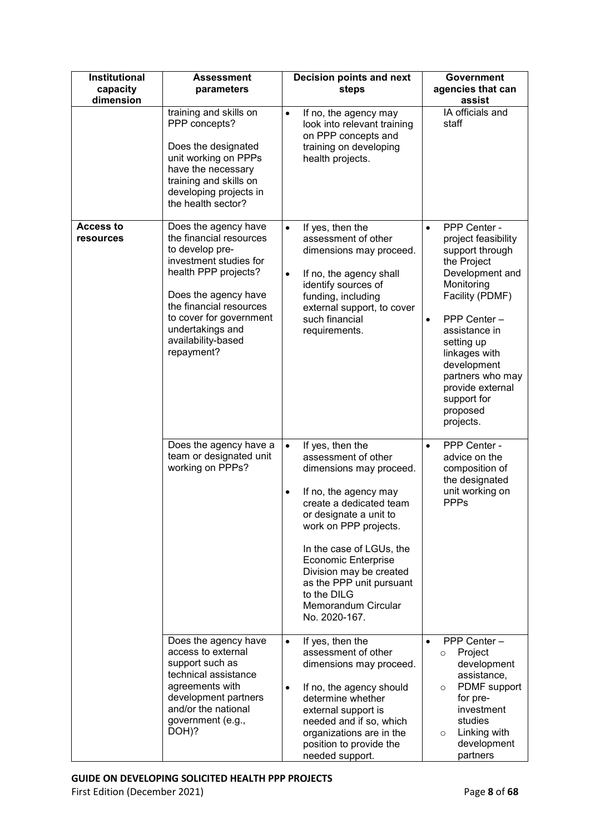| <b>Institutional</b><br>capacity<br>dimension | <b>Assessment</b><br>parameters                                                                                                                                                                                                                            | Decision points and next<br>steps                                                                                                                                                                                                                                                                                                                                           | <b>Government</b><br>agencies that can<br>assist                                                                                                                                                                                                                                                                   |
|-----------------------------------------------|------------------------------------------------------------------------------------------------------------------------------------------------------------------------------------------------------------------------------------------------------------|-----------------------------------------------------------------------------------------------------------------------------------------------------------------------------------------------------------------------------------------------------------------------------------------------------------------------------------------------------------------------------|--------------------------------------------------------------------------------------------------------------------------------------------------------------------------------------------------------------------------------------------------------------------------------------------------------------------|
|                                               | training and skills on<br>PPP concepts?<br>Does the designated<br>unit working on PPPs<br>have the necessary<br>training and skills on<br>developing projects in<br>the health sector?                                                                     | $\bullet$<br>If no, the agency may<br>look into relevant training<br>on PPP concepts and<br>training on developing<br>health projects.                                                                                                                                                                                                                                      | IA officials and<br>staff                                                                                                                                                                                                                                                                                          |
| <b>Access to</b><br>resources                 | Does the agency have<br>the financial resources<br>to develop pre-<br>investment studies for<br>health PPP projects?<br>Does the agency have<br>the financial resources<br>to cover for government<br>undertakings and<br>availability-based<br>repayment? | If yes, then the<br>$\bullet$<br>assessment of other<br>dimensions may proceed.<br>If no, the agency shall<br>$\bullet$<br>identify sources of<br>funding, including<br>external support, to cover<br>such financial<br>requirements.                                                                                                                                       | PPP Center -<br>$\bullet$<br>project feasibility<br>support through<br>the Project<br>Development and<br>Monitoring<br>Facility (PDMF)<br>PPP Center -<br>$\bullet$<br>assistance in<br>setting up<br>linkages with<br>development<br>partners who may<br>provide external<br>support for<br>proposed<br>projects. |
|                                               | Does the agency have a<br>team or designated unit<br>working on PPPs?                                                                                                                                                                                      | If yes, then the<br>$\bullet$<br>assessment of other<br>dimensions may proceed.<br>If no, the agency may<br>$\bullet$<br>create a dedicated team<br>or designate a unit to<br>work on PPP projects.<br>In the case of LGUs, the<br><b>Economic Enterprise</b><br>Division may be created<br>as the PPP unit pursuant<br>to the DILG<br>Memorandum Circular<br>No. 2020-167. | PPP Center -<br>$\bullet$<br>advice on the<br>composition of<br>the designated<br>unit working on<br><b>PPPs</b>                                                                                                                                                                                                   |
|                                               | Does the agency have<br>access to external<br>support such as<br>technical assistance<br>agreements with<br>development partners<br>and/or the national<br>government (e.g.,<br>DOH)?                                                                      | If yes, then the<br>$\bullet$<br>assessment of other<br>dimensions may proceed.<br>If no, the agency should<br>$\bullet$<br>determine whether<br>external support is<br>needed and if so, which<br>organizations are in the<br>position to provide the<br>needed support.                                                                                                   | PPP Center -<br>$\bullet$<br>Project<br>$\circ$<br>development<br>assistance,<br>PDMF support<br>$\circ$<br>for pre-<br>investment<br>studies<br>Linking with<br>$\circ$<br>development<br>partners                                                                                                                |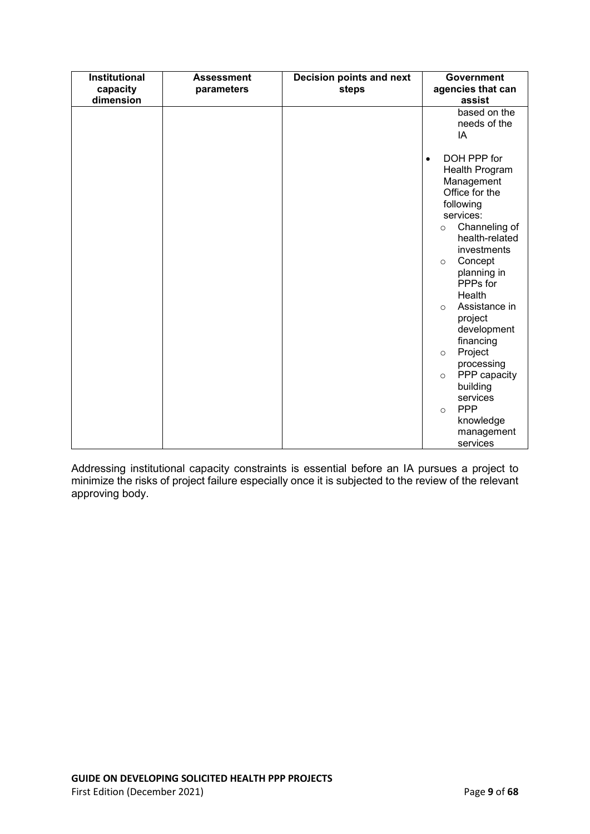| Institutional<br>capacity<br>dimension | <b>Assessment</b><br>parameters | Decision points and next<br>steps | <b>Government</b><br>agencies that can<br>assist                                                                                                                                                                                                                                                                                                                                                                                                       |
|----------------------------------------|---------------------------------|-----------------------------------|--------------------------------------------------------------------------------------------------------------------------------------------------------------------------------------------------------------------------------------------------------------------------------------------------------------------------------------------------------------------------------------------------------------------------------------------------------|
|                                        |                                 |                                   | based on the<br>needs of the<br>IA                                                                                                                                                                                                                                                                                                                                                                                                                     |
|                                        |                                 |                                   | DOH PPP for<br>$\bullet$<br>Health Program<br>Management<br>Office for the<br>following<br>services:<br>Channeling of<br>$\circ$<br>health-related<br>investments<br>Concept<br>$\circ$<br>planning in<br>PPPs for<br>Health<br>Assistance in<br>$\circ$<br>project<br>development<br>financing<br>Project<br>$\circ$<br>processing<br>PPP capacity<br>$\circ$<br>building<br>services<br><b>PPP</b><br>$\circ$<br>knowledge<br>management<br>services |

Addressing institutional capacity constraints is essential before an IA pursues a project to minimize the risks of project failure especially once it is subjected to the review of the relevant approving body.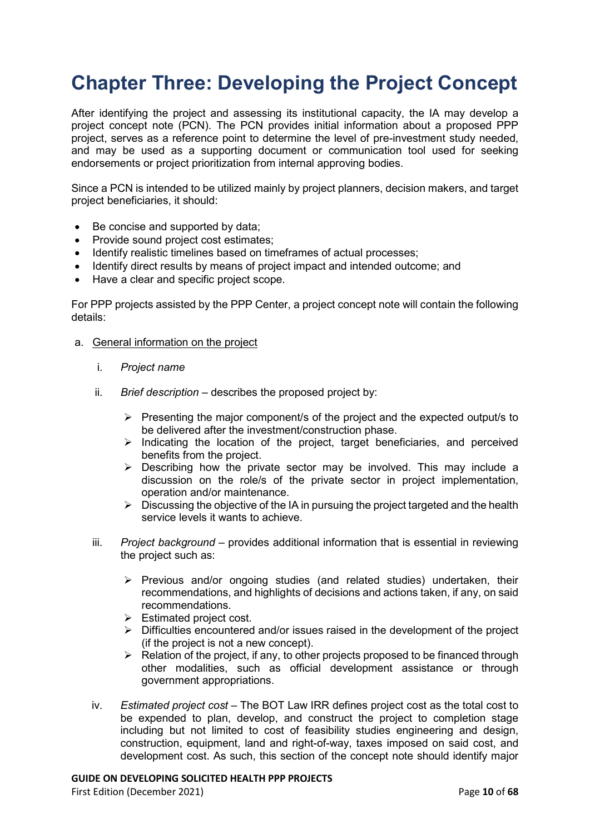### <span id="page-9-0"></span>**Chapter Three: Developing the Project Concept**

After identifying the project and assessing its institutional capacity, the IA may develop a project concept note (PCN). The PCN provides initial information about a proposed PPP project, serves as a reference point to determine the level of pre-investment study needed, and may be used as a supporting document or communication tool used for seeking endorsements or project prioritization from internal approving bodies.

Since a PCN is intended to be utilized mainly by project planners, decision makers, and target project beneficiaries, it should:

- Be concise and supported by data;
- Provide sound project cost estimates;
- Identify realistic timelines based on timeframes of actual processes;
- Identify direct results by means of project impact and intended outcome; and
- Have a clear and specific project scope.

For PPP projects assisted by the PPP Center, a project concept note will contain the following details:

- a. General information on the project
	- i. *Project name*
	- ii. *Brief description* describes the proposed project by:
		- $\triangleright$  Presenting the major component/s of the project and the expected output/s to be delivered after the investment/construction phase.
		- $\triangleright$  Indicating the location of the project, target beneficiaries, and perceived benefits from the project.
		- $\triangleright$  Describing how the private sector may be involved. This may include a discussion on the role/s of the private sector in project implementation, operation and/or maintenance.
		- $\triangleright$  Discussing the objective of the IA in pursuing the project targeted and the health service levels it wants to achieve.
	- iii. *Project background* provides additional information that is essential in reviewing the project such as:
		- $\triangleright$  Previous and/or ongoing studies (and related studies) undertaken, their recommendations, and highlights of decisions and actions taken, if any, on said recommendations.
		- $\triangleright$  Estimated project cost.
		- $\triangleright$  Difficulties encountered and/or issues raised in the development of the project (if the project is not a new concept).
		- $\triangleright$  Relation of the project, if any, to other projects proposed to be financed through other modalities, such as official development assistance or through government appropriations.
	- iv. *Estimated project cost* The BOT Law IRR defines project cost as the total cost to be expended to plan, develop, and construct the project to completion stage including but not limited to cost of feasibility studies engineering and design, construction, equipment, land and right-of-way, taxes imposed on said cost, and development cost. As such, this section of the concept note should identify major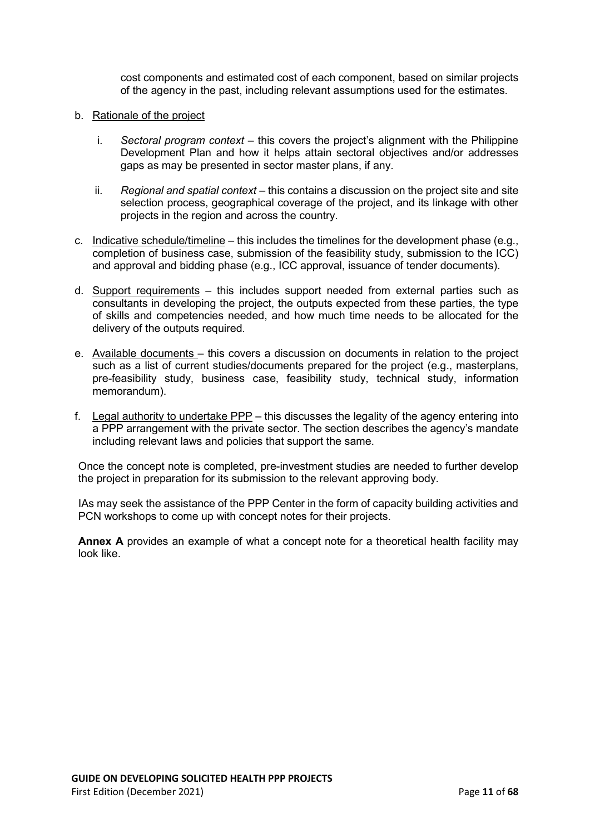cost components and estimated cost of each component, based on similar projects of the agency in the past, including relevant assumptions used for the estimates.

- b. Rationale of the project
	- i. *Sectoral program context –* this covers the project's alignment with the Philippine Development Plan and how it helps attain sectoral objectives and/or addresses gaps as may be presented in sector master plans, if any.
	- ii. *Regional and spatial context* this contains a discussion on the project site and site selection process, geographical coverage of the project, and its linkage with other projects in the region and across the country.
- c. Indicative schedule/timeline this includes the timelines for the development phase  $(e.q.,)$ completion of business case, submission of the feasibility study, submission to the ICC) and approval and bidding phase (e.g., ICC approval, issuance of tender documents).
- d. Support requirements this includes support needed from external parties such as consultants in developing the project, the outputs expected from these parties, the type of skills and competencies needed, and how much time needs to be allocated for the delivery of the outputs required.
- e. Available documents this covers a discussion on documents in relation to the project such as a list of current studies/documents prepared for the project (e.g., masterplans, pre-feasibility study, business case, feasibility study, technical study, information memorandum).
- f. Legal authority to undertake PPP this discusses the legality of the agency entering into a PPP arrangement with the private sector. The section describes the agency's mandate including relevant laws and policies that support the same.

Once the concept note is completed, pre-investment studies are needed to further develop the project in preparation for its submission to the relevant approving body.

IAs may seek the assistance of the PPP Center in the form of capacity building activities and PCN workshops to come up with concept notes for their projects.

**Annex A** provides an example of what a concept note for a theoretical health facility may look like.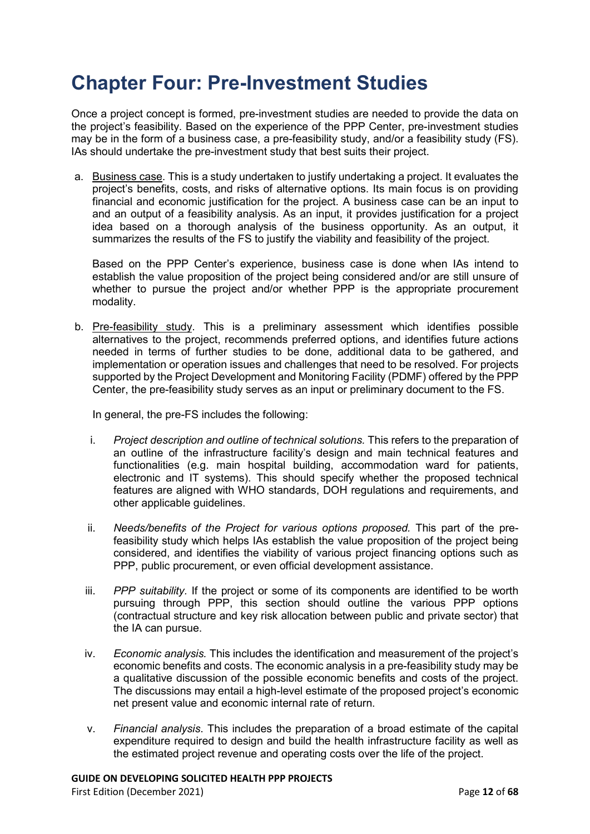### <span id="page-11-0"></span>**Chapter Four: Pre-Investment Studies**

Once a project concept is formed, pre-investment studies are needed to provide the data on the project's feasibility. Based on the experience of the PPP Center, pre-investment studies may be in the form of a business case, a pre-feasibility study, and/or a feasibility study (FS). IAs should undertake the pre-investment study that best suits their project.

a. Business case. This is a study undertaken to justify undertaking a project. It evaluates the project's benefits, costs, and risks of alternative options. Its main focus is on providing financial and economic justification for the project. A business case can be an input to and an output of a feasibility analysis. As an input, it provides justification for a project idea based on a thorough analysis of the business opportunity. As an output, it summarizes the results of the FS to justify the viability and feasibility of the project.

Based on the PPP Center's experience, business case is done when IAs intend to establish the value proposition of the project being considered and/or are still unsure of whether to pursue the project and/or whether PPP is the appropriate procurement modality.

b. Pre-feasibility study. This is a preliminary assessment which identifies possible alternatives to the project, recommends preferred options, and identifies future actions needed in terms of further studies to be done, additional data to be gathered, and implementation or operation issues and challenges that need to be resolved. For projects supported by the Project Development and Monitoring Facility (PDMF) offered by the PPP Center, the pre-feasibility study serves as an input or preliminary document to the FS.

In general, the pre-FS includes the following:

- i. *Project description and outline of technical solutions.* This refers to the preparation of an outline of the infrastructure facility's design and main technical features and functionalities (e.g. main hospital building, accommodation ward for patients, electronic and IT systems). This should specify whether the proposed technical features are aligned with WHO standards, DOH regulations and requirements, and other applicable guidelines.
- ii. *Needs/benefits of the Project for various options proposed.* This part of the prefeasibility study which helps IAs establish the value proposition of the project being considered, and identifies the viability of various project financing options such as PPP, public procurement, or even official development assistance.
- iii. *PPP suitability.* If the project or some of its components are identified to be worth pursuing through PPP, this section should outline the various PPP options (contractual structure and key risk allocation between public and private sector) that the IA can pursue.
- iv. *Economic analysis.* This includes the identification and measurement of the project's economic benefits and costs. The economic analysis in a pre-feasibility study may be a qualitative discussion of the possible economic benefits and costs of the project. The discussions may entail a high-level estimate of the proposed project's economic net present value and economic internal rate of return.
- v. *Financial analysis*. This includes the preparation of a broad estimate of the capital expenditure required to design and build the health infrastructure facility as well as the estimated project revenue and operating costs over the life of the project.

First Edition (December 2021) **Page 12** of **68**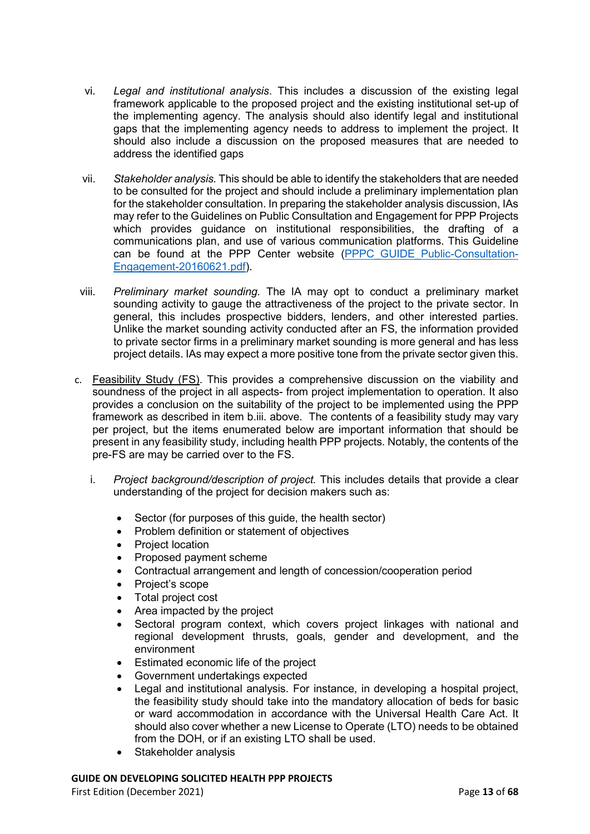- vi. *Legal and institutional analysis*. This includes a discussion of the existing legal framework applicable to the proposed project and the existing institutional set-up of the implementing agency. The analysis should also identify legal and institutional gaps that the implementing agency needs to address to implement the project. It should also include a discussion on the proposed measures that are needed to address the identified gaps
- vii. *Stakeholder analysis.* This should be able to identify the stakeholders that are needed to be consulted for the project and should include a preliminary implementation plan for the stakeholder consultation. In preparing the stakeholder analysis discussion, IAs may refer to the Guidelines on Public Consultation and Engagement for PPP Projects which provides guidance on institutional responsibilities, the drafting of a communications plan, and use of various communication platforms. This Guideline can be found at the PPP Center website (PPPC GUIDE Public-Consultation-[Engagement-20160621.pdf\)](https://ppp.gov.ph/wp-content/uploads/2018/07/PPPC_GUIDE_Public-Consultation-Engagement-20160621.pdf).
- viii. *Preliminary market sounding.* The IA may opt to conduct a preliminary market sounding activity to gauge the attractiveness of the project to the private sector. In general, this includes prospective bidders, lenders, and other interested parties. Unlike the market sounding activity conducted after an FS, the information provided to private sector firms in a preliminary market sounding is more general and has less project details. IAs may expect a more positive tone from the private sector given this.
- c. Feasibility Study (FS). This provides a comprehensive discussion on the viability and soundness of the project in all aspects- from project implementation to operation. It also provides a conclusion on the suitability of the project to be implemented using the PPP framework as described in item b.iii. above. The contents of a feasibility study may vary per project, but the items enumerated below are important information that should be present in any feasibility study, including health PPP projects. Notably, the contents of the pre-FS are may be carried over to the FS.
	- i. *Project background/description of project.* This includes details that provide a clear understanding of the project for decision makers such as:
		- Sector (for purposes of this guide, the health sector)
		- Problem definition or statement of objectives
		- Project location
		- Proposed payment scheme
		- Contractual arrangement and length of concession/cooperation period
		- Project's scope
		- Total project cost
		- Area impacted by the project
		- Sectoral program context, which covers project linkages with national and regional development thrusts, goals, gender and development, and the environment
		- Estimated economic life of the project
		- Government undertakings expected
		- Legal and institutional analysis. For instance, in developing a hospital project, the feasibility study should take into the mandatory allocation of beds for basic or ward accommodation in accordance with the Universal Health Care Act. It should also cover whether a new License to Operate (LTO) needs to be obtained from the DOH, or if an existing LTO shall be used.
		- Stakeholder analysis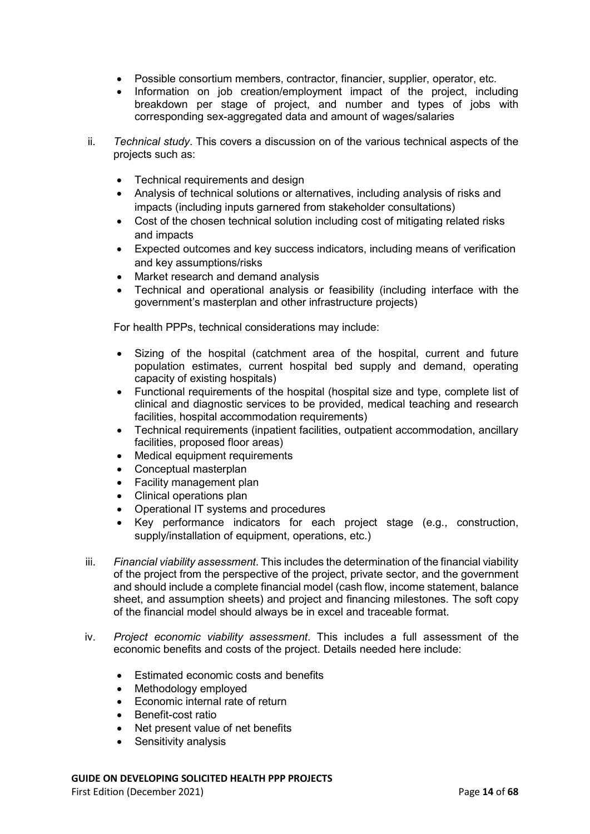- Possible consortium members, contractor, financier, supplier, operator, etc.
- Information on job creation/employment impact of the project, including breakdown per stage of project, and number and types of jobs with corresponding sex-aggregated data and amount of wages/salaries
- ii. *Technical study*. This covers a discussion on of the various technical aspects of the projects such as:
	- Technical requirements and design
	- Analysis of technical solutions or alternatives, including analysis of risks and impacts (including inputs garnered from stakeholder consultations)
	- Cost of the chosen technical solution including cost of mitigating related risks and impacts
	- Expected outcomes and key success indicators, including means of verification and key assumptions/risks
	- Market research and demand analysis
	- Technical and operational analysis or feasibility (including interface with the government's masterplan and other infrastructure projects)

For health PPPs, technical considerations may include:

- Sizing of the hospital (catchment area of the hospital, current and future population estimates, current hospital bed supply and demand, operating capacity of existing hospitals)
- Functional requirements of the hospital (hospital size and type, complete list of clinical and diagnostic services to be provided, medical teaching and research facilities, hospital accommodation requirements)
- Technical requirements (inpatient facilities, outpatient accommodation, ancillary facilities, proposed floor areas)
- Medical equipment requirements
- Conceptual masterplan
- Facility management plan
- Clinical operations plan
- Operational IT systems and procedures
- Key performance indicators for each project stage (e.g., construction, supply/installation of equipment, operations, etc.)
- iii. *Financial viability assessment*. This includes the determination of the financial viability of the project from the perspective of the project, private sector, and the government and should include a complete financial model (cash flow, income statement, balance sheet, and assumption sheets) and project and financing milestones. The soft copy of the financial model should always be in excel and traceable format.
- iv. *Project economic viability assessment*. This includes a full assessment of the economic benefits and costs of the project. Details needed here include:
	- Estimated economic costs and benefits
	- Methodology employed
	- Economic internal rate of return
	- Benefit-cost ratio
	- Net present value of net benefits
	- Sensitivity analysis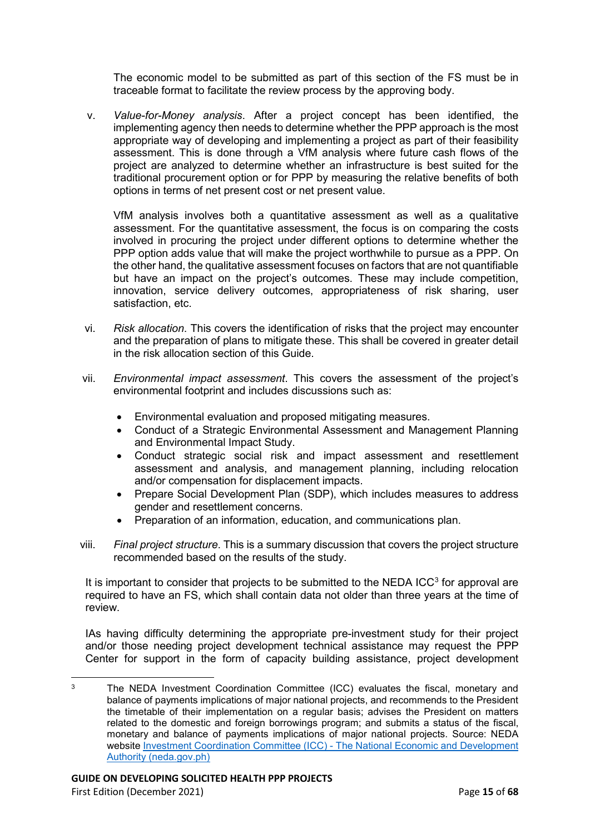The economic model to be submitted as part of this section of the FS must be in traceable format to facilitate the review process by the approving body.

v. *Value-for-Money analysis*. After a project concept has been identified, the implementing agency then needs to determine whether the PPP approach is the most appropriate way of developing and implementing a project as part of their feasibility assessment. This is done through a VfM analysis where future cash flows of the project are analyzed to determine whether an infrastructure is best suited for the traditional procurement option or for PPP by measuring the relative benefits of both options in terms of net present cost or net present value.

VfM analysis involves both a quantitative assessment as well as a qualitative assessment. For the quantitative assessment, the focus is on comparing the costs involved in procuring the project under different options to determine whether the PPP option adds value that will make the project worthwhile to pursue as a PPP. On the other hand, the qualitative assessment focuses on factors that are not quantifiable but have an impact on the project's outcomes. These may include competition, innovation, service delivery outcomes, appropriateness of risk sharing, user satisfaction, etc.

- vi. *Risk allocation*. This covers the identification of risks that the project may encounter and the preparation of plans to mitigate these. This shall be covered in greater detail in the risk allocation section of this Guide.
- vii. *Environmental impact assessment*. This covers the assessment of the project's environmental footprint and includes discussions such as:
	- Environmental evaluation and proposed mitigating measures.
	- Conduct of a Strategic Environmental Assessment and Management Planning and Environmental Impact Study.
	- Conduct strategic social risk and impact assessment and resettlement assessment and analysis, and management planning, including relocation and/or compensation for displacement impacts.
	- Prepare Social Development Plan (SDP), which includes measures to address gender and resettlement concerns.
	- Preparation of an information, education, and communications plan.
- viii. *Final project structure*. This is a summary discussion that covers the project structure recommended based on the results of the study.

It is important to consider that projects to be submitted to the NEDA  $ICC<sup>3</sup>$  $ICC<sup>3</sup>$  $ICC<sup>3</sup>$  for approval are required to have an FS, which shall contain data not older than three years at the time of review.

IAs having difficulty determining the appropriate pre-investment study for their project and/or those needing project development technical assistance may request the PPP Center for support in the form of capacity building assistance, project development

<span id="page-14-0"></span> $\overline{3}$ The NEDA Investment Coordination Committee (ICC) evaluates the fiscal, monetary and balance of payments implications of major national projects, and recommends to the President the timetable of their implementation on a regular basis; advises the President on matters related to the domestic and foreign borrowings program; and submits a status of the fiscal, monetary and balance of payments implications of major national projects. Source: NEDA website [Investment Coordination Committee \(ICC\) -](https://neda.gov.ph/investment-coordination-committee/) The National Economic and Development [Authority \(neda.gov.ph\)](https://neda.gov.ph/investment-coordination-committee/)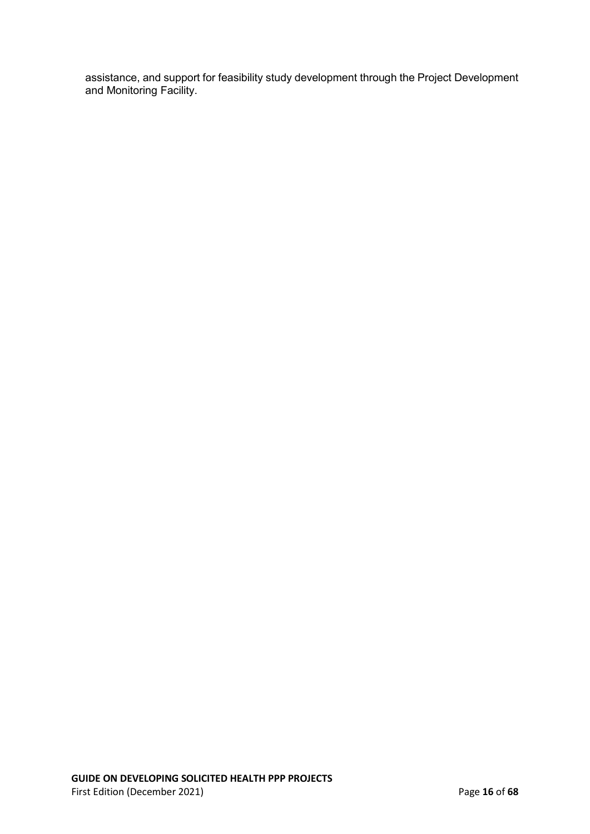assistance, and support for feasibility study development through the Project Development and Monitoring Facility.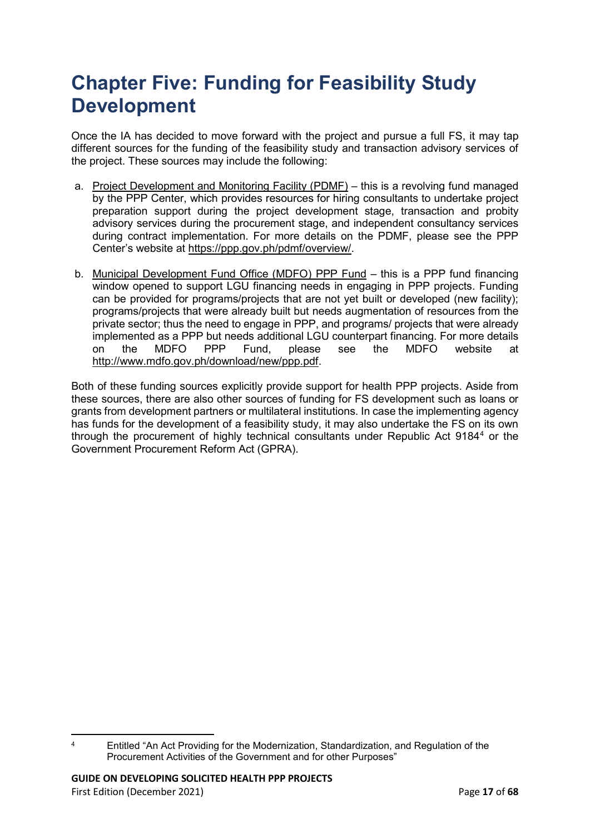## <span id="page-16-0"></span>**Chapter Five: Funding for Feasibility Study Development**

Once the IA has decided to move forward with the project and pursue a full FS, it may tap different sources for the funding of the feasibility study and transaction advisory services of the project. These sources may include the following:

- a. Project Development and Monitoring Facility (PDMF) this is a revolving fund managed by the PPP Center, which provides resources for hiring consultants to undertake project preparation support during the project development stage, transaction and probity advisory services during the procurement stage, and independent consultancy services during contract implementation. For more details on the PDMF, please see the PPP Center's website at [https://ppp.gov.ph/pdmf/overview/.](https://ppp.gov.ph/pdmf/overview/)
- b. Municipal Development Fund Office (MDFO) PPP Fund this is a PPP fund financing window opened to support LGU financing needs in engaging in PPP projects. Funding can be provided for programs/projects that are not yet built or developed (new facility); programs/projects that were already built but needs augmentation of resources from the private sector; thus the need to engage in PPP, and programs/ projects that were already implemented as a PPP but needs additional LGU counterpart financing. For more details on the MDFO PPP Fund, please see the MDFO website at [http://www.mdfo.gov.ph/download/new/ppp.pdf.](http://www.mdfo.gov.ph/download/new/ppp.pdf)

Both of these funding sources explicitly provide support for health PPP projects. Aside from these sources, there are also other sources of funding for FS development such as loans or grants from development partners or multilateral institutions. In case the implementing agency has funds for the development of a feasibility study, it may also undertake the FS on its own through the procurement of highly technical consultants under Republic Act 9184[4](#page-16-1) or the Government Procurement Reform Act (GPRA).

<span id="page-16-1"></span> $\overline{a}$ <sup>4</sup> Entitled "An Act Providing for the Modernization, Standardization, and Regulation of the Procurement Activities of the Government and for other Purposes"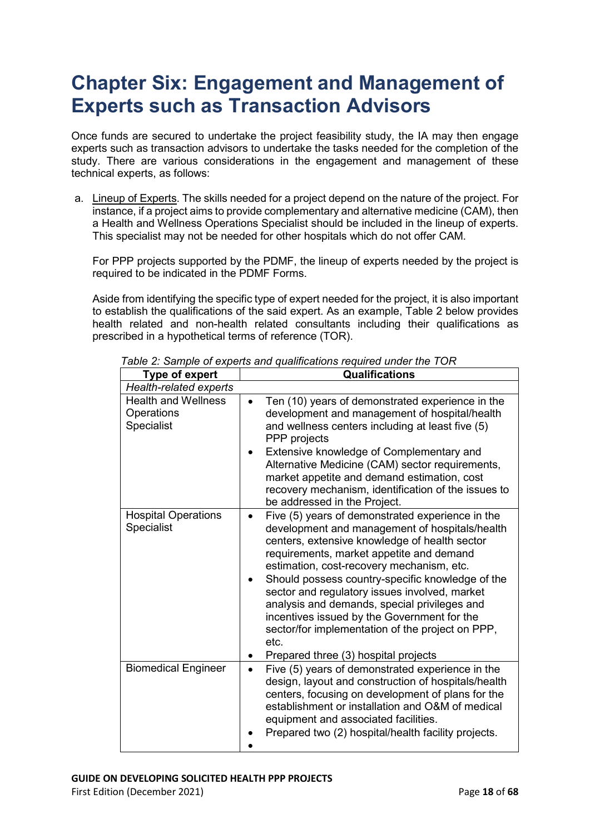### <span id="page-17-0"></span>**Chapter Six: Engagement and Management of Experts such as Transaction Advisors**

Once funds are secured to undertake the project feasibility study, the IA may then engage experts such as transaction advisors to undertake the tasks needed for the completion of the study. There are various considerations in the engagement and management of these technical experts, as follows:

a. Lineup of Experts. The skills needed for a project depend on the nature of the project. For instance, if a project aims to provide complementary and alternative medicine (CAM), then a Health and Wellness Operations Specialist should be included in the lineup of experts. This specialist may not be needed for other hospitals which do not offer CAM.

For PPP projects supported by the PDMF, the lineup of experts needed by the project is required to be indicated in the PDMF Forms.

Aside from identifying the specific type of expert needed for the project, it is also important to establish the qualifications of the said expert. As an example, Table 2 below provides health related and non-health related consultants including their qualifications as prescribed in a hypothetical terms of reference (TOR).

| <b>Type of expert</b>                                  | <b>Qualifications</b>                                                                                                                                                                                                                                                                                                                                                                                                                                                                                        |
|--------------------------------------------------------|--------------------------------------------------------------------------------------------------------------------------------------------------------------------------------------------------------------------------------------------------------------------------------------------------------------------------------------------------------------------------------------------------------------------------------------------------------------------------------------------------------------|
| <b>Health-related experts</b>                          |                                                                                                                                                                                                                                                                                                                                                                                                                                                                                                              |
| <b>Health and Wellness</b><br>Operations<br>Specialist | Ten (10) years of demonstrated experience in the<br>development and management of hospital/health<br>and wellness centers including at least five (5)<br>PPP projects<br>Extensive knowledge of Complementary and<br>Alternative Medicine (CAM) sector requirements,<br>market appetite and demand estimation, cost<br>recovery mechanism, identification of the issues to<br>be addressed in the Project.                                                                                                   |
| <b>Hospital Operations</b><br>Specialist               | Five (5) years of demonstrated experience in the<br>development and management of hospitals/health<br>centers, extensive knowledge of health sector<br>requirements, market appetite and demand<br>estimation, cost-recovery mechanism, etc.<br>Should possess country-specific knowledge of the<br>sector and regulatory issues involved, market<br>analysis and demands, special privileges and<br>incentives issued by the Government for the<br>sector/for implementation of the project on PPP,<br>etc. |
| <b>Biomedical Engineer</b>                             | Prepared three (3) hospital projects<br>Five (5) years of demonstrated experience in the<br>$\bullet$<br>design, layout and construction of hospitals/health<br>centers, focusing on development of plans for the<br>establishment or installation and O&M of medical<br>equipment and associated facilities.<br>Prepared two (2) hospital/health facility projects.                                                                                                                                         |

*Table 2: Sample of experts and qualifications required under the TOR*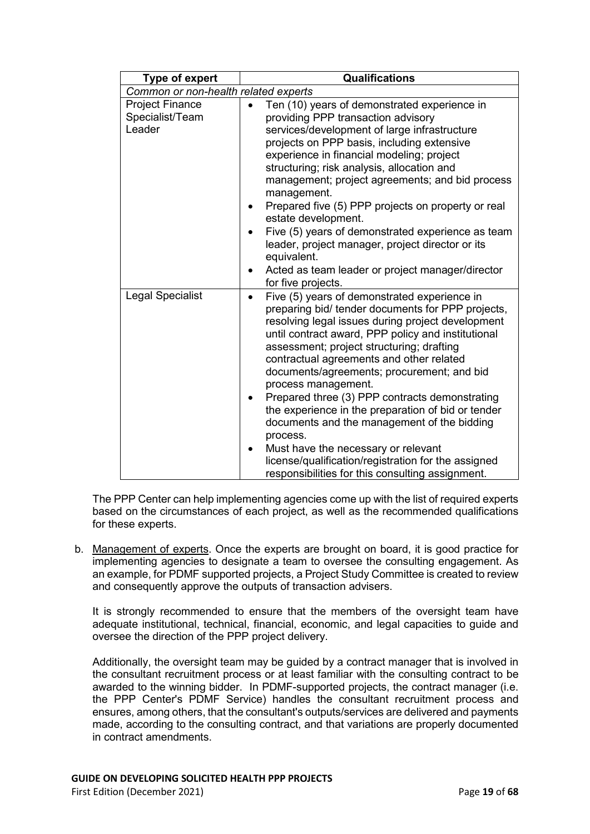| <b>Type of expert</b>                               | <b>Qualifications</b>                                                                                                                                                                                                                                                                                                                                                                                                                                                                                                                                                                                                                                                                                                          |  |
|-----------------------------------------------------|--------------------------------------------------------------------------------------------------------------------------------------------------------------------------------------------------------------------------------------------------------------------------------------------------------------------------------------------------------------------------------------------------------------------------------------------------------------------------------------------------------------------------------------------------------------------------------------------------------------------------------------------------------------------------------------------------------------------------------|--|
| Common or non-health related experts                |                                                                                                                                                                                                                                                                                                                                                                                                                                                                                                                                                                                                                                                                                                                                |  |
| <b>Project Finance</b><br>Specialist/Team<br>Leader | Ten (10) years of demonstrated experience in<br>providing PPP transaction advisory<br>services/development of large infrastructure<br>projects on PPP basis, including extensive<br>experience in financial modeling; project<br>structuring; risk analysis, allocation and<br>management; project agreements; and bid process<br>management.<br>Prepared five (5) PPP projects on property or real<br>estate development.<br>Five (5) years of demonstrated experience as team<br>$\bullet$                                                                                                                                                                                                                                   |  |
|                                                     | leader, project manager, project director or its<br>equivalent.<br>Acted as team leader or project manager/director<br>$\bullet$<br>for five projects.                                                                                                                                                                                                                                                                                                                                                                                                                                                                                                                                                                         |  |
| <b>Legal Specialist</b>                             | Five (5) years of demonstrated experience in<br>$\bullet$<br>preparing bid/ tender documents for PPP projects,<br>resolving legal issues during project development<br>until contract award, PPP policy and institutional<br>assessment; project structuring; drafting<br>contractual agreements and other related<br>documents/agreements; procurement; and bid<br>process management.<br>Prepared three (3) PPP contracts demonstrating<br>٠<br>the experience in the preparation of bid or tender<br>documents and the management of the bidding<br>process.<br>Must have the necessary or relevant<br>$\bullet$<br>license/qualification/registration for the assigned<br>responsibilities for this consulting assignment. |  |

The PPP Center can help implementing agencies come up with the list of required experts based on the circumstances of each project, as well as the recommended qualifications for these experts.

b. Management of experts. Once the experts are brought on board, it is good practice for implementing agencies to designate a team to oversee the consulting engagement. As an example, for PDMF supported projects, a Project Study Committee is created to review and consequently approve the outputs of transaction advisers.

It is strongly recommended to ensure that the members of the oversight team have adequate institutional, technical, financial, economic, and legal capacities to guide and oversee the direction of the PPP project delivery.

Additionally, the oversight team may be guided by a contract manager that is involved in the consultant recruitment process or at least familiar with the consulting contract to be awarded to the winning bidder. In PDMF-supported projects, the contract manager (i.e. the PPP Center's PDMF Service) handles the consultant recruitment process and ensures, among others, that the consultant's outputs/services are delivered and payments made, according to the consulting contract, and that variations are properly documented in contract amendments.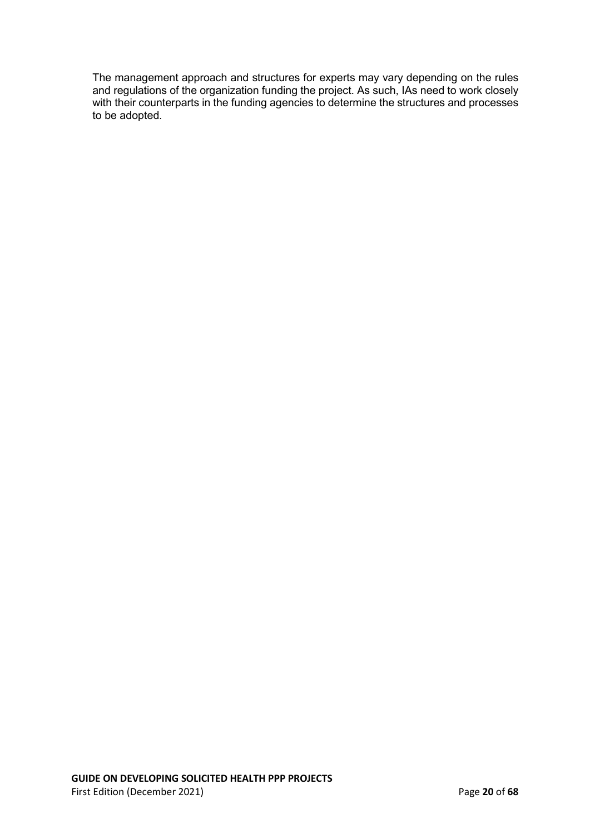The management approach and structures for experts may vary depending on the rules and regulations of the organization funding the project. As such, IAs need to work closely with their counterparts in the funding agencies to determine the structures and processes to be adopted.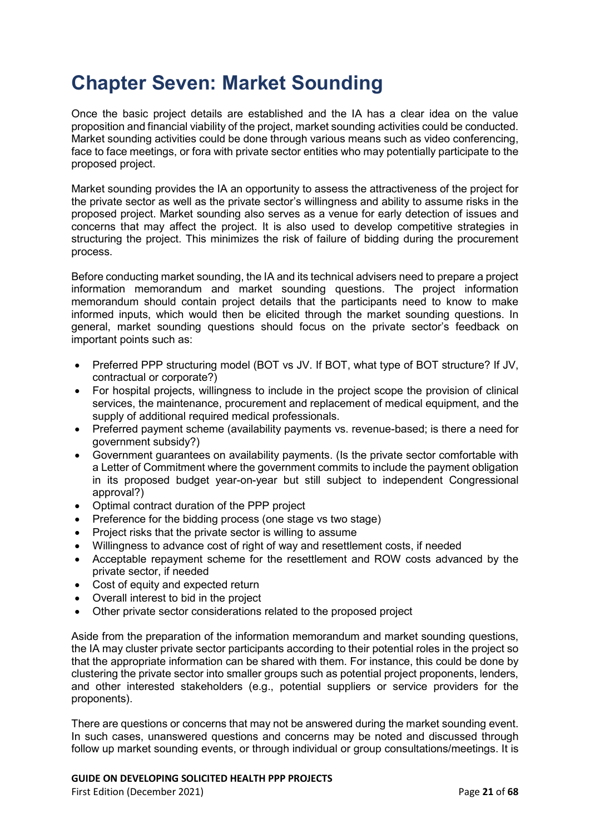### <span id="page-20-0"></span>**Chapter Seven: Market Sounding**

Once the basic project details are established and the IA has a clear idea on the value proposition and financial viability of the project, market sounding activities could be conducted. Market sounding activities could be done through various means such as video conferencing, face to face meetings, or fora with private sector entities who may potentially participate to the proposed project.

Market sounding provides the IA an opportunity to assess the attractiveness of the project for the private sector as well as the private sector's willingness and ability to assume risks in the proposed project. Market sounding also serves as a venue for early detection of issues and concerns that may affect the project. It is also used to develop competitive strategies in structuring the project. This minimizes the risk of failure of bidding during the procurement process.

Before conducting market sounding, the IA and its technical advisers need to prepare a project information memorandum and market sounding questions. The project information memorandum should contain project details that the participants need to know to make informed inputs, which would then be elicited through the market sounding questions. In general, market sounding questions should focus on the private sector's feedback on important points such as:

- Preferred PPP structuring model (BOT vs JV. If BOT, what type of BOT structure? If JV, contractual or corporate?)
- For hospital projects, willingness to include in the project scope the provision of clinical services, the maintenance, procurement and replacement of medical equipment, and the supply of additional required medical professionals.
- Preferred payment scheme (availability payments vs. revenue-based; is there a need for government subsidy?)
- Government guarantees on availability payments. (Is the private sector comfortable with a Letter of Commitment where the government commits to include the payment obligation in its proposed budget year-on-year but still subject to independent Congressional approval?)
- Optimal contract duration of the PPP project
- Preference for the bidding process (one stage vs two stage)
- Project risks that the private sector is willing to assume
- Willingness to advance cost of right of way and resettlement costs, if needed
- Acceptable repayment scheme for the resettlement and ROW costs advanced by the private sector, if needed
- Cost of equity and expected return
- Overall interest to bid in the project
- Other private sector considerations related to the proposed project

Aside from the preparation of the information memorandum and market sounding questions, the IA may cluster private sector participants according to their potential roles in the project so that the appropriate information can be shared with them. For instance, this could be done by clustering the private sector into smaller groups such as potential project proponents, lenders, and other interested stakeholders (e.g., potential suppliers or service providers for the proponents).

There are questions or concerns that may not be answered during the market sounding event. In such cases, unanswered questions and concerns may be noted and discussed through follow up market sounding events, or through individual or group consultations/meetings. It is

#### **GUIDE ON DEVELOPING SOLICITED HEALTH PPP PROJECTS**

First Edition (December 2021) Page **21** of **68**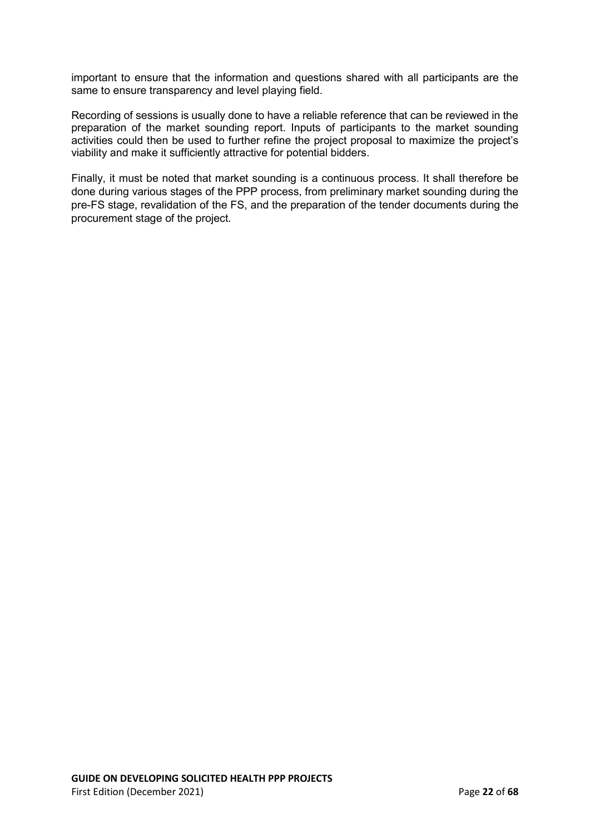important to ensure that the information and questions shared with all participants are the same to ensure transparency and level playing field.

Recording of sessions is usually done to have a reliable reference that can be reviewed in the preparation of the market sounding report. Inputs of participants to the market sounding activities could then be used to further refine the project proposal to maximize the project's viability and make it sufficiently attractive for potential bidders.

Finally, it must be noted that market sounding is a continuous process. It shall therefore be done during various stages of the PPP process, from preliminary market sounding during the pre-FS stage, revalidation of the FS, and the preparation of the tender documents during the procurement stage of the project.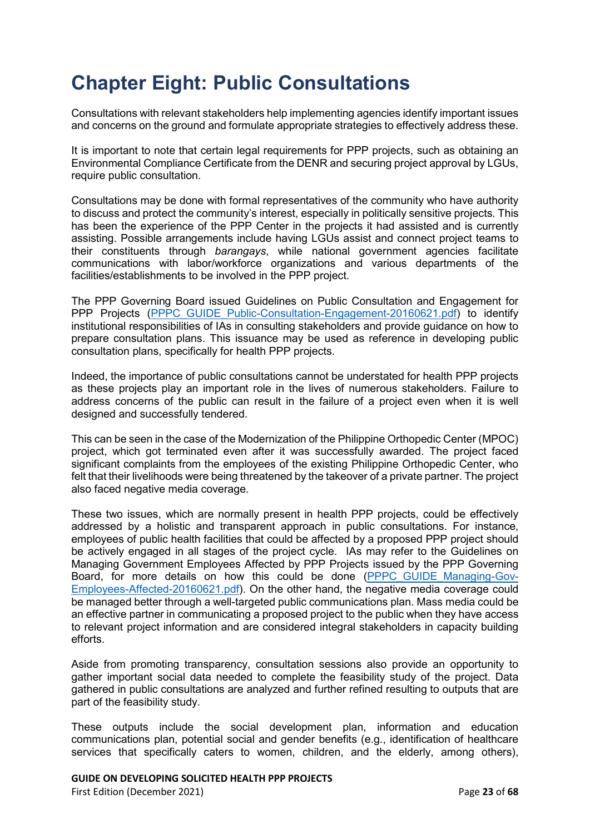## <span id="page-22-0"></span>**Chapter Eight: Public Consultations**

Consultations with relevant stakeholders help implementing agencies identify important issues and concerns on the ground and formulate appropriate strategies to effectively address these.

It is important to note that certain legal requirements for PPP projects, such as obtaining an Environmental Compliance Certificate from the DENR and securing project approval by LGUs, require public consultation.

Consultations may be done with formal representatives of the community who have authority to discuss and protect the community's interest, especially in politically sensitive projects. This has been the experience of the PPP Center in the projects it had assisted and is currently assisting. Possible arrangements include having LGUs assist and connect project teams to their constituents through *barangays*, while national government agencies facilitate communications with labor/workforce organizations and various departments of the facilities/establishments to be involved in the PPP project.

The PPP Governing Board issued Guidelines on Public Consultation and Engagement for PPP Projects (PPPC GUIDE Public-Consultation-Engagement-20160621.pdf) to identify institutional responsibilities of IAs in consulting stakeholders and provide guidance on how to prepare consultation plans. This issuance may be used as reference in developing public consultation plans, specifically for health PPP projects.

Indeed, the importance of public consultations cannot be understated for health PPP projects as these projects play an important role in the lives of numerous stakeholders. Failure to address concerns of the public can result in the failure of a project even when it is well designed and successfully tendered.

This can be seen in the case of the Modernization of the Philippine Orthopedic Center (MPOC) project, which got terminated even after it was successfully awarded. The project faced significant complaints from the employees of the existing Philippine Orthopedic Center, who felt that their livelihoods were being threatened by the takeover of a private partner. The project also faced negative media coverage.

These two issues, which are normally present in health PPP projects, could be effectively addressed by a holistic and transparent approach in public consultations. For instance, employees of public health facilities that could be affected by a proposed PPP project should be actively engaged in all stages of the project cycle. IAs may refer to the Guidelines on Managing Government Employees Affected by PPP Projects issued by the PPP Governing Board, for more details on how this could be done [\(PPPC\\_GUIDE\\_Managing-Gov-](https://ppp.gov.ph/wp-content/uploads/2018/07/PPPC_GUIDE_Managing-Gov-Employees-Affected-20160621.pdf)[Employees-Affected-20160621.pdf\)](https://ppp.gov.ph/wp-content/uploads/2018/07/PPPC_GUIDE_Managing-Gov-Employees-Affected-20160621.pdf). On the other hand, the negative media coverage could be managed better through a well-targeted public communications plan. Mass media could be an effective partner in communicating a proposed project to the public when they have access to relevant project information and are considered integral stakeholders in capacity building efforts.

Aside from promoting transparency, consultation sessions also provide an opportunity to gather important social data needed to complete the feasibility study of the project. Data gathered in public consultations are analyzed and further refined resulting to outputs that are part of the feasibility study.

These outputs include the social development plan, information and education communications plan, potential social and gender benefits (e.g., identification of healthcare services that specifically caters to women, children, and the elderly, among others),

```
GUIDE ON DEVELOPING SOLICITED HEALTH PPP PROJECTS
```
First Edition (December 2021) Page **23** of **68**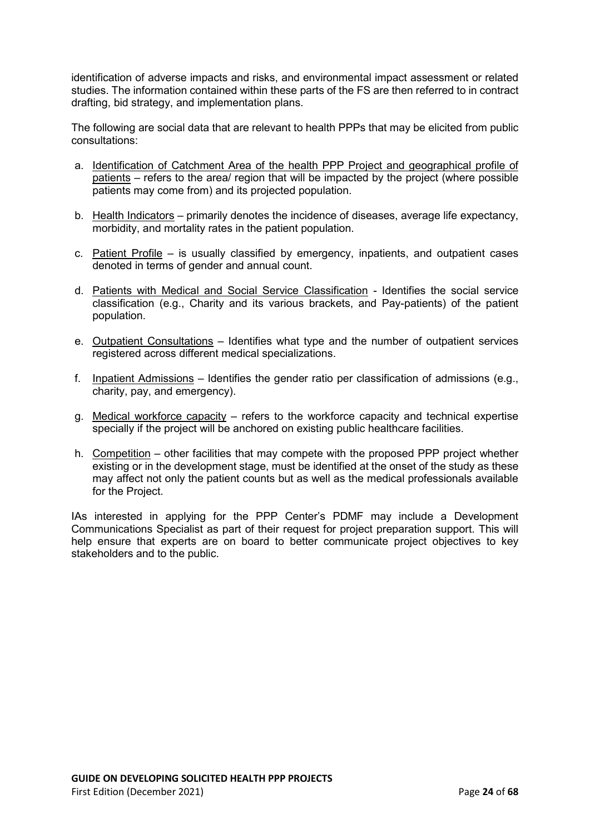identification of adverse impacts and risks, and environmental impact assessment or related studies. The information contained within these parts of the FS are then referred to in contract drafting, bid strategy, and implementation plans.

The following are social data that are relevant to health PPPs that may be elicited from public consultations:

- a. Identification of Catchment Area of the health PPP Project and geographical profile of patients – refers to the area/ region that will be impacted by the project (where possible patients may come from) and its projected population.
- b. Health Indicators primarily denotes the incidence of diseases, average life expectancy, morbidity, and mortality rates in the patient population.
- c. Patient Profile is usually classified by emergency, inpatients, and outpatient cases denoted in terms of gender and annual count.
- d. Patients with Medical and Social Service Classification Identifies the social service classification (e.g., Charity and its various brackets, and Pay-patients) of the patient population.
- e. Outpatient Consultations Identifies what type and the number of outpatient services registered across different medical specializations.
- f. Inpatient Admissions Identifies the gender ratio per classification of admissions (e.g., charity, pay, and emergency).
- g. Medical workforce capacity refers to the workforce capacity and technical expertise specially if the project will be anchored on existing public healthcare facilities.
- h. Competition other facilities that may compete with the proposed PPP project whether existing or in the development stage, must be identified at the onset of the study as these may affect not only the patient counts but as well as the medical professionals available for the Project.

IAs interested in applying for the PPP Center's PDMF may include a Development Communications Specialist as part of their request for project preparation support. This will help ensure that experts are on board to better communicate project objectives to key stakeholders and to the public.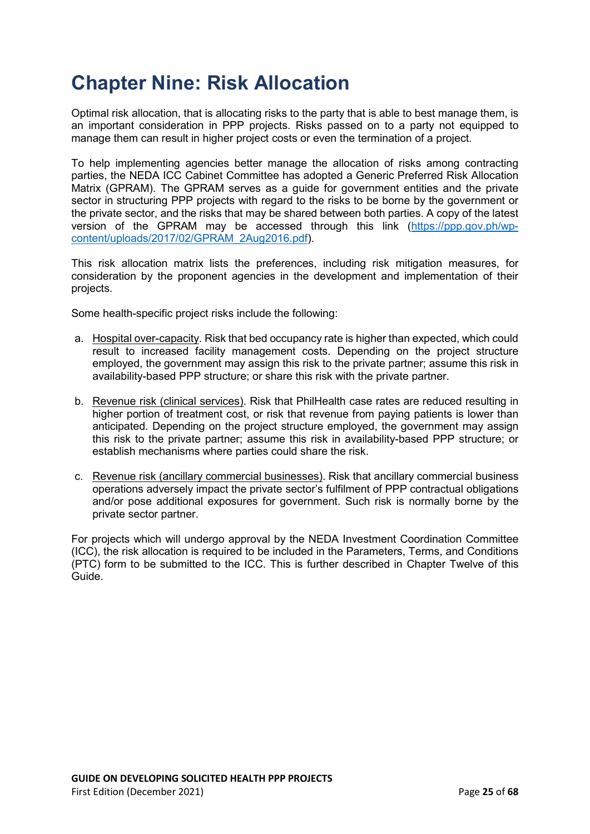### <span id="page-24-0"></span>**Chapter Nine: Risk Allocation**

Optimal risk allocation, that is allocating risks to the party that is able to best manage them, is an important consideration in PPP projects. Risks passed on to a party not equipped to manage them can result in higher project costs or even the termination of a project.

To help implementing agencies better manage the allocation of risks among contracting parties, the NEDA ICC Cabinet Committee has adopted a Generic Preferred Risk Allocation Matrix (GPRAM). The GPRAM serves as a guide for government entities and the private sector in structuring PPP projects with regard to the risks to be borne by the government or the private sector, and the risks that may be shared between both parties. A copy of the latest version of the GPRAM may be accessed through this link [\(https://ppp.gov.ph/wp](https://ppp.gov.ph/wp-content/uploads/2017/02/GPRAM_2Aug2016.pdf)[content/uploads/2017/02/GPRAM\\_2Aug2016.pdf\)](https://ppp.gov.ph/wp-content/uploads/2017/02/GPRAM_2Aug2016.pdf).

This risk allocation matrix lists the preferences, including risk mitigation measures, for consideration by the proponent agencies in the development and implementation of their projects.

Some health-specific project risks include the following:

- a. Hospital over-capacity*.* Risk that bed occupancy rate is higher than expected, which could result to increased facility management costs. Depending on the project structure employed, the government may assign this risk to the private partner; assume this risk in availability-based PPP structure; or share this risk with the private partner.
- b. Revenue risk (clinical services). Risk that PhilHealth case rates are reduced resulting in higher portion of treatment cost, or risk that revenue from paying patients is lower than anticipated. Depending on the project structure employed, the government may assign this risk to the private partner; assume this risk in availability-based PPP structure; or establish mechanisms where parties could share the risk.
- c. Revenue risk (ancillary commercial businesses). Risk that ancillary commercial business operations adversely impact the private sector's fulfilment of PPP contractual obligations and/or pose additional exposures for government. Such risk is normally borne by the private sector partner.

For projects which will undergo approval by the NEDA Investment Coordination Committee (ICC), the risk allocation is required to be included in the Parameters, Terms, and Conditions (PTC) form to be submitted to the ICC. This is further described in Chapter Twelve of this Guide.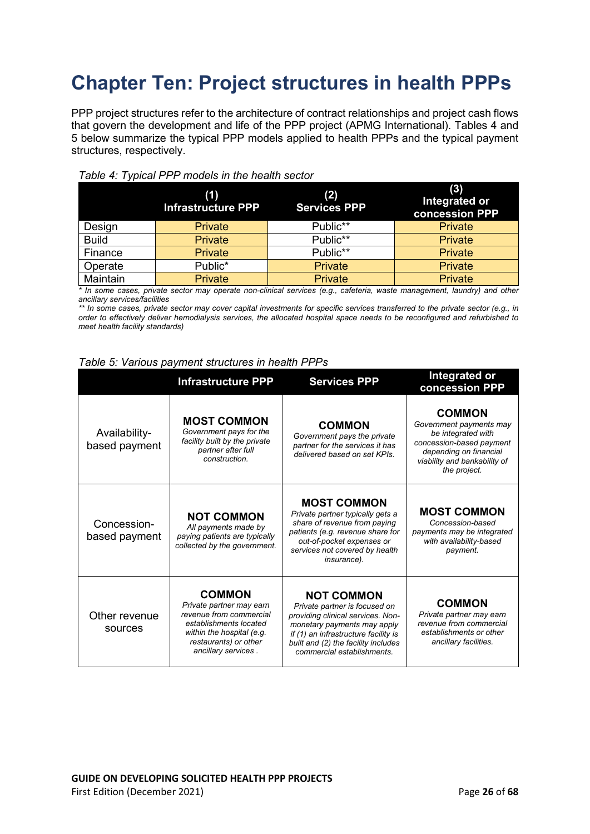## <span id="page-25-0"></span>**Chapter Ten: Project structures in health PPPs**

PPP project structures refer to the architecture of contract relationships and project cash flows that govern the development and life of the PPP project (APMG International). Tables 4 and 5 below summarize the typical PPP models applied to health PPPs and the typical payment structures, respectively.

|              | (1)<br><b>Infrastructure PPP</b> | (2)<br><b>Services PPP</b> | (3)<br>Integrated or<br>concession PPP |
|--------------|----------------------------------|----------------------------|----------------------------------------|
| Design       | <b>Private</b>                   | Public**                   | <b>Private</b>                         |
| <b>Build</b> | <b>Private</b>                   | Public**                   | Private                                |
| Finance      | <b>Private</b>                   | Public**                   | Private                                |
| Operate      | Public*                          | <b>Private</b>             | <b>Private</b>                         |
| Maintain     | <b>Private</b>                   | <b>Private</b>             | <b>Private</b>                         |



*\* In some cases, private sector may operate non-clinical services (e.g., cafeteria, waste management, laundry) and other ancillary services/facilities*

*\*\* In some cases, private sector may cover capital investments for specific services transferred to the private sector (e.g., in order to effectively deliver hemodialysis services, the allocated hospital space needs to be reconfigured and refurbished to meet health facility standards)*

| Table 5: Various payment structures in health PPPs |
|----------------------------------------------------|
|----------------------------------------------------|

|                                | <b>Infrastructure PPP</b>                                                                                                                                                   | <b>Services PPP</b>                                                                                                                                                                                                                 | Integrated or<br>concession PPP                                                                                                                                      |
|--------------------------------|-----------------------------------------------------------------------------------------------------------------------------------------------------------------------------|-------------------------------------------------------------------------------------------------------------------------------------------------------------------------------------------------------------------------------------|----------------------------------------------------------------------------------------------------------------------------------------------------------------------|
| Availability-<br>based payment | <b>MOST COMMON</b><br>Government pays for the<br>facility built by the private<br>partner after full<br>construction.                                                       | <b>COMMON</b><br>Government pays the private<br>partner for the services it has<br>delivered based on set KPIs.                                                                                                                     | <b>COMMON</b><br>Government payments may<br>be integrated with<br>concession-based payment<br>depending on financial<br>viability and bankability of<br>the project. |
| Concession-<br>based payment   | <b>NOT COMMON</b><br>All payments made by<br>paying patients are typically<br>collected by the government.                                                                  | <b>MOST COMMON</b><br>Private partner typically gets a<br>share of revenue from paying<br>patients (e.g. revenue share for<br>out-of-pocket expenses or<br>services not covered by health<br><i>insurance</i> ).                    | <b>MOST COMMON</b><br>Concession-based<br>payments may be integrated<br>with availability-based<br>payment.                                                          |
| Other revenue<br>sources       | <b>COMMON</b><br>Private partner may earn<br>revenue from commercial<br>establishments located<br>within the hospital (e.g.<br>restaurants) or other<br>ancillary services. | <b>NOT COMMON</b><br>Private partner is focused on<br>providing clinical services. Non-<br>monetary payments may apply<br>if (1) an infrastructure facility is<br>built and (2) the facility includes<br>commercial establishments. | <b>COMMON</b><br>Private partner may earn<br>revenue from commercial<br>establishments or other<br>ancillary facilities.                                             |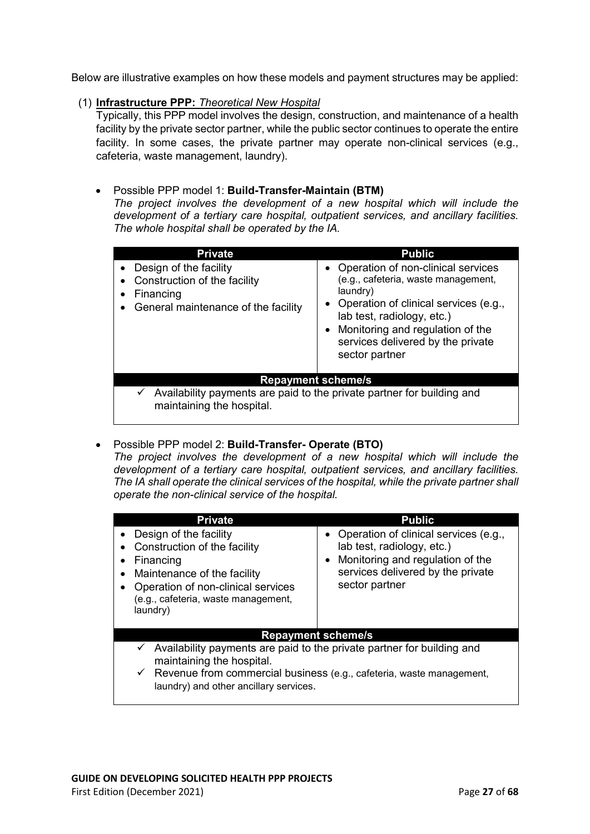Below are illustrative examples on how these models and payment structures may be applied:

#### (1) **Infrastructure PPP:** *Theoretical New Hospital*

Typically, this PPP model involves the design, construction, and maintenance of a health facility by the private sector partner, while the public sector continues to operate the entire facility. In some cases, the private partner may operate non-clinical services (e.g., cafeteria, waste management, laundry).

### • Possible PPP model 1: **Build-Transfer-Maintain (BTM)**

*The project involves the development of a new hospital which will include the development of a tertiary care hospital, outpatient services, and ancillary facilities. The whole hospital shall be operated by the IA.* 

| <b>Private</b>                                                                                             | <b>Public</b>                                                                                                                                                                                                                                                   |
|------------------------------------------------------------------------------------------------------------|-----------------------------------------------------------------------------------------------------------------------------------------------------------------------------------------------------------------------------------------------------------------|
| Design of the facility<br>Construction of the facility<br>Financing<br>General maintenance of the facility | • Operation of non-clinical services<br>(e.g., cafeteria, waste management,<br>$l$ aundry<br>• Operation of clinical services (e.g.,<br>lab test, radiology, etc.)<br>• Monitoring and regulation of the<br>services delivered by the private<br>sector partner |
| <b>Repayment scheme/s</b>                                                                                  |                                                                                                                                                                                                                                                                 |
| maintaining the hospital.                                                                                  | Availability payments are paid to the private partner for building and                                                                                                                                                                                          |

### • Possible PPP model 2: **Build-Transfer- Operate (BTO)**

*The project involves the development of a new hospital which will include the development of a tertiary care hospital, outpatient services, and ancillary facilities. The IA shall operate the clinical services of the hospital, while the private partner shall operate the non-clinical service of the hospital.* 

| <b>Private</b>                                                                                                                                                                                                                                  | <b>Public</b>                                                                                                                                                      |
|-------------------------------------------------------------------------------------------------------------------------------------------------------------------------------------------------------------------------------------------------|--------------------------------------------------------------------------------------------------------------------------------------------------------------------|
| Design of the facility<br>Construction of the facility<br>Financing<br>Maintenance of the facility<br>Operation of non-clinical services<br>(e.g., cafeteria, waste management,<br>laundry)                                                     | • Operation of clinical services (e.g.,<br>lab test, radiology, etc.)<br>• Monitoring and regulation of the<br>services delivered by the private<br>sector partner |
| <b>Repayment scheme/s</b>                                                                                                                                                                                                                       |                                                                                                                                                                    |
| $\checkmark$ Availability payments are paid to the private partner for building and<br>maintaining the hospital.<br>$\checkmark$ Revenue from commercial business (e.g., cafeteria, waste management,<br>laundry) and other ancillary services. |                                                                                                                                                                    |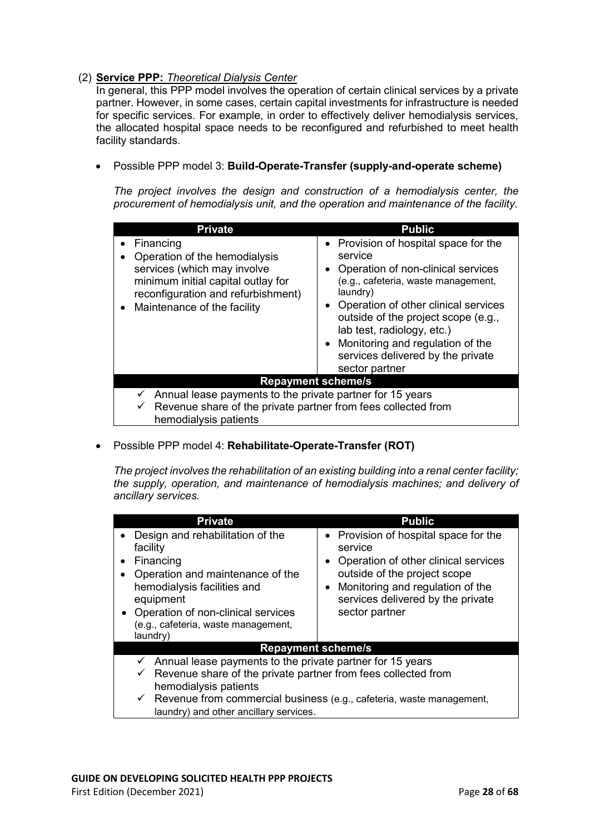### (2) **Service PPP:** *Theoretical Dialysis Center*

In general, this PPP model involves the operation of certain clinical services by a private partner. However, in some cases, certain capital investments for infrastructure is needed for specific services. For example, in order to effectively deliver hemodialysis services, the allocated hospital space needs to be reconfigured and refurbished to meet health facility standards.

### • Possible PPP model 3: **Build-Operate-Transfer (supply-and-operate scheme)**

*The project involves the design and construction of a hemodialysis center, the procurement of hemodialysis unit, and the operation and maintenance of the facility.* 

| <b>Private</b>                                                                                                                                                                                    | <b>Public</b>                                                                                                                                                                                                                                                                                                                                           |
|---------------------------------------------------------------------------------------------------------------------------------------------------------------------------------------------------|---------------------------------------------------------------------------------------------------------------------------------------------------------------------------------------------------------------------------------------------------------------------------------------------------------------------------------------------------------|
| Financing<br>Operation of the hemodialysis<br>services (which may involve<br>minimum initial capital outlay for<br>reconfiguration and refurbishment)<br>Maintenance of the facility<br>$\bullet$ | • Provision of hospital space for the<br>service<br>• Operation of non-clinical services<br>(e.g., cafeteria, waste management,<br>laundry)<br>• Operation of other clinical services<br>outside of the project scope (e.g.,<br>lab test, radiology, etc.)<br>• Monitoring and regulation of the<br>services delivered by the private<br>sector partner |
| <b>Repayment scheme/s</b>                                                                                                                                                                         |                                                                                                                                                                                                                                                                                                                                                         |
| Annual lease payments to the private partner for 15 years<br>Revenue share of the private partner from fees collected from<br>$\checkmark$<br>hemodialysis patients                               |                                                                                                                                                                                                                                                                                                                                                         |

### • Possible PPP model 4: **Rehabilitate-Operate-Transfer (ROT)**

*The project involves the rehabilitation of an existing building into a renal center facility; the supply, operation, and maintenance of hemodialysis machines; and delivery of ancillary services.* 

| <b>Private</b>                                                                                                                                                                                                                                                                                               | <b>Public</b>                                                                                                                                                                                                           |  |  |  |  |  |
|--------------------------------------------------------------------------------------------------------------------------------------------------------------------------------------------------------------------------------------------------------------------------------------------------------------|-------------------------------------------------------------------------------------------------------------------------------------------------------------------------------------------------------------------------|--|--|--|--|--|
| Design and rehabilitation of the<br>facility<br>Financing<br>Operation and maintenance of the<br>hemodialysis facilities and<br>equipment<br>Operation of non-clinical services<br>(e.g., cafeteria, waste management,<br>laundry)                                                                           | • Provision of hospital space for the<br>service<br>• Operation of other clinical services<br>outside of the project scope<br>• Monitoring and regulation of the<br>services delivered by the private<br>sector partner |  |  |  |  |  |
| <b>Repayment scheme/s</b>                                                                                                                                                                                                                                                                                    |                                                                                                                                                                                                                         |  |  |  |  |  |
| $\checkmark$ Annual lease payments to the private partner for 15 years<br>$\checkmark$ Revenue share of the private partner from fees collected from<br>hemodialysis patients<br>$\checkmark$ Revenue from commercial business (e.g., cafeteria, waste management,<br>laundry) and other ancillary services. |                                                                                                                                                                                                                         |  |  |  |  |  |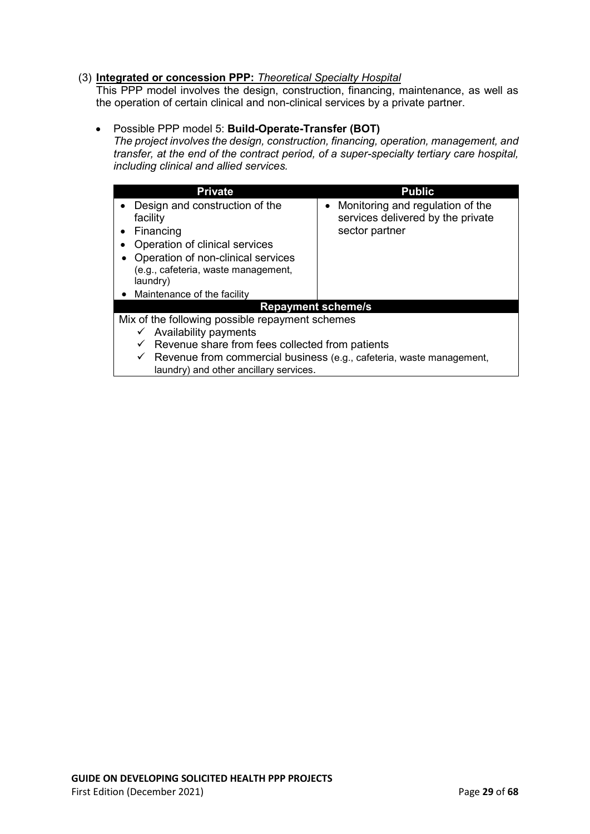### (3) **Integrated or concession PPP:** *Theoretical Specialty Hospital*

This PPP model involves the design, construction, financing, maintenance, as well as the operation of certain clinical and non-clinical services by a private partner.

#### • Possible PPP model 5: **Build-Operate-Transfer (BOT)**

*The project involves the design, construction, financing, operation, management, and transfer, at the end of the contract period, of a super-specialty tertiary care hospital, including clinical and allied services.* 

| <b>Private</b>                                                                                                                                                                                    | <b>Public</b>                                                                             |  |  |  |
|---------------------------------------------------------------------------------------------------------------------------------------------------------------------------------------------------|-------------------------------------------------------------------------------------------|--|--|--|
| Design and construction of the<br>facility<br>Financing<br>Operation of clinical services<br>Operation of non-clinical services<br>(e.g., cafeteria, waste management,<br>laundry)                | • Monitoring and regulation of the<br>services delivered by the private<br>sector partner |  |  |  |
| Maintenance of the facility                                                                                                                                                                       |                                                                                           |  |  |  |
| <b>Repayment scheme/s</b>                                                                                                                                                                         |                                                                                           |  |  |  |
| Mix of the following possible repayment schemes<br>Availability payments<br>$\checkmark$                                                                                                          |                                                                                           |  |  |  |
| Revenue share from fees collected from patients<br>$\checkmark$<br>Revenue from commercial business (e.g., cafeteria, waste management,<br>$\checkmark$<br>laundry) and other ancillary services. |                                                                                           |  |  |  |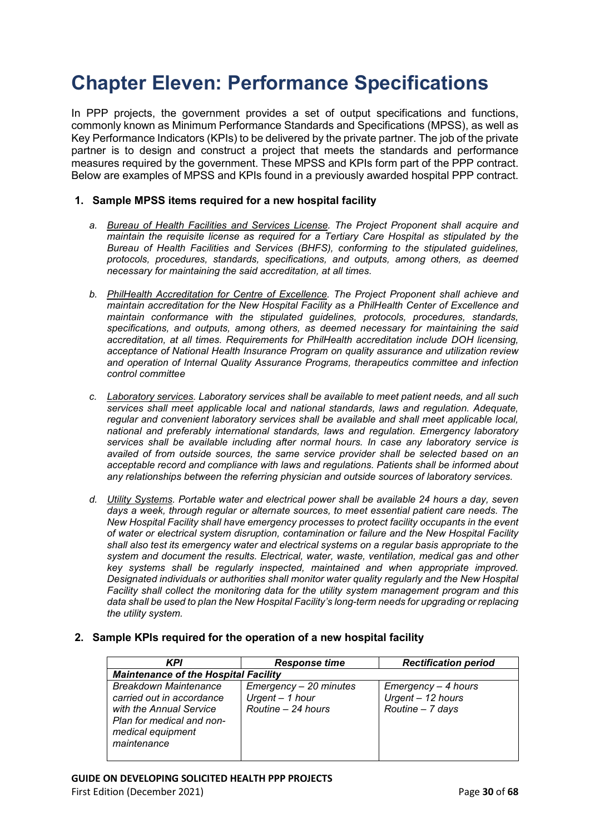### <span id="page-29-0"></span>**Chapter Eleven: Performance Specifications**

In PPP projects, the government provides a set of output specifications and functions, commonly known as Minimum Performance Standards and Specifications (MPSS), as well as Key Performance Indicators (KPIs) to be delivered by the private partner. The job of the private partner is to design and construct a project that meets the standards and performance measures required by the government. These MPSS and KPIs form part of the PPP contract. Below are examples of MPSS and KPIs found in a previously awarded hospital PPP contract.

#### **1. Sample MPSS items required for a new hospital facility**

- *a. Bureau of Health Facilities and Services License. The Project Proponent shall acquire and maintain the requisite license as required for a Tertiary Care Hospital as stipulated by the Bureau of Health Facilities and Services (BHFS), conforming to the stipulated guidelines, protocols, procedures, standards, specifications, and outputs, among others, as deemed necessary for maintaining the said accreditation, at all times.*
- *b. PhilHealth Accreditation for Centre of Excellence. The Project Proponent shall achieve and maintain accreditation for the New Hospital Facility as a PhilHealth Center of Excellence and maintain conformance with the stipulated guidelines, protocols, procedures, standards, specifications, and outputs, among others, as deemed necessary for maintaining the said accreditation, at all times. Requirements for PhilHealth accreditation include DOH licensing, acceptance of National Health Insurance Program on quality assurance and utilization review and operation of Internal Quality Assurance Programs, therapeutics committee and infection control committee*
- *c. Laboratory services. Laboratory services shall be available to meet patient needs, and all such services shall meet applicable local and national standards, laws and regulation. Adequate, regular and convenient laboratory services shall be available and shall meet applicable local, national and preferably international standards, laws and regulation. Emergency laboratory services shall be available including after normal hours. In case any laboratory service is availed of from outside sources, the same service provider shall be selected based on an acceptable record and compliance with laws and regulations. Patients shall be informed about any relationships between the referring physician and outside sources of laboratory services.*
- *d. Utility Systems. Portable water and electrical power shall be available 24 hours a day, seven days a week, through regular or alternate sources, to meet essential patient care needs. The New Hospital Facility shall have emergency processes to protect facility occupants in the event of water or electrical system disruption, contamination or failure and the New Hospital Facility shall also test its emergency water and electrical systems on a regular basis appropriate to the system and document the results. Electrical, water, waste, ventilation, medical gas and other key systems shall be regularly inspected, maintained and when appropriate improved. Designated individuals or authorities shall monitor water quality regularly and the New Hospital Facility shall collect the monitoring data for the utility system management program and this data shall be used to plan the New Hospital Facility's long-term needs for upgrading or replacing the utility system.*

#### **2. Sample KPIs required for the operation of a new hospital facility**

| <b>KPI</b>                                                                                                                                     | <b>Response time</b>                                            | <b>Rectification period</b>                                  |  |  |  |  |
|------------------------------------------------------------------------------------------------------------------------------------------------|-----------------------------------------------------------------|--------------------------------------------------------------|--|--|--|--|
|                                                                                                                                                | <b>Maintenance of the Hospital Facility</b>                     |                                                              |  |  |  |  |
| Breakdown Maintenance<br>carried out in accordance<br>with the Annual Service<br>Plan for medical and non-<br>medical equipment<br>maintenance | Emergency - 20 minutes<br>Urgent - 1 hour<br>Routine - 24 hours | Emergency – 4 hours<br>Urgent - 12 hours<br>Routine - 7 days |  |  |  |  |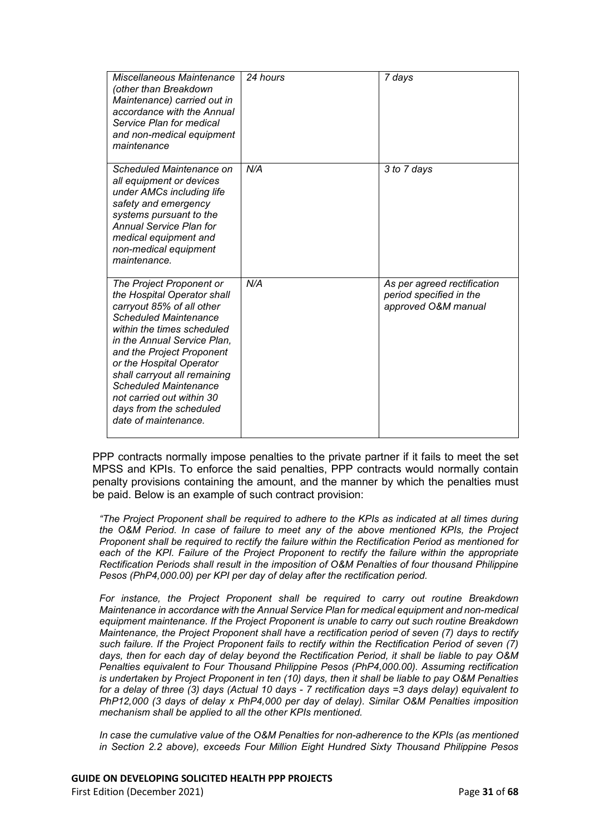| Miscellaneous Maintenance<br>(other than Breakdown<br>Maintenance) carried out in<br>accordance with the Annual<br>Service Plan for medical<br>and non-medical equipment<br>maintenance                                                                                                                                                                                                    | 24 hours | 7 days                                                                        |
|--------------------------------------------------------------------------------------------------------------------------------------------------------------------------------------------------------------------------------------------------------------------------------------------------------------------------------------------------------------------------------------------|----------|-------------------------------------------------------------------------------|
| Scheduled Maintenance on<br>all equipment or devices<br>under AMCs including life<br>safety and emergency<br>systems pursuant to the<br><b>Annual Service Plan for</b><br>medical equipment and<br>non-medical equipment<br>maintenance.                                                                                                                                                   | N/A      | 3 to 7 days                                                                   |
| The Project Proponent or<br>the Hospital Operator shall<br>carryout 85% of all other<br><b>Scheduled Maintenance</b><br>within the times scheduled<br>in the Annual Service Plan.<br>and the Project Proponent<br>or the Hospital Operator<br>shall carryout all remaining<br><b>Scheduled Maintenance</b><br>not carried out within 30<br>days from the scheduled<br>date of maintenance. | N/A      | As per agreed rectification<br>period specified in the<br>approved O&M manual |

PPP contracts normally impose penalties to the private partner if it fails to meet the set MPSS and KPIs. To enforce the said penalties, PPP contracts would normally contain penalty provisions containing the amount, and the manner by which the penalties must be paid. Below is an example of such contract provision:

*"The Project Proponent shall be required to adhere to the KPIs as indicated at all times during the O&M Period. In case of failure to meet any of the above mentioned KPIs, the Project Proponent shall be required to rectify the failure within the Rectification Period as mentioned for each of the KPI. Failure of the Project Proponent to rectify the failure within the appropriate Rectification Periods shall result in the imposition of O&M Penalties of four thousand Philippine Pesos (PhP4,000.00) per KPI per day of delay after the rectification period.* 

*For instance, the Project Proponent shall be required to carry out routine Breakdown Maintenance in accordance with the Annual Service Plan for medical equipment and non-medical equipment maintenance. If the Project Proponent is unable to carry out such routine Breakdown Maintenance, the Project Proponent shall have a rectification period of seven (7) days to rectify such failure. If the Project Proponent fails to rectify within the Rectification Period of seven (7) days, then for each day of delay beyond the Rectification Period, it shall be liable to pay O&M Penalties equivalent to Four Thousand Philippine Pesos (PhP4,000.00). Assuming rectification is undertaken by Project Proponent in ten (10) days, then it shall be liable to pay O&M Penalties for a delay of three (3) days (Actual 10 days - 7 rectification days =3 days delay) equivalent to PhP12,000 (3 days of delay x PhP4,000 per day of delay). Similar O&M Penalties imposition mechanism shall be applied to all the other KPIs mentioned.*

*In case the cumulative value of the O&M Penalties for non-adherence to the KPIs (as mentioned in Section 2.2 above), exceeds Four Million Eight Hundred Sixty Thousand Philippine Pesos* 

First Edition (December 2021) **Page 31** of **68**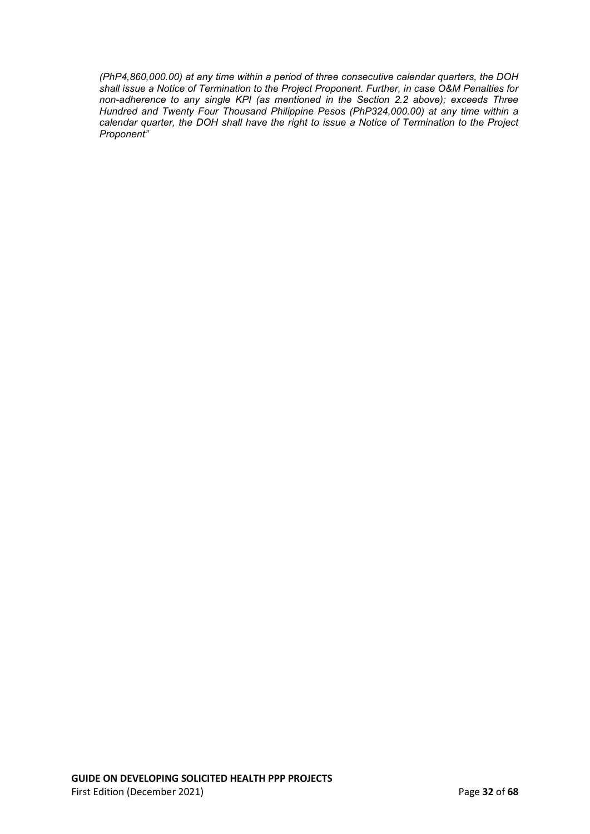*(PhP4,860,000.00) at any time within a period of three consecutive calendar quarters, the DOH shall issue a Notice of Termination to the Project Proponent. Further, in case O&M Penalties for non-adherence to any single KPI (as mentioned in the Section 2.2 above); exceeds Three Hundred and Twenty Four Thousand Philippine Pesos (PhP324,000.00) at any time within a calendar quarter, the DOH shall have the right to issue a Notice of Termination to the Project Proponent"*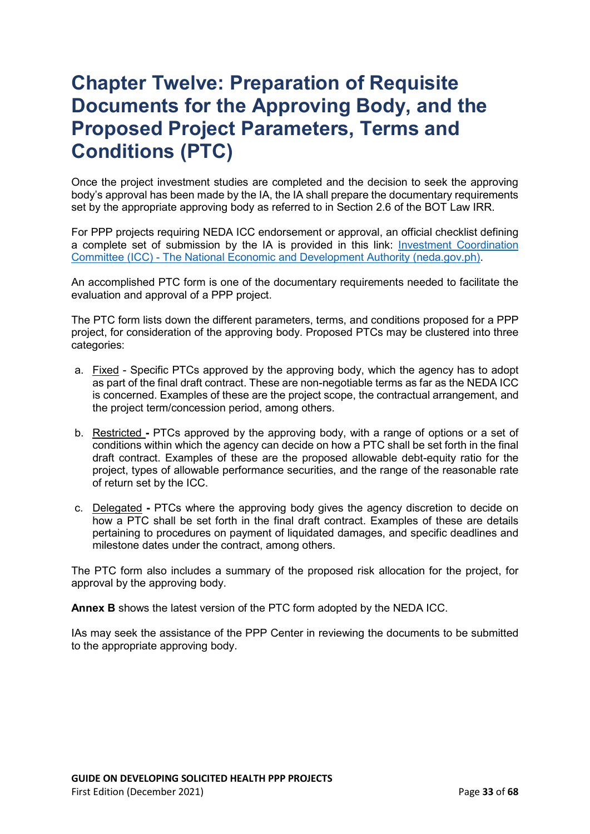### <span id="page-32-0"></span>**Chapter Twelve: Preparation of Requisite Documents for the Approving Body, and the Proposed Project Parameters, Terms and Conditions (PTC)**

Once the project investment studies are completed and the decision to seek the approving body's approval has been made by the IA, the IA shall prepare the documentary requirements set by the appropriate approving body as referred to in Section 2.6 of the BOT Law IRR.

For PPP projects requiring NEDA ICC endorsement or approval, an official checklist defining a complete set of submission by the IA is provided in this link: [Investment Coordination](https://neda.gov.ph/investment-coordination-committee/)  Committee (ICC) - [The National Economic and Development Authority \(neda.gov.ph\).](https://neda.gov.ph/investment-coordination-committee/)

An accomplished PTC form is one of the documentary requirements needed to facilitate the evaluation and approval of a PPP project.

The PTC form lists down the different parameters, terms, and conditions proposed for a PPP project, for consideration of the approving body. Proposed PTCs may be clustered into three categories:

- a. Fixed Specific PTCs approved by the approving body, which the agency has to adopt as part of the final draft contract. These are non-negotiable terms as far as the NEDA ICC is concerned. Examples of these are the project scope, the contractual arrangement, and the project term/concession period, among others.
- b. Restricted **-** PTCs approved by the approving body, with a range of options or a set of conditions within which the agency can decide on how a PTC shall be set forth in the final draft contract. Examples of these are the proposed allowable debt-equity ratio for the project, types of allowable performance securities, and the range of the reasonable rate of return set by the ICC.
- c. Delegated **-** PTCs where the approving body gives the agency discretion to decide on how a PTC shall be set forth in the final draft contract. Examples of these are details pertaining to procedures on payment of liquidated damages, and specific deadlines and milestone dates under the contract, among others.

The PTC form also includes a summary of the proposed risk allocation for the project, for approval by the approving body.

**Annex B** shows the latest version of the PTC form adopted by the NEDA ICC.

IAs may seek the assistance of the PPP Center in reviewing the documents to be submitted to the appropriate approving body.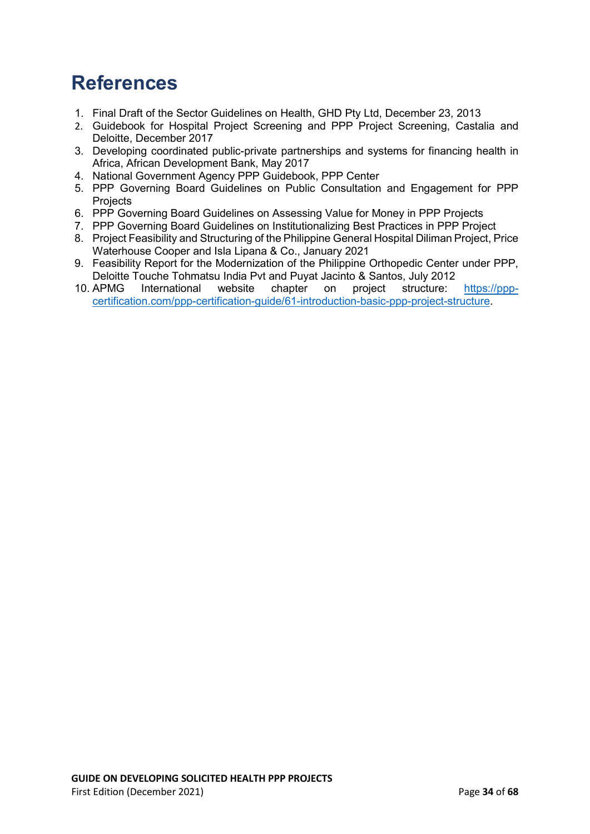### <span id="page-33-0"></span>**References**

- 1. Final Draft of the Sector Guidelines on Health, GHD Pty Ltd, December 23, 2013
- 2. Guidebook for Hospital Project Screening and PPP Project Screening, Castalia and Deloitte, December 2017
- 3. Developing coordinated public-private partnerships and systems for financing health in Africa, African Development Bank, May 2017
- 4. National Government Agency PPP Guidebook, PPP Center
- 5. PPP Governing Board Guidelines on Public Consultation and Engagement for PPP Projects
- 6. PPP Governing Board Guidelines on Assessing Value for Money in PPP Projects
- 7. PPP Governing Board Guidelines on Institutionalizing Best Practices in PPP Project
- 8. Project Feasibility and Structuring of the Philippine General Hospital Diliman Project, Price Waterhouse Cooper and Isla Lipana & Co., January 2021
- 9. Feasibility Report for the Modernization of the Philippine Orthopedic Center under PPP, Deloitte Touche Tohmatsu India Pvt and Puyat Jacinto & Santos, July 2012<br>APMG International website chapter on project structure:
- 10. APMG International website chapter on project structure: [https://ppp](https://ppp-certification.com/ppp-certification-guide/61-introduction-basic-ppp-project-structure)[certification.com/ppp-certification-guide/61-introduction-basic-ppp-project-structure.](https://ppp-certification.com/ppp-certification-guide/61-introduction-basic-ppp-project-structure)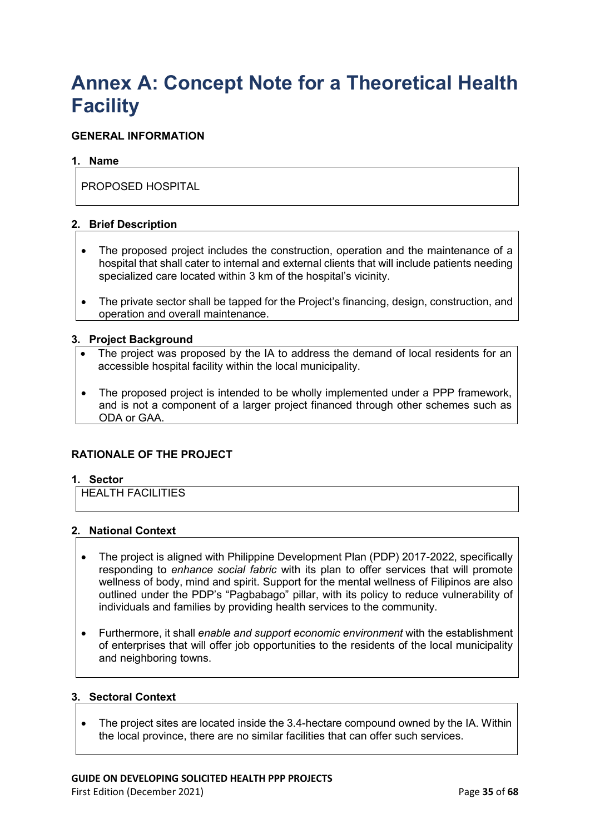### <span id="page-34-0"></span>**Annex A: Concept Note for a Theoretical Health Facility**

### **GENERAL INFORMATION**

### **1. Name**

PROPOSED HOSPITAL

### **2. Brief Description**

- The proposed project includes the construction, operation and the maintenance of a hospital that shall cater to internal and external clients that will include patients needing specialized care located within 3 km of the hospital's vicinity.
- The private sector shall be tapped for the Project's financing, design, construction, and operation and overall maintenance.

### **3. Project Background**

- The project was proposed by the IA to address the demand of local residents for an accessible hospital facility within the local municipality.
- The proposed project is intended to be wholly implemented under a PPP framework, and is not a component of a larger project financed through other schemes such as ODA or GAA.

### **RATIONALE OF THE PROJECT**

### **1. Sector**

HEALTH FACILITIES

### **2. National Context**

- The project is aligned with Philippine Development Plan (PDP) 2017-2022, specifically responding to *enhance social fabric* with its plan to offer services that will promote wellness of body, mind and spirit. Support for the mental wellness of Filipinos are also outlined under the PDP's "Pagbabago" pillar, with its policy to reduce vulnerability of individuals and families by providing health services to the community.
- Furthermore, it shall *enable and support economic environment* with the establishment of enterprises that will offer job opportunities to the residents of the local municipality and neighboring towns.

#### **3. Sectoral Context**

• The project sites are located inside the 3.4-hectare compound owned by the IA. Within the local province, there are no similar facilities that can offer such services.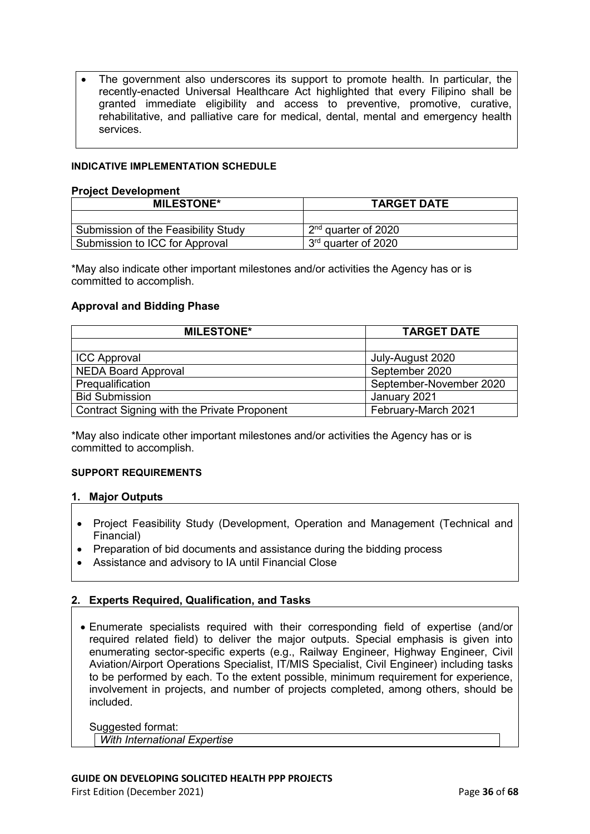The government also underscores its support to promote health. In particular, the recently-enacted Universal Healthcare Act highlighted that every Filipino shall be granted immediate eligibility and access to preventive, promotive, curative, rehabilitative, and palliative care for medical, dental, mental and emergency health services.

#### **INDICATIVE IMPLEMENTATION SCHEDULE**

#### **Project Development**

| <b>MILESTONE*</b>                   | <b>TARGET DATE</b>              |  |  |
|-------------------------------------|---------------------------------|--|--|
|                                     |                                 |  |  |
| Submission of the Feasibility Study | $2nd$ quarter of 2020           |  |  |
| Submission to ICC for Approval      | 3 <sup>rd</sup> quarter of 2020 |  |  |

\*May also indicate other important milestones and/or activities the Agency has or is committed to accomplish.

### **Approval and Bidding Phase**

| <b>MILESTONE*</b>                           | <b>TARGET DATE</b>      |  |  |
|---------------------------------------------|-------------------------|--|--|
|                                             |                         |  |  |
| <b>ICC Approval</b>                         | July-August 2020        |  |  |
| <b>NEDA Board Approval</b>                  | September 2020          |  |  |
| Prequalification                            | September-November 2020 |  |  |
| <b>Bid Submission</b>                       | January 2021            |  |  |
| Contract Signing with the Private Proponent | February-March 2021     |  |  |

\*May also indicate other important milestones and/or activities the Agency has or is committed to accomplish.

#### **SUPPORT REQUIREMENTS**

#### **1. Major Outputs**

- Project Feasibility Study (Development, Operation and Management (Technical and Financial)
- Preparation of bid documents and assistance during the bidding process
- Assistance and advisory to IA until Financial Close

### **2. Experts Required, Qualification, and Tasks**

• Enumerate specialists required with their corresponding field of expertise (and/or required related field) to deliver the major outputs. Special emphasis is given into enumerating sector-specific experts (e.g., Railway Engineer, Highway Engineer, Civil Aviation/Airport Operations Specialist, IT/MIS Specialist, Civil Engineer) including tasks to be performed by each. To the extent possible, minimum requirement for experience, involvement in projects, and number of projects completed, among others, should be included.

Suggested format: *With International Expertise*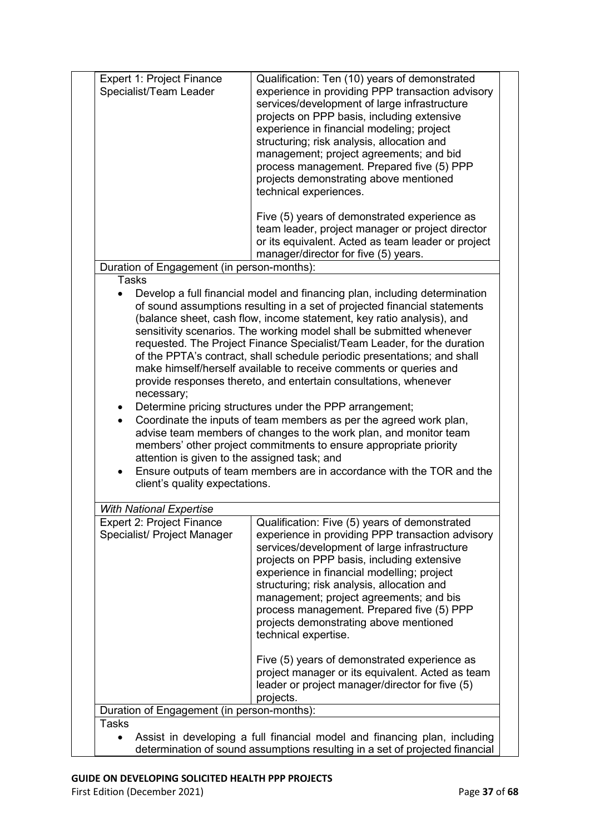| Expert 1: Project Finance<br>Specialist/Team Leader                                                       | Qualification: Ten (10) years of demonstrated<br>experience in providing PPP transaction advisory<br>services/development of large infrastructure<br>projects on PPP basis, including extensive<br>experience in financial modeling; project<br>structuring; risk analysis, allocation and<br>management; project agreements; and bid<br>process management. Prepared five (5) PPP<br>projects demonstrating above mentioned<br>technical experiences.                                                                                                                                                                                                                                                                                                                                                                                                                         |
|-----------------------------------------------------------------------------------------------------------|--------------------------------------------------------------------------------------------------------------------------------------------------------------------------------------------------------------------------------------------------------------------------------------------------------------------------------------------------------------------------------------------------------------------------------------------------------------------------------------------------------------------------------------------------------------------------------------------------------------------------------------------------------------------------------------------------------------------------------------------------------------------------------------------------------------------------------------------------------------------------------|
|                                                                                                           | Five (5) years of demonstrated experience as<br>team leader, project manager or project director<br>or its equivalent. Acted as team leader or project<br>manager/director for five (5) years.                                                                                                                                                                                                                                                                                                                                                                                                                                                                                                                                                                                                                                                                                 |
| Duration of Engagement (in person-months):<br><b>Tasks</b>                                                |                                                                                                                                                                                                                                                                                                                                                                                                                                                                                                                                                                                                                                                                                                                                                                                                                                                                                |
| necessary;<br>$\bullet$<br>attention is given to the assigned task; and<br>client's quality expectations. | of sound assumptions resulting in a set of projected financial statements<br>(balance sheet, cash flow, income statement, key ratio analysis), and<br>sensitivity scenarios. The working model shall be submitted whenever<br>requested. The Project Finance Specialist/Team Leader, for the duration<br>of the PPTA's contract, shall schedule periodic presentations; and shall<br>make himself/herself available to receive comments or queries and<br>provide responses thereto, and entertain consultations, whenever<br>Determine pricing structures under the PPP arrangement;<br>Coordinate the inputs of team members as per the agreed work plan,<br>advise team members of changes to the work plan, and monitor team<br>members' other project commitments to ensure appropriate priority<br>Ensure outputs of team members are in accordance with the TOR and the |
|                                                                                                           |                                                                                                                                                                                                                                                                                                                                                                                                                                                                                                                                                                                                                                                                                                                                                                                                                                                                                |
| <b>With National Expertise</b><br><b>Expert 2: Project Finance</b><br>Specialist/ Project Manager         | Qualification: Five (5) years of demonstrated<br>experience in providing PPP transaction advisory<br>services/development of large infrastructure<br>projects on PPP basis, including extensive<br>experience in financial modelling; project<br>structuring; risk analysis, allocation and<br>management; project agreements; and bis<br>process management. Prepared five (5) PPP<br>projects demonstrating above mentioned<br>technical expertise.                                                                                                                                                                                                                                                                                                                                                                                                                          |
|                                                                                                           | Five (5) years of demonstrated experience as<br>project manager or its equivalent. Acted as team<br>leader or project manager/director for five (5)<br>projects.                                                                                                                                                                                                                                                                                                                                                                                                                                                                                                                                                                                                                                                                                                               |
| Duration of Engagement (in person-months):                                                                |                                                                                                                                                                                                                                                                                                                                                                                                                                                                                                                                                                                                                                                                                                                                                                                                                                                                                |
| <b>Tasks</b>                                                                                              | Assist in developing a full financial model and financing plan, including<br>determination of sound assumptions resulting in a set of projected financial                                                                                                                                                                                                                                                                                                                                                                                                                                                                                                                                                                                                                                                                                                                      |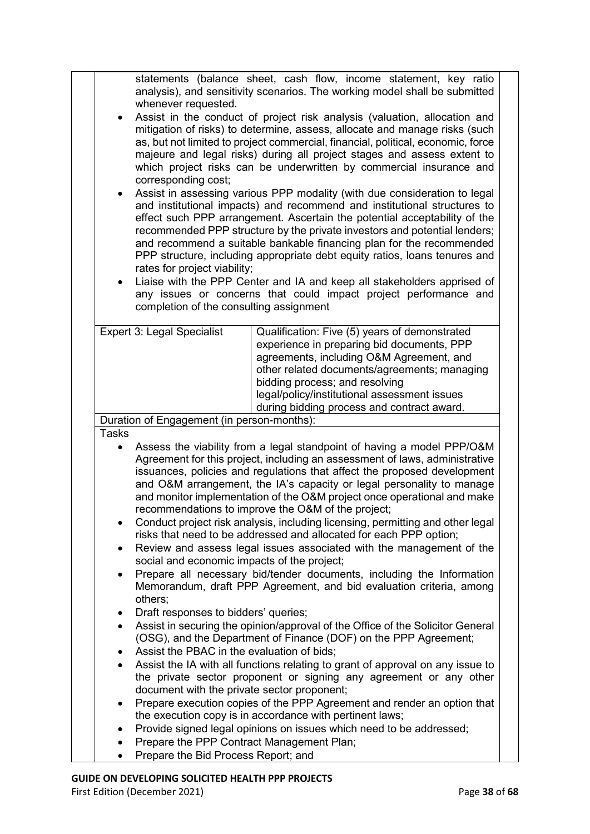| statements (balance sheet, cash flow, income statement, key ratio<br>analysis), and sensitivity scenarios. The working model shall be submitted<br>whenever requested.<br>Assist in the conduct of project risk analysis (valuation, allocation and<br>$\bullet$<br>mitigation of risks) to determine, assess, allocate and manage risks (such<br>as, but not limited to project commercial, financial, political, economic, force<br>majeure and legal risks) during all project stages and assess extent to<br>which project risks can be underwritten by commercial insurance and<br>corresponding cost;<br>Assist in assessing various PPP modality (with due consideration to legal<br>$\bullet$<br>and institutional impacts) and recommend and institutional structures to<br>effect such PPP arrangement. Ascertain the potential acceptability of the<br>recommended PPP structure by the private investors and potential lenders;<br>and recommend a suitable bankable financing plan for the recommended<br>PPP structure, including appropriate debt equity ratios, loans tenures and<br>rates for project viability;<br>Liaise with the PPP Center and IA and keep all stakeholders apprised of<br>$\bullet$<br>any issues or concerns that could impact project performance and |                                                                                                                                                                                                                                                                                                                                                                                                                                                                                                                                                                                                                                                                                                                                                                                                                                                                                                                                                                                                                                                                                                                                                                                                                                                                                                                                                                                                                                                                                                                                                                                                     |  |  |  |
|-----------------------------------------------------------------------------------------------------------------------------------------------------------------------------------------------------------------------------------------------------------------------------------------------------------------------------------------------------------------------------------------------------------------------------------------------------------------------------------------------------------------------------------------------------------------------------------------------------------------------------------------------------------------------------------------------------------------------------------------------------------------------------------------------------------------------------------------------------------------------------------------------------------------------------------------------------------------------------------------------------------------------------------------------------------------------------------------------------------------------------------------------------------------------------------------------------------------------------------------------------------------------------------------------|-----------------------------------------------------------------------------------------------------------------------------------------------------------------------------------------------------------------------------------------------------------------------------------------------------------------------------------------------------------------------------------------------------------------------------------------------------------------------------------------------------------------------------------------------------------------------------------------------------------------------------------------------------------------------------------------------------------------------------------------------------------------------------------------------------------------------------------------------------------------------------------------------------------------------------------------------------------------------------------------------------------------------------------------------------------------------------------------------------------------------------------------------------------------------------------------------------------------------------------------------------------------------------------------------------------------------------------------------------------------------------------------------------------------------------------------------------------------------------------------------------------------------------------------------------------------------------------------------------|--|--|--|
|                                                                                                                                                                                                                                                                                                                                                                                                                                                                                                                                                                                                                                                                                                                                                                                                                                                                                                                                                                                                                                                                                                                                                                                                                                                                                               | completion of the consulting assignment<br><b>Expert 3: Legal Specialist</b><br>Qualification: Five (5) years of demonstrated<br>experience in preparing bid documents, PPP<br>agreements, including O&M Agreement, and<br>other related documents/agreements; managing<br>bidding process; and resolving<br>legal/policy/institutional assessment issues<br>during bidding process and contract award.<br>Duration of Engagement (in person-months):                                                                                                                                                                                                                                                                                                                                                                                                                                                                                                                                                                                                                                                                                                                                                                                                                                                                                                                                                                                                                                                                                                                                               |  |  |  |
| <b>Tasks</b><br>$\bullet$<br>$\bullet$<br>٠<br>$\bullet$<br>$\bullet$<br>$\bullet$<br>$\bullet$<br>$\bullet$<br>$\bullet$                                                                                                                                                                                                                                                                                                                                                                                                                                                                                                                                                                                                                                                                                                                                                                                                                                                                                                                                                                                                                                                                                                                                                                     | Assess the viability from a legal standpoint of having a model PPP/O&M<br>Agreement for this project, including an assessment of laws, administrative<br>issuances, policies and regulations that affect the proposed development<br>and O&M arrangement, the IA's capacity or legal personality to manage<br>and monitor implementation of the O&M project once operational and make<br>recommendations to improve the O&M of the project;<br>Conduct project risk analysis, including licensing, permitting and other legal<br>risks that need to be addressed and allocated for each PPP option;<br>Review and assess legal issues associated with the management of the<br>social and economic impacts of the project;<br>Prepare all necessary bid/tender documents, including the Information<br>Memorandum, draft PPP Agreement, and bid evaluation criteria, among<br>others;<br>Draft responses to bidders' queries;<br>Assist in securing the opinion/approval of the Office of the Solicitor General<br>(OSG), and the Department of Finance (DOF) on the PPP Agreement;<br>Assist the PBAC in the evaluation of bids;<br>Assist the IA with all functions relating to grant of approval on any issue to<br>the private sector proponent or signing any agreement or any other<br>document with the private sector proponent;<br>Prepare execution copies of the PPP Agreement and render an option that<br>the execution copy is in accordance with pertinent laws;<br>Provide signed legal opinions on issues which need to be addressed;<br>Prepare the PPP Contract Management Plan; |  |  |  |
|                                                                                                                                                                                                                                                                                                                                                                                                                                                                                                                                                                                                                                                                                                                                                                                                                                                                                                                                                                                                                                                                                                                                                                                                                                                                                               | Prepare the Bid Process Report; and                                                                                                                                                                                                                                                                                                                                                                                                                                                                                                                                                                                                                                                                                                                                                                                                                                                                                                                                                                                                                                                                                                                                                                                                                                                                                                                                                                                                                                                                                                                                                                 |  |  |  |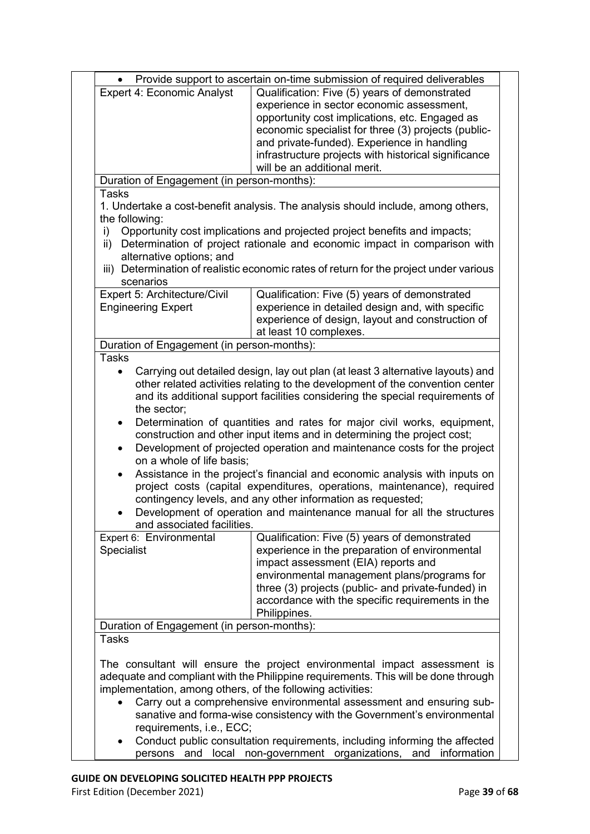| $\bullet$                                                  | Provide support to ascertain on-time submission of required deliverables                                                                         |  |  |  |  |
|------------------------------------------------------------|--------------------------------------------------------------------------------------------------------------------------------------------------|--|--|--|--|
| <b>Expert 4: Economic Analyst</b>                          | Qualification: Five (5) years of demonstrated                                                                                                    |  |  |  |  |
|                                                            |                                                                                                                                                  |  |  |  |  |
|                                                            | experience in sector economic assessment,                                                                                                        |  |  |  |  |
|                                                            | opportunity cost implications, etc. Engaged as                                                                                                   |  |  |  |  |
|                                                            | economic specialist for three (3) projects (public-                                                                                              |  |  |  |  |
|                                                            | and private-funded). Experience in handling                                                                                                      |  |  |  |  |
|                                                            | infrastructure projects with historical significance                                                                                             |  |  |  |  |
|                                                            | will be an additional merit.                                                                                                                     |  |  |  |  |
| Duration of Engagement (in person-months):                 |                                                                                                                                                  |  |  |  |  |
| <b>Tasks</b>                                               |                                                                                                                                                  |  |  |  |  |
|                                                            |                                                                                                                                                  |  |  |  |  |
|                                                            | 1. Undertake a cost-benefit analysis. The analysis should include, among others,                                                                 |  |  |  |  |
| the following:                                             |                                                                                                                                                  |  |  |  |  |
| i)                                                         | Opportunity cost implications and projected project benefits and impacts;                                                                        |  |  |  |  |
| ii)                                                        | Determination of project rationale and economic impact in comparison with                                                                        |  |  |  |  |
| alternative options; and                                   |                                                                                                                                                  |  |  |  |  |
|                                                            | iii) Determination of realistic economic rates of return for the project under various                                                           |  |  |  |  |
| scenarios                                                  |                                                                                                                                                  |  |  |  |  |
| Expert 5: Architecture/Civil                               | Qualification: Five (5) years of demonstrated                                                                                                    |  |  |  |  |
| <b>Engineering Expert</b>                                  | experience in detailed design and, with specific                                                                                                 |  |  |  |  |
|                                                            |                                                                                                                                                  |  |  |  |  |
|                                                            | experience of design, layout and construction of                                                                                                 |  |  |  |  |
|                                                            | at least 10 complexes.                                                                                                                           |  |  |  |  |
| Duration of Engagement (in person-months):                 |                                                                                                                                                  |  |  |  |  |
| <b>Tasks</b>                                               |                                                                                                                                                  |  |  |  |  |
| $\bullet$                                                  | Carrying out detailed design, lay out plan (at least 3 alternative layouts) and                                                                  |  |  |  |  |
|                                                            | other related activities relating to the development of the convention center                                                                    |  |  |  |  |
|                                                            |                                                                                                                                                  |  |  |  |  |
|                                                            | and its additional support facilities considering the special requirements of                                                                    |  |  |  |  |
| the sector;                                                |                                                                                                                                                  |  |  |  |  |
| $\bullet$                                                  | Determination of quantities and rates for major civil works, equipment,                                                                          |  |  |  |  |
|                                                            | construction and other input items and in determining the project cost;                                                                          |  |  |  |  |
| $\bullet$                                                  | Development of projected operation and maintenance costs for the project                                                                         |  |  |  |  |
| on a whole of life basis;                                  |                                                                                                                                                  |  |  |  |  |
| $\bullet$                                                  | Assistance in the project's financial and economic analysis with inputs on                                                                       |  |  |  |  |
|                                                            | project costs (capital expenditures, operations, maintenance), required                                                                          |  |  |  |  |
|                                                            |                                                                                                                                                  |  |  |  |  |
|                                                            | contingency levels, and any other information as requested;                                                                                      |  |  |  |  |
|                                                            | Development of operation and maintenance manual for all the structures                                                                           |  |  |  |  |
| and associated facilities.                                 |                                                                                                                                                  |  |  |  |  |
| Expert 6: Environmental                                    | Qualification: Five (5) years of demonstrated                                                                                                    |  |  |  |  |
| <b>Specialist</b>                                          | experience in the preparation of environmental                                                                                                   |  |  |  |  |
|                                                            | impact assessment (EIA) reports and                                                                                                              |  |  |  |  |
|                                                            |                                                                                                                                                  |  |  |  |  |
|                                                            | environmental management plans/programs for                                                                                                      |  |  |  |  |
|                                                            | three (3) projects (public- and private-funded) in                                                                                               |  |  |  |  |
|                                                            | accordance with the specific requirements in the                                                                                                 |  |  |  |  |
|                                                            | Philippines.                                                                                                                                     |  |  |  |  |
| Duration of Engagement (in person-months):                 |                                                                                                                                                  |  |  |  |  |
| <b>Tasks</b>                                               |                                                                                                                                                  |  |  |  |  |
|                                                            |                                                                                                                                                  |  |  |  |  |
|                                                            | The consultant will ensure the project environmental impact assessment is                                                                        |  |  |  |  |
|                                                            |                                                                                                                                                  |  |  |  |  |
|                                                            | adequate and compliant with the Philippine requirements. This will be done through                                                               |  |  |  |  |
| implementation, among others, of the following activities: |                                                                                                                                                  |  |  |  |  |
|                                                            |                                                                                                                                                  |  |  |  |  |
|                                                            | Carry out a comprehensive environmental assessment and ensuring sub-                                                                             |  |  |  |  |
|                                                            |                                                                                                                                                  |  |  |  |  |
|                                                            | sanative and forma-wise consistency with the Government's environmental                                                                          |  |  |  |  |
| requirements, i.e., ECC;                                   |                                                                                                                                                  |  |  |  |  |
|                                                            | Conduct public consultation requirements, including informing the affected<br>persons and local non-government organizations, and<br>information |  |  |  |  |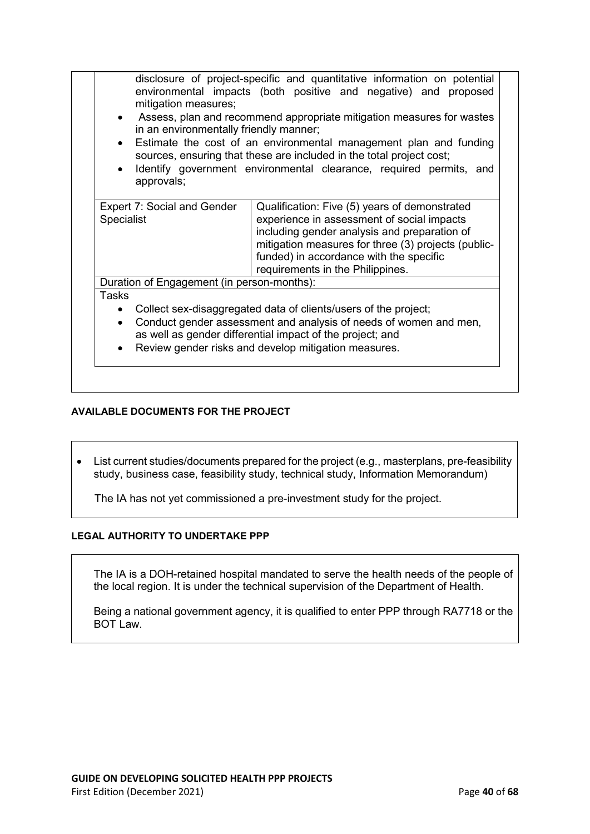| mitigation measures;<br>$\bullet$<br>in an environmentally friendly manner;<br>$\bullet$<br>approvals; | disclosure of project-specific and quantitative information on potential<br>environmental impacts (both positive and negative) and proposed<br>Assess, plan and recommend appropriate mitigation measures for wastes<br>Estimate the cost of an environmental management plan and funding<br>sources, ensuring that these are included in the total project cost;<br>Identify government environmental clearance, required permits, and |
|--------------------------------------------------------------------------------------------------------|-----------------------------------------------------------------------------------------------------------------------------------------------------------------------------------------------------------------------------------------------------------------------------------------------------------------------------------------------------------------------------------------------------------------------------------------|
| <b>Expert 7: Social and Gender</b><br>Specialist                                                       | Qualification: Five (5) years of demonstrated<br>experience in assessment of social impacts<br>including gender analysis and preparation of<br>mitigation measures for three (3) projects (public-<br>funded) in accordance with the specific<br>requirements in the Philippines.                                                                                                                                                       |
| Duration of Engagement (in person-months):                                                             |                                                                                                                                                                                                                                                                                                                                                                                                                                         |
| <b>Tasks</b><br>$\bullet$<br>$\bullet$<br>$\bullet$                                                    | Collect sex-disaggregated data of clients/users of the project;<br>Conduct gender assessment and analysis of needs of women and men,<br>as well as gender differential impact of the project; and<br>Review gender risks and develop mitigation measures.                                                                                                                                                                               |

### **AVAILABLE DOCUMENTS FOR THE PROJECT**

• List current studies/documents prepared for the project (e.g., masterplans, pre-feasibility study, business case, feasibility study, technical study, Information Memorandum)

The IA has not yet commissioned a pre-investment study for the project.

### **LEGAL AUTHORITY TO UNDERTAKE PPP**

The IA is a DOH-retained hospital mandated to serve the health needs of the people of the local region. It is under the technical supervision of the Department of Health.

Being a national government agency, it is qualified to enter PPP through RA7718 or the BOT Law.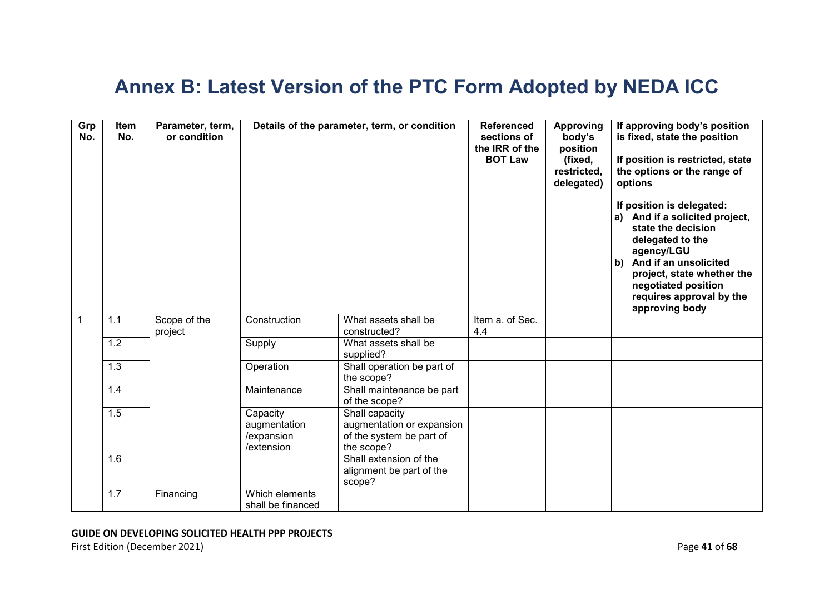### **Annex B: Latest Version of the PTC Form Adopted by NEDA ICC**

<span id="page-40-0"></span>

| Grp<br>No. | Item<br>No.      | Parameter, term,<br>or condition | Details of the parameter, term, or condition         |                                                                                       | <b>Referenced</b><br>sections of<br>the IRR of the<br><b>BOT Law</b> | <b>Approving</b><br>body's<br>position<br>(fixed,<br>restricted,<br>delegated) | If approving body's position<br>is fixed, state the position<br>If position is restricted, state<br>the options or the range of<br>options<br>If position is delegated:<br>a) And if a solicited project,<br>state the decision<br>delegated to the<br>agency/LGU<br>And if an unsolicited<br>b)<br>project, state whether the<br>negotiated position<br>requires approval by the<br>approving body |
|------------|------------------|----------------------------------|------------------------------------------------------|---------------------------------------------------------------------------------------|----------------------------------------------------------------------|--------------------------------------------------------------------------------|-----------------------------------------------------------------------------------------------------------------------------------------------------------------------------------------------------------------------------------------------------------------------------------------------------------------------------------------------------------------------------------------------------|
|            | 1.1              | Scope of the<br>project          | Construction                                         | What assets shall be<br>constructed?                                                  | Item a. of Sec.<br>4.4                                               |                                                                                |                                                                                                                                                                                                                                                                                                                                                                                                     |
|            | 1.2              |                                  | Supply                                               | What assets shall be<br>supplied?                                                     |                                                                      |                                                                                |                                                                                                                                                                                                                                                                                                                                                                                                     |
|            | 1.3              |                                  | Operation                                            | Shall operation be part of<br>the scope?                                              |                                                                      |                                                                                |                                                                                                                                                                                                                                                                                                                                                                                                     |
|            | 1.4              |                                  | Maintenance                                          | Shall maintenance be part<br>of the scope?                                            |                                                                      |                                                                                |                                                                                                                                                                                                                                                                                                                                                                                                     |
|            | 1.5              |                                  | Capacity<br>augmentation<br>/expansion<br>/extension | Shall capacity<br>augmentation or expansion<br>of the system be part of<br>the scope? |                                                                      |                                                                                |                                                                                                                                                                                                                                                                                                                                                                                                     |
|            | $\overline{1.6}$ |                                  |                                                      | Shall extension of the<br>alignment be part of the<br>scope?                          |                                                                      |                                                                                |                                                                                                                                                                                                                                                                                                                                                                                                     |
|            | 1.7              | Financing                        | Which elements<br>shall be financed                  |                                                                                       |                                                                      |                                                                                |                                                                                                                                                                                                                                                                                                                                                                                                     |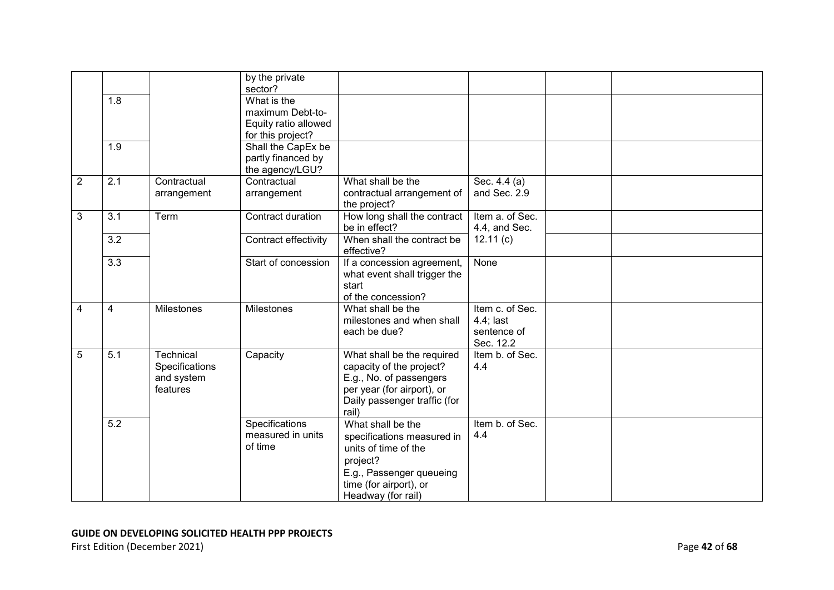|                |                  |                | by the private<br>sector? |                              |                 |  |
|----------------|------------------|----------------|---------------------------|------------------------------|-----------------|--|
|                | 1.8              |                | What is the               |                              |                 |  |
|                |                  |                | maximum Debt-to-          |                              |                 |  |
|                |                  |                | Equity ratio allowed      |                              |                 |  |
|                |                  |                | for this project?         |                              |                 |  |
|                | 1.9              |                | Shall the CapEx be        |                              |                 |  |
|                |                  |                | partly financed by        |                              |                 |  |
|                |                  |                | the agency/LGU?           |                              |                 |  |
| $\overline{2}$ | 2.1              | Contractual    | Contractual               | What shall be the            | Sec. 4.4 (a)    |  |
|                |                  | arrangement    | arrangement               | contractual arrangement of   | and Sec. 2.9    |  |
|                |                  |                |                           | the project?                 |                 |  |
| 3              | 3.1              | Term           | Contract duration         | How long shall the contract  | Item a. of Sec. |  |
|                |                  |                |                           | be in effect?                | 4.4, and Sec.   |  |
|                | $\overline{3.2}$ |                | Contract effectivity      | When shall the contract be   | 12.11(c)        |  |
|                |                  |                |                           | effective?                   |                 |  |
|                | $\overline{3.3}$ |                | Start of concession       | If a concession agreement,   | None            |  |
|                |                  |                |                           | what event shall trigger the |                 |  |
|                |                  |                |                           | start                        |                 |  |
|                |                  |                |                           | of the concession?           |                 |  |
| 4              | 4                | Milestones     | Milestones                | What shall be the            | Item c. of Sec. |  |
|                |                  |                |                           | milestones and when shall    | $4.4$ ; last    |  |
|                |                  |                |                           | each be due?                 | sentence of     |  |
|                |                  |                |                           |                              | Sec. 12.2       |  |
| 5              | 5.1              | Technical      | Capacity                  | What shall be the required   | Item b. of Sec. |  |
|                |                  | Specifications |                           | capacity of the project?     | 4.4             |  |
|                |                  | and system     |                           | E.g., No. of passengers      |                 |  |
|                |                  | features       |                           | per year (for airport), or   |                 |  |
|                |                  |                |                           | Daily passenger traffic (for |                 |  |
|                |                  |                |                           | rail)                        |                 |  |
|                | $\overline{5.2}$ |                | Specifications            | What shall be the            | Item b. of Sec. |  |
|                |                  |                | measured in units         | specifications measured in   | 4.4             |  |
|                |                  |                | of time                   | units of time of the         |                 |  |
|                |                  |                |                           | project?                     |                 |  |
|                |                  |                |                           | E.g., Passenger queueing     |                 |  |
|                |                  |                |                           | time (for airport), or       |                 |  |
|                |                  |                |                           | Headway (for rail)           |                 |  |
|                |                  |                |                           |                              |                 |  |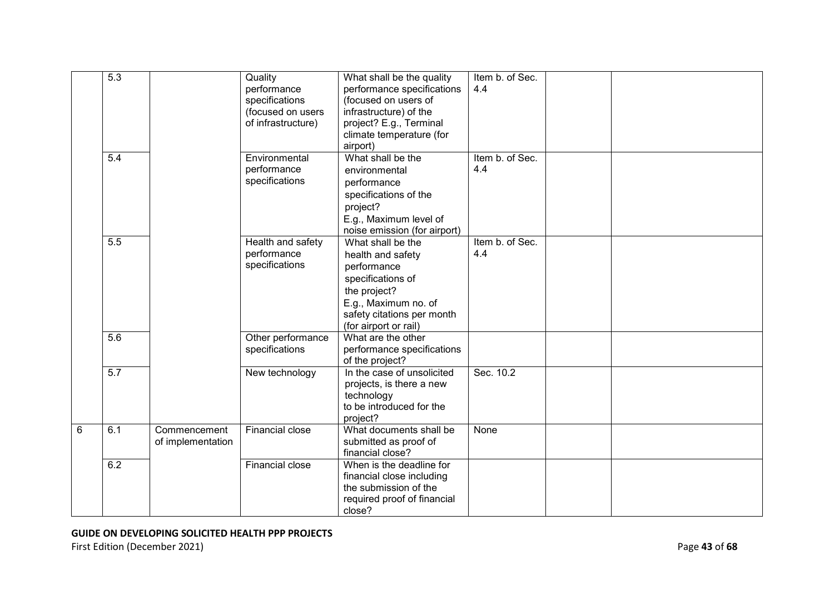|   | 5.3              |                                   | Quality<br>performance<br>specifications<br>(focused on users<br>of infrastructure) | What shall be the quality<br>performance specifications<br>(focused on users of<br>infrastructure) of the<br>project? E.g., Terminal<br>climate temperature (for<br>airport) | Item b. of Sec.<br>4.4 |  |  |
|---|------------------|-----------------------------------|-------------------------------------------------------------------------------------|------------------------------------------------------------------------------------------------------------------------------------------------------------------------------|------------------------|--|--|
|   | $\overline{5.4}$ |                                   | Environmental<br>performance<br>specifications                                      | What shall be the<br>environmental<br>performance<br>specifications of the<br>project?<br>E.g., Maximum level of<br>noise emission (for airport)                             | Item b. of Sec.<br>4.4 |  |  |
|   | $\overline{5.5}$ |                                   | Health and safety<br>performance<br>specifications                                  | What shall be the<br>health and safety<br>performance<br>specifications of<br>the project?<br>E.g., Maximum no. of<br>safety citations per month<br>(for airport or rail)    | Item b. of Sec.<br>4.4 |  |  |
|   | $\overline{5.6}$ |                                   | Other performance<br>specifications                                                 | What are the other<br>performance specifications<br>of the project?                                                                                                          |                        |  |  |
|   | 5.7              |                                   | New technology                                                                      | In the case of unsolicited<br>projects, is there a new<br>technology<br>to be introduced for the<br>project?                                                                 | Sec. 10.2              |  |  |
| 6 | 6.1              | Commencement<br>of implementation | <b>Financial close</b>                                                              | What documents shall be<br>submitted as proof of<br>financial close?                                                                                                         | None                   |  |  |
|   | 6.2              |                                   | Financial close                                                                     | When is the deadline for<br>financial close including<br>the submission of the<br>required proof of financial<br>close?                                                      |                        |  |  |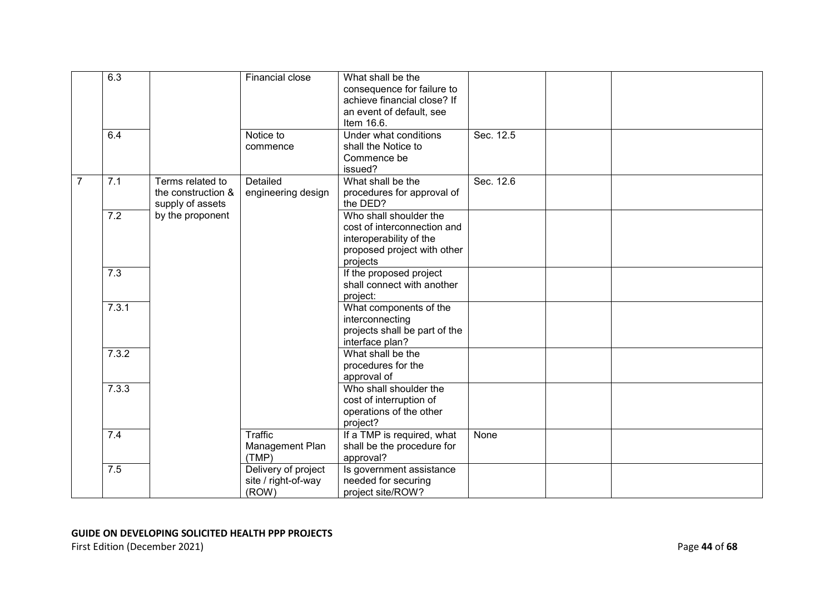|                | 6.3   |                    | Financial close     | What shall be the                                  |           |  |
|----------------|-------|--------------------|---------------------|----------------------------------------------------|-----------|--|
|                |       |                    |                     | consequence for failure to                         |           |  |
|                |       |                    |                     | achieve financial close? If                        |           |  |
|                |       |                    |                     | an event of default, see                           |           |  |
|                |       |                    |                     | Item 16.6.                                         |           |  |
|                | 6.4   |                    | Notice to           | Under what conditions                              | Sec. 12.5 |  |
|                |       |                    | commence            | shall the Notice to                                |           |  |
|                |       |                    |                     | Commence be<br>issued?                             |           |  |
| $\overline{7}$ | 7.1   | Terms related to   | Detailed            | What shall be the                                  | Sec. 12.6 |  |
|                |       | the construction & | engineering design  | procedures for approval of                         |           |  |
|                |       | supply of assets   |                     | the DED?                                           |           |  |
|                | 7.2   | by the proponent   |                     | Who shall shoulder the                             |           |  |
|                |       |                    |                     | cost of interconnection and                        |           |  |
|                |       |                    |                     | interoperability of the                            |           |  |
|                |       |                    |                     | proposed project with other                        |           |  |
|                |       |                    |                     | projects                                           |           |  |
|                | 7.3   |                    |                     | If the proposed project                            |           |  |
|                |       |                    |                     | shall connect with another                         |           |  |
|                |       |                    |                     | project:                                           |           |  |
|                | 7.3.1 |                    |                     | What components of the                             |           |  |
|                |       |                    |                     | interconnecting                                    |           |  |
|                |       |                    |                     | projects shall be part of the                      |           |  |
|                |       |                    |                     | interface plan?                                    |           |  |
|                | 7.3.2 |                    |                     | What shall be the                                  |           |  |
|                |       |                    |                     | procedures for the                                 |           |  |
|                |       |                    |                     | approval of                                        |           |  |
|                | 7.3.3 |                    |                     | Who shall shoulder the                             |           |  |
|                |       |                    |                     | cost of interruption of<br>operations of the other |           |  |
|                |       |                    |                     |                                                    |           |  |
|                | 7.4   |                    | Traffic             | project?<br>If a TMP is required, what             | None      |  |
|                |       |                    | Management Plan     | shall be the procedure for                         |           |  |
|                |       |                    | (TMP)               | approval?                                          |           |  |
|                | 7.5   |                    | Delivery of project | Is government assistance                           |           |  |
|                |       |                    | site / right-of-way | needed for securing                                |           |  |
|                |       |                    | (ROW)               | project site/ROW?                                  |           |  |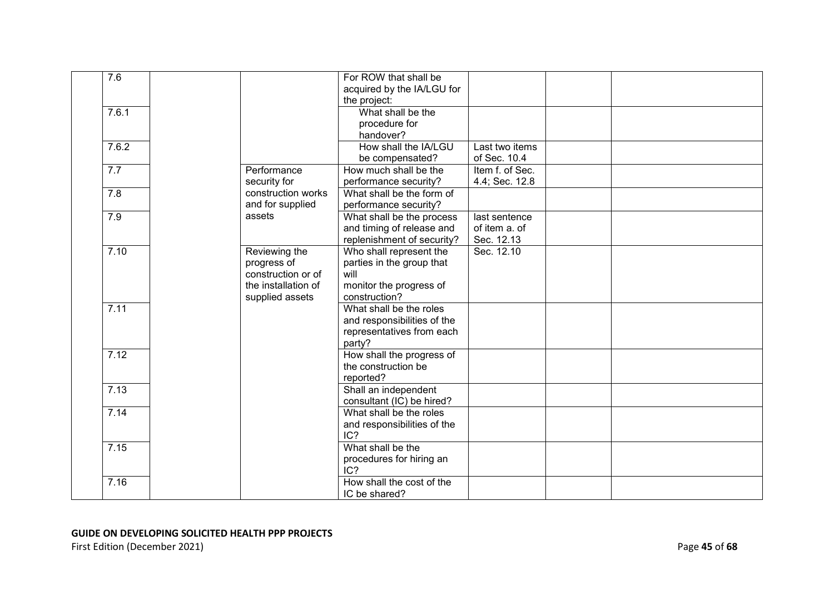| 7.6              |                     | For ROW that shall be       |                 |  |  |
|------------------|---------------------|-----------------------------|-----------------|--|--|
|                  |                     | acquired by the IA/LGU for  |                 |  |  |
|                  |                     | the project:                |                 |  |  |
| 7.6.1            |                     | What shall be the           |                 |  |  |
|                  |                     | procedure for               |                 |  |  |
|                  |                     | handover?                   |                 |  |  |
| 7.6.2            |                     | How shall the IA/LGU        | Last two items  |  |  |
|                  |                     | be compensated?             | of Sec. 10.4    |  |  |
| 7.7              | Performance         | How much shall be the       | Item f. of Sec. |  |  |
|                  | security for        | performance security?       | 4.4; Sec. 12.8  |  |  |
| $\overline{7.8}$ | construction works  | What shall be the form of   |                 |  |  |
|                  | and for supplied    | performance security?       |                 |  |  |
| 7.9              | assets              | What shall be the process   | last sentence   |  |  |
|                  |                     | and timing of release and   | of item a. of   |  |  |
|                  |                     | replenishment of security?  | Sec. 12.13      |  |  |
| 7.10             | Reviewing the       | Who shall represent the     | Sec. 12.10      |  |  |
|                  | progress of         | parties in the group that   |                 |  |  |
|                  | construction or of  | will                        |                 |  |  |
|                  | the installation of | monitor the progress of     |                 |  |  |
|                  | supplied assets     | construction?               |                 |  |  |
| 7.11             |                     | What shall be the roles     |                 |  |  |
|                  |                     | and responsibilities of the |                 |  |  |
|                  |                     | representatives from each   |                 |  |  |
|                  |                     | party?                      |                 |  |  |
| 7.12             |                     | How shall the progress of   |                 |  |  |
|                  |                     | the construction be         |                 |  |  |
|                  |                     | reported?                   |                 |  |  |
| 7.13             |                     | Shall an independent        |                 |  |  |
|                  |                     | consultant (IC) be hired?   |                 |  |  |
| 7.14             |                     | What shall be the roles     |                 |  |  |
|                  |                     | and responsibilities of the |                 |  |  |
|                  |                     | IC?                         |                 |  |  |
| 7.15             |                     | What shall be the           |                 |  |  |
|                  |                     | procedures for hiring an    |                 |  |  |
|                  |                     | IC?                         |                 |  |  |
| 7.16             |                     | How shall the cost of the   |                 |  |  |
|                  |                     | IC be shared?               |                 |  |  |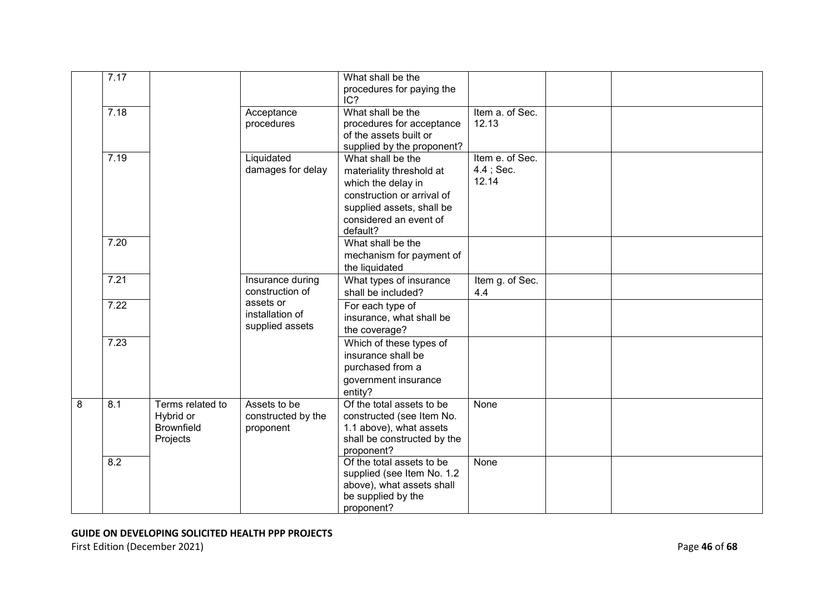|   | 7.17 |                                                                |                                                 | What shall be the<br>procedures for paying the<br>IC?                                                                                                                |                                          |  |
|---|------|----------------------------------------------------------------|-------------------------------------------------|----------------------------------------------------------------------------------------------------------------------------------------------------------------------|------------------------------------------|--|
|   | 7.18 |                                                                | Acceptance<br>procedures                        | What shall be the<br>procedures for acceptance<br>of the assets built or<br>supplied by the proponent?                                                               | Item a. of Sec.<br>12.13                 |  |
|   | 7.19 |                                                                | Liquidated<br>damages for delay                 | What shall be the<br>materiality threshold at<br>which the delay in<br>construction or arrival of<br>supplied assets, shall be<br>considered an event of<br>default? | Item e. of Sec.<br>$4.4$ ; Sec.<br>12.14 |  |
|   | 7.20 |                                                                |                                                 | What shall be the<br>mechanism for payment of<br>the liquidated                                                                                                      |                                          |  |
|   | 7.21 |                                                                | Insurance during<br>construction of             | What types of insurance<br>shall be included?                                                                                                                        | Item g. of Sec.<br>4.4                   |  |
|   | 7.22 |                                                                | assets or<br>installation of<br>supplied assets | For each type of<br>insurance, what shall be<br>the coverage?                                                                                                        |                                          |  |
|   | 7.23 |                                                                |                                                 | Which of these types of<br>insurance shall be<br>purchased from a<br>government insurance<br>entity?                                                                 |                                          |  |
| 8 | 8.1  | Terms related to<br>Hybrid or<br><b>Brownfield</b><br>Projects | Assets to be<br>constructed by the<br>proponent | Of the total assets to be<br>constructed (see Item No.<br>1.1 above), what assets<br>shall be constructed by the<br>proponent?                                       | None                                     |  |
|   | 8.2  |                                                                |                                                 | Of the total assets to be<br>supplied (see Item No. 1.2<br>above), what assets shall<br>be supplied by the<br>proponent?                                             | None                                     |  |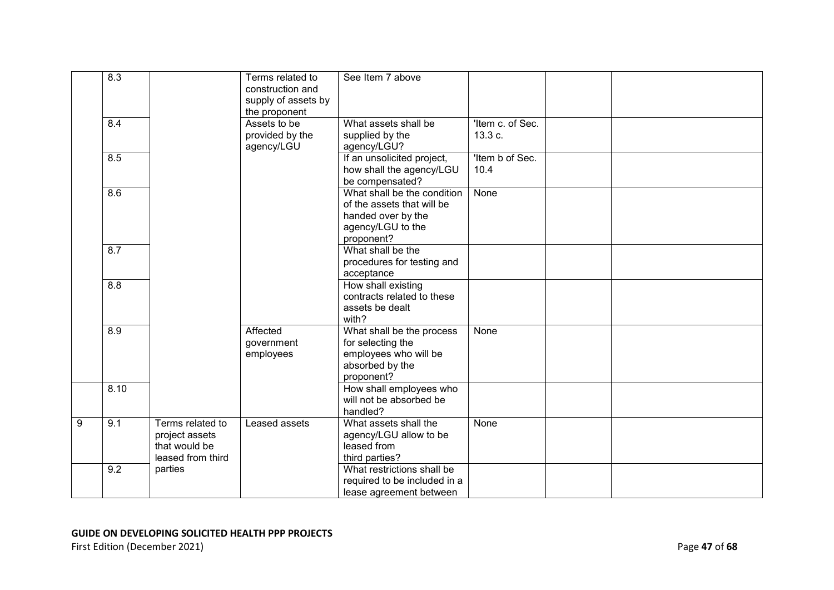|   | 8.3              |                                                                          | Terms related to<br>construction and<br>supply of assets by<br>the proponent | See Item 7 above                                                                                                   |                             |  |
|---|------------------|--------------------------------------------------------------------------|------------------------------------------------------------------------------|--------------------------------------------------------------------------------------------------------------------|-----------------------------|--|
|   | 8.4              |                                                                          | Assets to be<br>provided by the<br>agency/LGU                                | What assets shall be<br>supplied by the<br>agency/LGU?                                                             | 'Item c. of Sec.<br>13.3 c. |  |
|   | 8.5              |                                                                          |                                                                              | If an unsolicited project,<br>how shall the agency/LGU<br>be compensated?                                          | 'Item b of Sec.<br>10.4     |  |
|   | $\overline{8.6}$ |                                                                          |                                                                              | What shall be the condition<br>of the assets that will be<br>handed over by the<br>agency/LGU to the<br>proponent? | None                        |  |
|   | 8.7              |                                                                          |                                                                              | What shall be the<br>procedures for testing and<br>acceptance                                                      |                             |  |
|   | 8.8              |                                                                          |                                                                              | How shall existing<br>contracts related to these<br>assets be dealt<br>with?                                       |                             |  |
|   | 8.9              |                                                                          | Affected<br>government<br>employees                                          | What shall be the process<br>for selecting the<br>employees who will be<br>absorbed by the<br>proponent?           | None                        |  |
|   | 8.10             |                                                                          |                                                                              | How shall employees who<br>will not be absorbed be<br>handled?                                                     |                             |  |
| 9 | 9.1              | Terms related to<br>project assets<br>that would be<br>leased from third | Leased assets                                                                | What assets shall the<br>agency/LGU allow to be<br>leased from<br>third parties?                                   | None                        |  |
|   | 9.2              | parties                                                                  |                                                                              | What restrictions shall be<br>required to be included in a<br>lease agreement between                              |                             |  |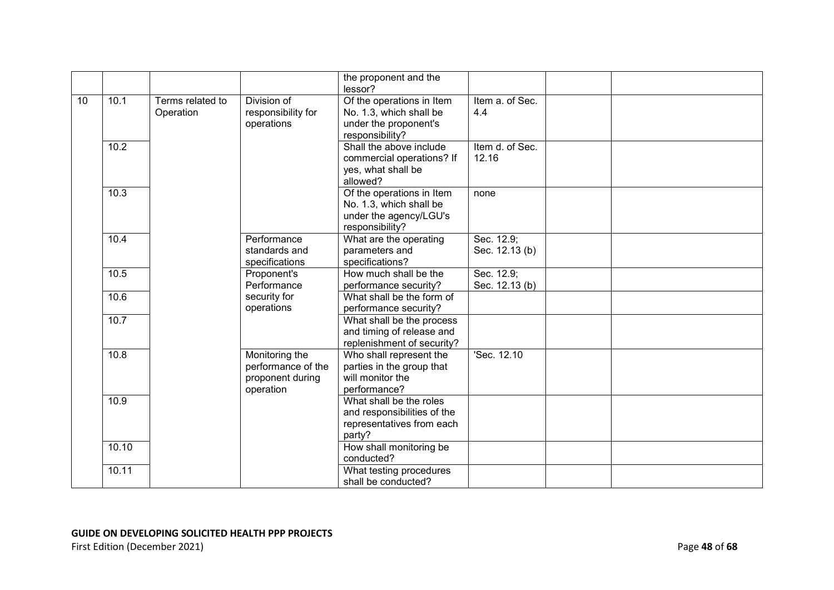|    |       |                  |                                  | the proponent and the                                |                 |  |
|----|-------|------------------|----------------------------------|------------------------------------------------------|-----------------|--|
| 10 | 10.1  | Terms related to | Division of                      | lessor?                                              | Item a. of Sec. |  |
|    |       |                  |                                  | Of the operations in Item<br>No. 1.3, which shall be | 4.4             |  |
|    |       | Operation        | responsibility for<br>operations | under the proponent's                                |                 |  |
|    |       |                  |                                  |                                                      |                 |  |
|    | 10.2  |                  |                                  | responsibility?<br>Shall the above include           | Item d. of Sec. |  |
|    |       |                  |                                  |                                                      |                 |  |
|    |       |                  |                                  | commercial operations? If                            | 12.16           |  |
|    |       |                  |                                  | yes, what shall be                                   |                 |  |
|    |       |                  |                                  | allowed?                                             |                 |  |
|    | 10.3  |                  |                                  | Of the operations in Item                            | none            |  |
|    |       |                  |                                  | No. 1.3, which shall be                              |                 |  |
|    |       |                  |                                  | under the agency/LGU's                               |                 |  |
|    |       |                  |                                  | responsibility?                                      |                 |  |
|    | 10.4  |                  | Performance                      | What are the operating                               | Sec. 12.9;      |  |
|    |       |                  | standards and                    | parameters and                                       | Sec. 12.13 (b)  |  |
|    |       |                  | specifications                   | specifications?                                      |                 |  |
|    | 10.5  |                  | Proponent's                      | How much shall be the                                | Sec. 12.9;      |  |
|    |       |                  | Performance                      | performance security?                                | Sec. 12.13 (b)  |  |
|    | 10.6  |                  | security for                     | What shall be the form of                            |                 |  |
|    |       |                  | operations                       | performance security?                                |                 |  |
|    | 10.7  |                  |                                  | What shall be the process                            |                 |  |
|    |       |                  |                                  | and timing of release and                            |                 |  |
|    |       |                  |                                  | replenishment of security?                           |                 |  |
|    | 10.8  |                  | Monitoring the                   | Who shall represent the                              | 'Sec. 12.10     |  |
|    |       |                  | performance of the               | parties in the group that                            |                 |  |
|    |       |                  | proponent during                 | will monitor the                                     |                 |  |
|    |       |                  | operation                        | performance?                                         |                 |  |
|    | 10.9  |                  |                                  | What shall be the roles                              |                 |  |
|    |       |                  |                                  | and responsibilities of the                          |                 |  |
|    |       |                  |                                  | representatives from each                            |                 |  |
|    |       |                  |                                  | party?                                               |                 |  |
|    | 10.10 |                  |                                  | How shall monitoring be                              |                 |  |
|    |       |                  |                                  | conducted?                                           |                 |  |
|    | 10.11 |                  |                                  | What testing procedures                              |                 |  |
|    |       |                  |                                  | shall be conducted?                                  |                 |  |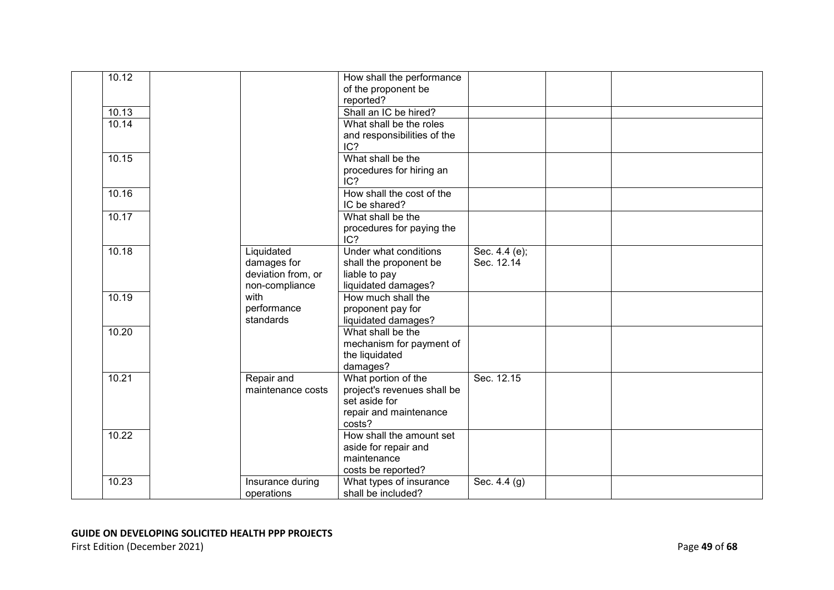| 10.12 |                                                                   | How shall the performance<br>of the proponent be<br>reported?                                           |                             |  |
|-------|-------------------------------------------------------------------|---------------------------------------------------------------------------------------------------------|-----------------------------|--|
| 10.13 |                                                                   | Shall an IC be hired?                                                                                   |                             |  |
| 10.14 |                                                                   | What shall be the roles<br>and responsibilities of the<br>IC?                                           |                             |  |
| 10.15 |                                                                   | What shall be the<br>procedures for hiring an<br>IC?                                                    |                             |  |
| 10.16 |                                                                   | How shall the cost of the<br>IC be shared?                                                              |                             |  |
| 10.17 |                                                                   | What shall be the<br>procedures for paying the<br>IC?                                                   |                             |  |
| 10.18 | Liquidated<br>damages for<br>deviation from, or<br>non-compliance | Under what conditions<br>shall the proponent be<br>liable to pay<br>liquidated damages?                 | Sec. 4.4 (e);<br>Sec. 12.14 |  |
| 10.19 | with<br>performance<br>standards                                  | How much shall the<br>proponent pay for<br>liquidated damages?                                          |                             |  |
| 10.20 |                                                                   | What shall be the<br>mechanism for payment of<br>the liquidated<br>damages?                             |                             |  |
| 10.21 | Repair and<br>maintenance costs                                   | What portion of the<br>project's revenues shall be<br>set aside for<br>repair and maintenance<br>costs? | Sec. 12.15                  |  |
| 10.22 |                                                                   | How shall the amount set<br>aside for repair and<br>maintenance<br>costs be reported?                   |                             |  |
| 10.23 | Insurance during<br>operations                                    | What types of insurance<br>shall be included?                                                           | Sec. 4.4 (g)                |  |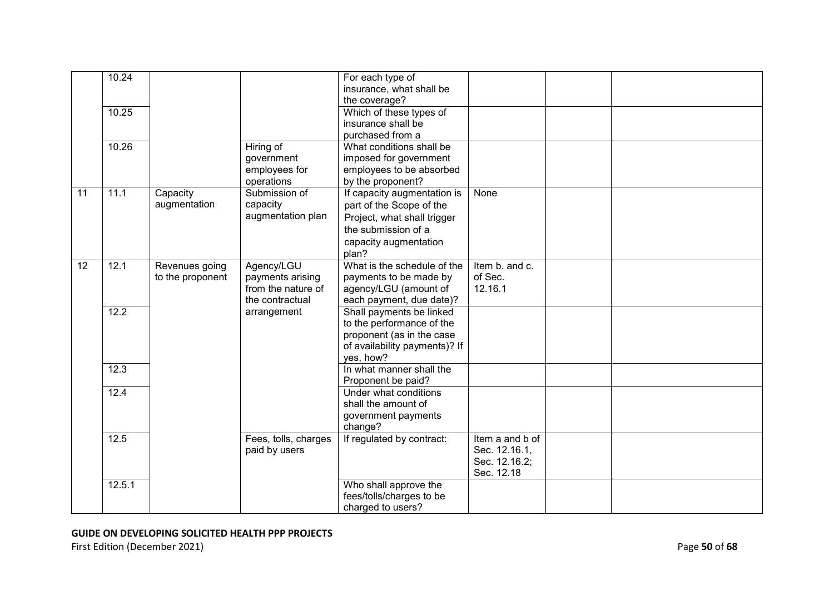| 10.24<br>For each type of<br>insurance, what shall be<br>the coverage?                      |  |
|---------------------------------------------------------------------------------------------|--|
|                                                                                             |  |
|                                                                                             |  |
|                                                                                             |  |
| 10.25<br>Which of these types of                                                            |  |
| insurance shall be                                                                          |  |
| purchased from a                                                                            |  |
| What conditions shall be<br>10.26<br>Hiring of                                              |  |
| imposed for government<br>government                                                        |  |
| employees for<br>employees to be absorbed                                                   |  |
| operations<br>by the proponent?                                                             |  |
| 11<br>11.1<br>Capacity<br>Submission of<br>If capacity augmentation is<br>None              |  |
| augmentation<br>capacity<br>part of the Scope of the                                        |  |
| augmentation plan<br>Project, what shall trigger                                            |  |
| the submission of a                                                                         |  |
| capacity augmentation                                                                       |  |
| plan?                                                                                       |  |
| What is the schedule of the<br>12<br>12.1<br>Agency/LGU<br>Item b. and c.<br>Revenues going |  |
| of Sec.<br>payments arising<br>payments to be made by<br>to the proponent                   |  |
| 12.16.1<br>from the nature of<br>agency/LGU (amount of                                      |  |
| the contractual<br>each payment, due date)?                                                 |  |
| 12.2<br>Shall payments be linked<br>arrangement                                             |  |
| to the performance of the                                                                   |  |
| proponent (as in the case                                                                   |  |
| of availability payments)? If                                                               |  |
| yes, how?                                                                                   |  |
| 12.3<br>In what manner shall the                                                            |  |
| Proponent be paid?                                                                          |  |
| 12.4<br>Under what conditions                                                               |  |
| shall the amount of                                                                         |  |
| government payments                                                                         |  |
| change?                                                                                     |  |
| 12.5<br>If regulated by contract:<br>Item a and b of<br>Fees, tolls, charges                |  |
| paid by users<br>Sec. 12.16.1,                                                              |  |
| Sec. 12.16.2;                                                                               |  |
| Sec. 12.18                                                                                  |  |
| Who shall approve the<br>12.5.1                                                             |  |
| fees/tolls/charges to be                                                                    |  |
| charged to users?                                                                           |  |

First Edition (December 2021) **Page 50** of 68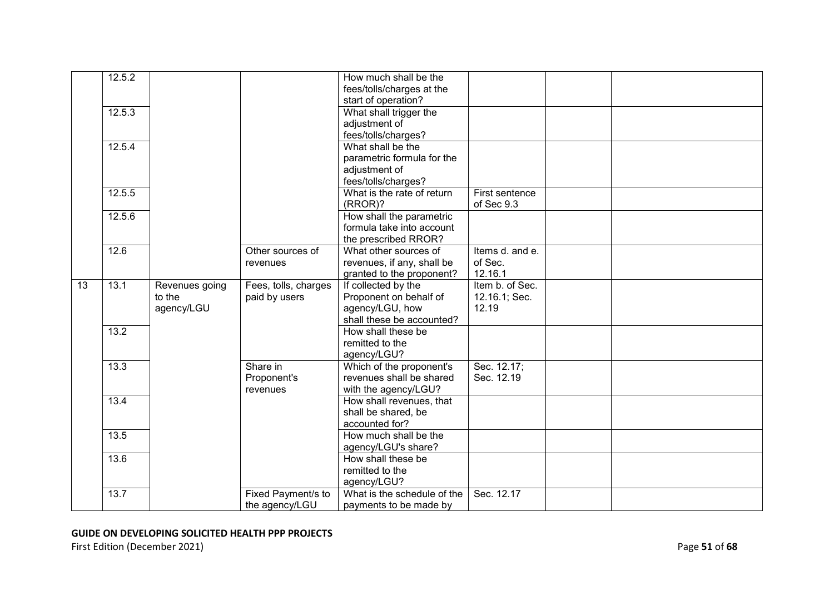|    | 12.5.2 |                |                      | How much shall be the       |                 |  |
|----|--------|----------------|----------------------|-----------------------------|-----------------|--|
|    |        |                |                      | fees/tolls/charges at the   |                 |  |
|    |        |                |                      | start of operation?         |                 |  |
|    | 12.5.3 |                |                      | What shall trigger the      |                 |  |
|    |        |                |                      | adjustment of               |                 |  |
|    |        |                |                      | fees/tolls/charges?         |                 |  |
|    | 12.5.4 |                |                      | What shall be the           |                 |  |
|    |        |                |                      | parametric formula for the  |                 |  |
|    |        |                |                      | adjustment of               |                 |  |
|    |        |                |                      | fees/tolls/charges?         |                 |  |
|    | 12.5.5 |                |                      | What is the rate of return  | First sentence  |  |
|    |        |                |                      | (RROR)?                     | of Sec 9.3      |  |
|    | 12.5.6 |                |                      | How shall the parametric    |                 |  |
|    |        |                |                      | formula take into account   |                 |  |
|    |        |                |                      | the prescribed RROR?        |                 |  |
|    | 12.6   |                | Other sources of     | What other sources of       | Items d. and e. |  |
|    |        |                | revenues             | revenues, if any, shall be  | of Sec.         |  |
|    |        |                |                      | granted to the proponent?   | 12.16.1         |  |
| 13 | 13.1   | Revenues going | Fees, tolls, charges | If collected by the         | Item b. of Sec. |  |
|    |        | to the         | paid by users        | Proponent on behalf of      | 12.16.1; Sec.   |  |
|    |        | agency/LGU     |                      | agency/LGU, how             | 12.19           |  |
|    |        |                |                      | shall these be accounted?   |                 |  |
|    | 13.2   |                |                      | How shall these be          |                 |  |
|    |        |                |                      | remitted to the             |                 |  |
|    |        |                |                      | agency/LGU?                 |                 |  |
|    | 13.3   |                | Share in             | Which of the proponent's    | Sec. 12.17;     |  |
|    |        |                | Proponent's          | revenues shall be shared    | Sec. 12.19      |  |
|    |        |                | revenues             | with the agency/LGU?        |                 |  |
|    | 13.4   |                |                      | How shall revenues, that    |                 |  |
|    |        |                |                      | shall be shared, be         |                 |  |
|    |        |                |                      | accounted for?              |                 |  |
|    | 13.5   |                |                      | How much shall be the       |                 |  |
|    |        |                |                      | agency/LGU's share?         |                 |  |
|    | 13.6   |                |                      | How shall these be          |                 |  |
|    |        |                |                      | remitted to the             |                 |  |
|    |        |                |                      | agency/LGU?                 |                 |  |
|    | 13.7   |                | Fixed Payment/s to   | What is the schedule of the | Sec. 12.17      |  |
|    |        |                | the agency/LGU       | payments to be made by      |                 |  |

First Edition (December 2021) **Page 51** of 68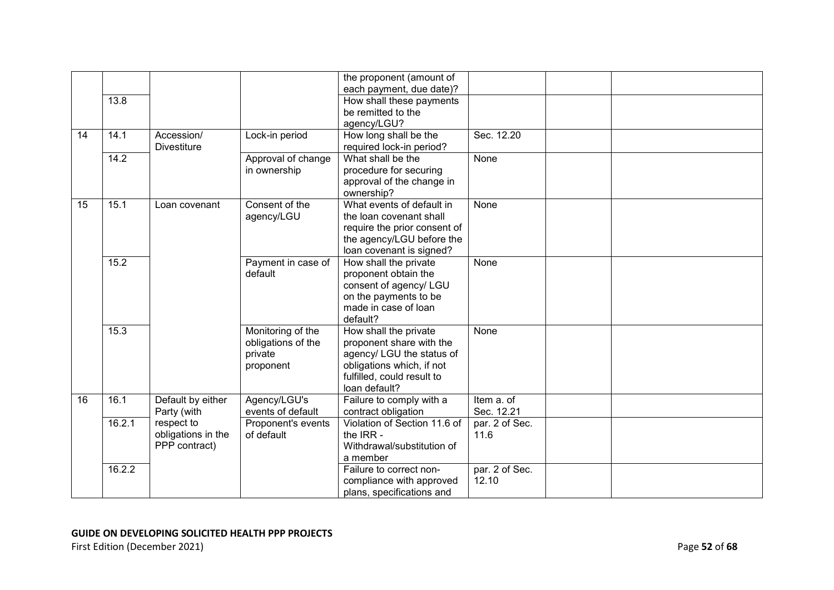|    |        |                    |                    | the proponent (amount of                                |                |  |
|----|--------|--------------------|--------------------|---------------------------------------------------------|----------------|--|
|    |        |                    |                    | each payment, due date)?                                |                |  |
|    | 13.8   |                    |                    | How shall these payments                                |                |  |
|    |        |                    |                    | be remitted to the                                      |                |  |
|    |        |                    |                    | agency/LGU?                                             |                |  |
| 14 | 14.1   | Accession/         | Lock-in period     | How long shall be the                                   | Sec. 12.20     |  |
|    |        | <b>Divestiture</b> |                    | required lock-in period?                                |                |  |
|    | 14.2   |                    | Approval of change | What shall be the                                       | None           |  |
|    |        |                    | in ownership       | procedure for securing                                  |                |  |
|    |        |                    |                    | approval of the change in                               |                |  |
|    |        |                    |                    | ownership?                                              |                |  |
| 15 | 15.1   | Loan covenant      | Consent of the     | What events of default in                               | None           |  |
|    |        |                    | agency/LGU         | the loan covenant shall                                 |                |  |
|    |        |                    |                    | require the prior consent of                            |                |  |
|    |        |                    |                    | the agency/LGU before the                               |                |  |
|    |        |                    |                    | loan covenant is signed?                                |                |  |
|    | 15.2   |                    | Payment in case of | How shall the private                                   | None           |  |
|    |        |                    | default            | proponent obtain the                                    |                |  |
|    |        |                    |                    | consent of agency/ LGU                                  |                |  |
|    |        |                    |                    | on the payments to be                                   |                |  |
|    |        |                    |                    | made in case of loan                                    |                |  |
|    |        |                    |                    | default?                                                |                |  |
|    | 15.3   |                    | Monitoring of the  | How shall the private                                   | None           |  |
|    |        |                    | obligations of the | proponent share with the                                |                |  |
|    |        |                    | private            | agency/ LGU the status of                               |                |  |
|    |        |                    | proponent          | obligations which, if not<br>fulfilled, could result to |                |  |
|    |        |                    |                    | loan default?                                           |                |  |
| 16 | 16.1   | Default by either  | Agency/LGU's       | Failure to comply with a                                | Item a. of     |  |
|    |        | Party (with        | events of default  | contract obligation                                     | Sec. 12.21     |  |
|    | 16.2.1 | respect to         | Proponent's events | Violation of Section 11.6 of                            | par. 2 of Sec. |  |
|    |        | obligations in the | of default         | the IRR -                                               | 11.6           |  |
|    |        | PPP contract)      |                    | Withdrawal/substitution of                              |                |  |
|    |        |                    |                    | a member                                                |                |  |
|    | 16.2.2 |                    |                    | Failure to correct non-                                 | par. 2 of Sec. |  |
|    |        |                    |                    | compliance with approved                                | 12.10          |  |
|    |        |                    |                    | plans, specifications and                               |                |  |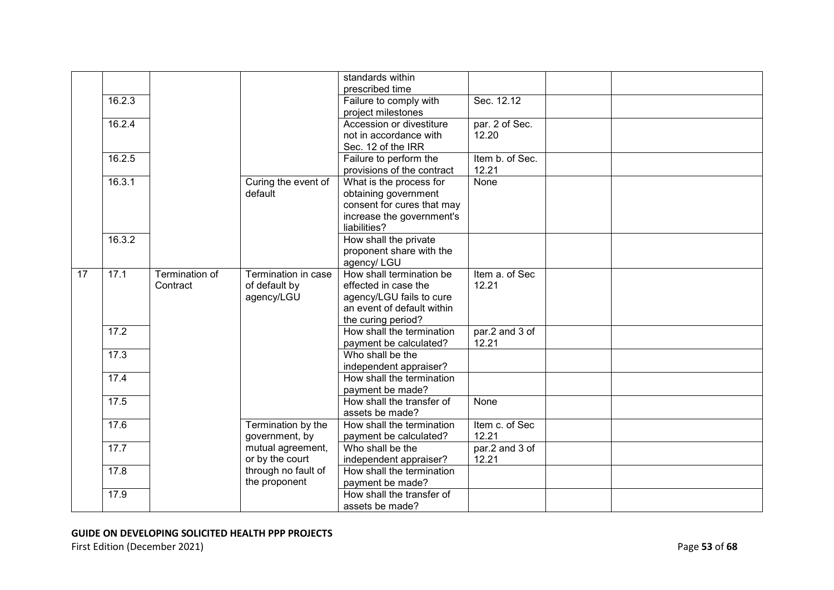|    |        |                |                                      | standards within<br>prescribed time                 |                 |  |
|----|--------|----------------|--------------------------------------|-----------------------------------------------------|-----------------|--|
|    | 16.2.3 |                |                                      | Failure to comply with                              | Sec. 12.12      |  |
|    |        |                |                                      | project milestones                                  |                 |  |
|    | 16.2.4 |                |                                      | Accession or divestiture                            | par. 2 of Sec.  |  |
|    |        |                |                                      | not in accordance with                              | 12.20           |  |
|    |        |                |                                      | Sec. 12 of the IRR                                  |                 |  |
|    | 16.2.5 |                |                                      | Failure to perform the                              | Item b. of Sec. |  |
|    |        |                |                                      | provisions of the contract                          | 12.21           |  |
|    | 16.3.1 |                | Curing the event of                  | What is the process for                             | None            |  |
|    |        |                | default                              | obtaining government                                |                 |  |
|    |        |                |                                      | consent for cures that may                          |                 |  |
|    |        |                |                                      | increase the government's                           |                 |  |
|    |        |                |                                      | liabilities?                                        |                 |  |
|    | 16.3.2 |                |                                      | How shall the private                               |                 |  |
|    |        |                |                                      | proponent share with the                            |                 |  |
|    |        |                |                                      | agency/ LGU                                         |                 |  |
| 17 | 17.1   | Termination of | Termination in case                  | How shall termination be                            | Item a. of Sec  |  |
|    |        | Contract       | of default by                        | effected in case the                                | 12.21           |  |
|    |        |                | agency/LGU                           | agency/LGU fails to cure                            |                 |  |
|    |        |                |                                      | an event of default within                          |                 |  |
|    |        |                |                                      | the curing period?                                  |                 |  |
|    | 17.2   |                |                                      | How shall the termination                           | par.2 and 3 of  |  |
|    |        |                |                                      | payment be calculated?                              | 12.21           |  |
|    | 17.3   |                |                                      | Who shall be the                                    |                 |  |
|    |        |                |                                      | independent appraiser?                              |                 |  |
|    | 17.4   |                |                                      | How shall the termination                           |                 |  |
|    |        |                |                                      | payment be made?                                    |                 |  |
|    | 17.5   |                |                                      | How shall the transfer of                           | None            |  |
|    |        |                |                                      | assets be made?                                     |                 |  |
|    | 17.6   |                | Termination by the                   | How shall the termination                           | Item c. of Sec  |  |
|    |        |                | government, by                       | payment be calculated?                              | 12.21           |  |
|    | 17.7   |                | mutual agreement,                    | Who shall be the                                    | par.2 and 3 of  |  |
|    | 17.8   |                | or by the court                      | independent appraiser?<br>How shall the termination | 12.21           |  |
|    |        |                | through no fault of<br>the proponent |                                                     |                 |  |
|    |        |                |                                      | payment be made?<br>How shall the transfer of       |                 |  |
|    | 17.9   |                |                                      |                                                     |                 |  |
|    |        |                |                                      | assets be made?                                     |                 |  |

First Edition (December 2021) **Page 53** of 68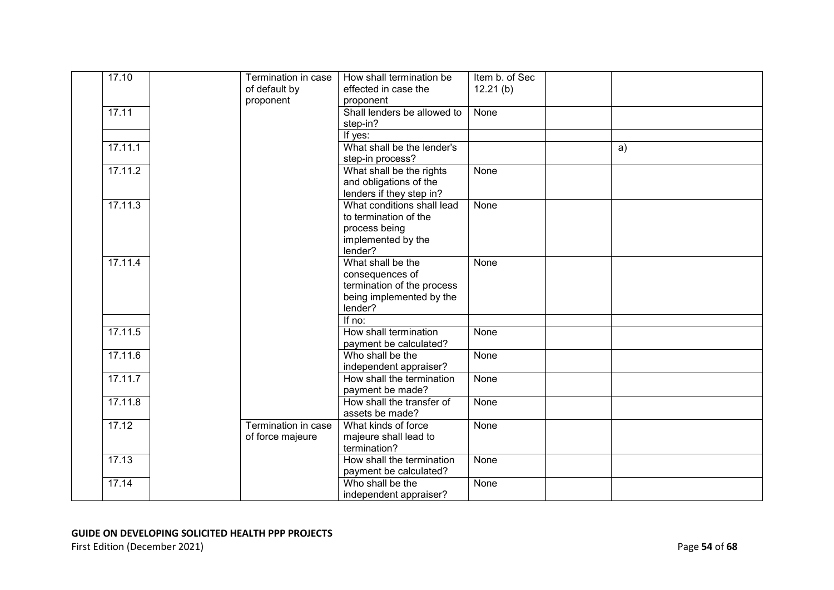| 17.10   | Termination in case<br>of default by | How shall termination be<br>effected in case the | Item b. of Sec<br>12.21(b) |    |
|---------|--------------------------------------|--------------------------------------------------|----------------------------|----|
|         | proponent                            | proponent                                        |                            |    |
| 17.11   |                                      | Shall lenders be allowed to                      | None                       |    |
|         |                                      | step-in?                                         |                            |    |
|         |                                      | If yes:                                          |                            |    |
| 17.11.1 |                                      | What shall be the lender's                       |                            | a) |
|         |                                      | step-in process?                                 |                            |    |
| 17.11.2 |                                      | What shall be the rights                         | None                       |    |
|         |                                      | and obligations of the                           |                            |    |
|         |                                      | lenders if they step in?                         |                            |    |
| 17.11.3 |                                      | What conditions shall lead                       | None                       |    |
|         |                                      | to termination of the                            |                            |    |
|         |                                      | process being<br>implemented by the              |                            |    |
|         |                                      | lender?                                          |                            |    |
| 17.11.4 |                                      | What shall be the                                | None                       |    |
|         |                                      | consequences of                                  |                            |    |
|         |                                      | termination of the process                       |                            |    |
|         |                                      | being implemented by the                         |                            |    |
|         |                                      | lender?                                          |                            |    |
|         |                                      | If $no:$                                         |                            |    |
| 17.11.5 |                                      | How shall termination                            | None                       |    |
|         |                                      | payment be calculated?                           |                            |    |
| 17.11.6 |                                      | Who shall be the                                 | None                       |    |
|         |                                      | independent appraiser?                           |                            |    |
| 17.11.7 |                                      | How shall the termination                        | None                       |    |
| 17.11.8 |                                      | payment be made?<br>How shall the transfer of    | None                       |    |
|         |                                      | assets be made?                                  |                            |    |
| 17.12   | Termination in case                  | What kinds of force                              | None                       |    |
|         | of force majeure                     | majeure shall lead to                            |                            |    |
|         |                                      | termination?                                     |                            |    |
| 17.13   |                                      | How shall the termination                        | None                       |    |
|         |                                      | payment be calculated?                           |                            |    |
| 17.14   |                                      | Who shall be the                                 | None                       |    |
|         |                                      | independent appraiser?                           |                            |    |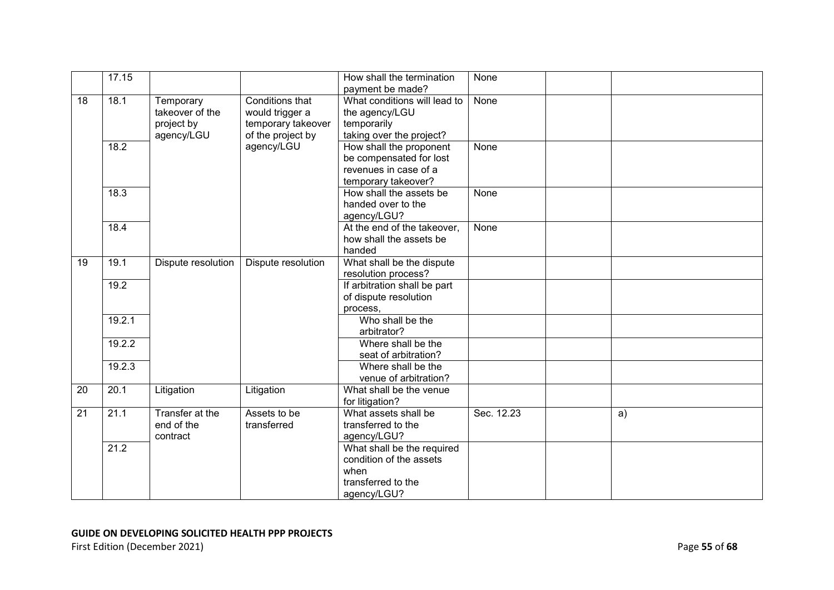|    | 17.15  |                    |                    | How shall the termination    | None       |    |
|----|--------|--------------------|--------------------|------------------------------|------------|----|
|    |        |                    |                    | payment be made?             |            |    |
| 18 | 18.1   | Temporary          | Conditions that    | What conditions will lead to | None       |    |
|    |        | takeover of the    | would trigger a    | the agency/LGU               |            |    |
|    |        | project by         | temporary takeover | temporarily                  |            |    |
|    |        | agency/LGU         | of the project by  | taking over the project?     |            |    |
|    | 18.2   |                    | agency/LGU         | How shall the proponent      | None       |    |
|    |        |                    |                    | be compensated for lost      |            |    |
|    |        |                    |                    | revenues in case of a        |            |    |
|    |        |                    |                    | temporary takeover?          |            |    |
|    | 18.3   |                    |                    | How shall the assets be      | None       |    |
|    |        |                    |                    | handed over to the           |            |    |
|    |        |                    |                    | agency/LGU?                  |            |    |
|    | 18.4   |                    |                    | At the end of the takeover,  | None       |    |
|    |        |                    |                    | how shall the assets be      |            |    |
|    |        |                    |                    | handed                       |            |    |
| 19 | 19.1   | Dispute resolution | Dispute resolution | What shall be the dispute    |            |    |
|    |        |                    |                    | resolution process?          |            |    |
|    | 19.2   |                    |                    | If arbitration shall be part |            |    |
|    |        |                    |                    | of dispute resolution        |            |    |
|    |        |                    |                    | process,                     |            |    |
|    | 19.2.1 |                    |                    | Who shall be the             |            |    |
|    |        |                    |                    | arbitrator?                  |            |    |
|    | 19.2.2 |                    |                    | Where shall be the           |            |    |
|    |        |                    |                    | seat of arbitration?         |            |    |
|    | 19.2.3 |                    |                    | Where shall be the           |            |    |
|    |        |                    |                    | venue of arbitration?        |            |    |
| 20 | 20.1   | Litigation         | Litigation         | What shall be the venue      |            |    |
|    |        |                    |                    | for litigation?              |            |    |
| 21 | 21.1   | Transfer at the    | Assets to be       | What assets shall be         | Sec. 12.23 | a) |
|    |        | end of the         | transferred        | transferred to the           |            |    |
|    |        | contract           |                    | agency/LGU?                  |            |    |
|    | 21.2   |                    |                    | What shall be the required   |            |    |
|    |        |                    |                    | condition of the assets      |            |    |
|    |        |                    |                    | when                         |            |    |
|    |        |                    |                    | transferred to the           |            |    |
|    |        |                    |                    | agency/LGU?                  |            |    |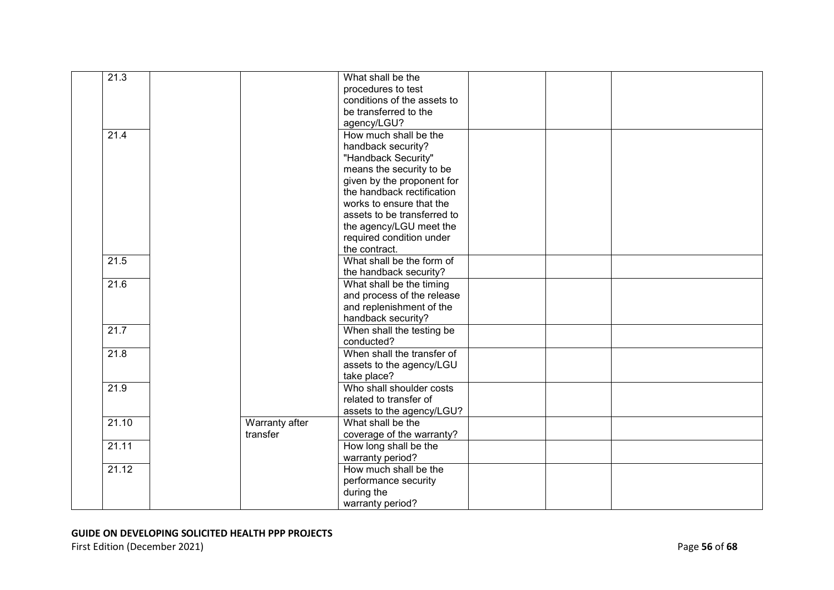| $\overline{21.3}$ |                | What shall be the           |  |  |
|-------------------|----------------|-----------------------------|--|--|
|                   |                | procedures to test          |  |  |
|                   |                | conditions of the assets to |  |  |
|                   |                | be transferred to the       |  |  |
|                   |                | agency/LGU?                 |  |  |
| 21.4              |                | How much shall be the       |  |  |
|                   |                | handback security?          |  |  |
|                   |                | "Handback Security"         |  |  |
|                   |                | means the security to be    |  |  |
|                   |                | given by the proponent for  |  |  |
|                   |                | the handback rectification  |  |  |
|                   |                | works to ensure that the    |  |  |
|                   |                | assets to be transferred to |  |  |
|                   |                | the agency/LGU meet the     |  |  |
|                   |                | required condition under    |  |  |
|                   |                | the contract.               |  |  |
| 21.5              |                | What shall be the form of   |  |  |
|                   |                | the handback security?      |  |  |
| 21.6              |                | What shall be the timing    |  |  |
|                   |                | and process of the release  |  |  |
|                   |                | and replenishment of the    |  |  |
|                   |                | handback security?          |  |  |
| 21.7              |                | When shall the testing be   |  |  |
|                   |                | conducted?                  |  |  |
| 21.8              |                | When shall the transfer of  |  |  |
|                   |                | assets to the agency/LGU    |  |  |
|                   |                | take place?                 |  |  |
| 21.9              |                | Who shall shoulder costs    |  |  |
|                   |                | related to transfer of      |  |  |
|                   |                | assets to the agency/LGU?   |  |  |
| 21.10             | Warranty after | What shall be the           |  |  |
|                   | transfer       | coverage of the warranty?   |  |  |
| 21.11             |                | How long shall be the       |  |  |
|                   |                | warranty period?            |  |  |
| 21.12             |                | How much shall be the       |  |  |
|                   |                | performance security        |  |  |
|                   |                | during the                  |  |  |
|                   |                | warranty period?            |  |  |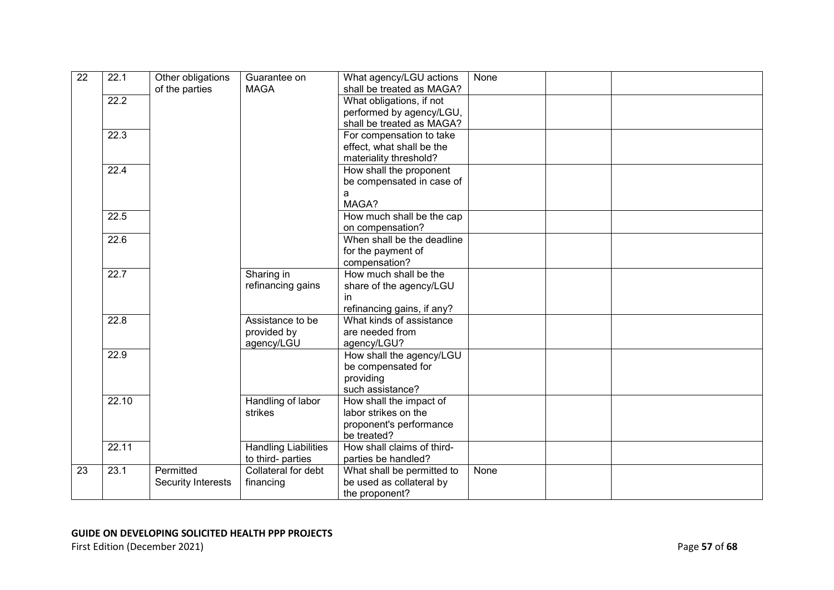| $\overline{22}$ | 22.1  | Other obligations<br>of the parties | Guarantee on<br><b>MAGA</b>                      | What agency/LGU actions<br>shall be treated as MAGA?                                      | None |  |
|-----------------|-------|-------------------------------------|--------------------------------------------------|-------------------------------------------------------------------------------------------|------|--|
|                 | 22.2  |                                     |                                                  | What obligations, if not<br>performed by agency/LGU,<br>shall be treated as MAGA?         |      |  |
|                 | 22.3  |                                     |                                                  | For compensation to take<br>effect, what shall be the<br>materiality threshold?           |      |  |
|                 | 22.4  |                                     |                                                  | How shall the proponent<br>be compensated in case of<br>a<br>MAGA?                        |      |  |
|                 | 22.5  |                                     |                                                  | How much shall be the cap<br>on compensation?                                             |      |  |
|                 | 22.6  |                                     |                                                  | When shall be the deadline<br>for the payment of<br>compensation?                         |      |  |
|                 | 22.7  |                                     | Sharing in<br>refinancing gains                  | How much shall be the<br>share of the agency/LGU<br>in.<br>refinancing gains, if any?     |      |  |
|                 | 22.8  |                                     | Assistance to be<br>provided by<br>agency/LGU    | What kinds of assistance<br>are needed from<br>agency/LGU?                                |      |  |
|                 | 22.9  |                                     |                                                  | How shall the agency/LGU<br>be compensated for<br>providing<br>such assistance?           |      |  |
|                 | 22.10 |                                     | Handling of labor<br>strikes                     | How shall the impact of<br>labor strikes on the<br>proponent's performance<br>be treated? |      |  |
|                 | 22.11 |                                     | <b>Handling Liabilities</b><br>to third- parties | How shall claims of third-<br>parties be handled?                                         |      |  |
| 23              | 23.1  | Permitted<br>Security Interests     | Collateral for debt<br>financing                 | What shall be permitted to<br>be used as collateral by<br>the proponent?                  | None |  |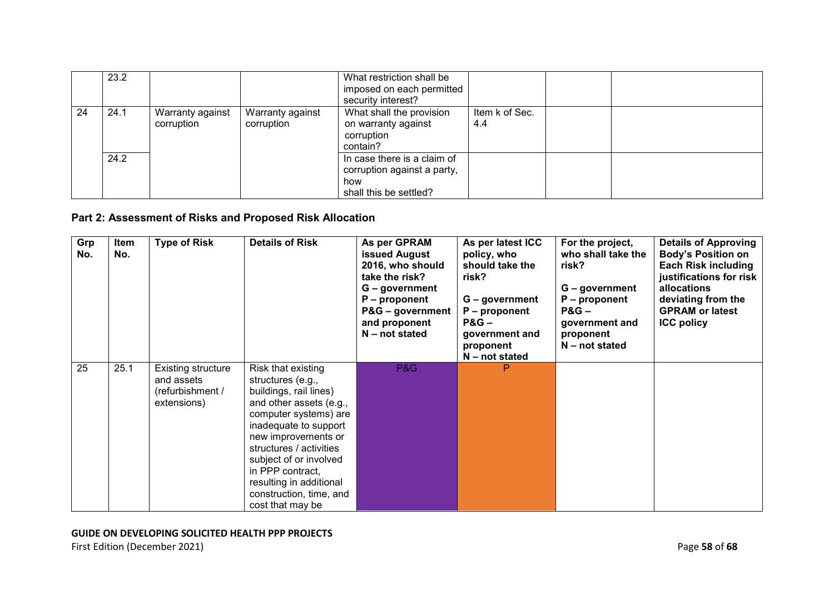|    | 23.2 |                                |                                | What restriction shall be<br>imposed on each permitted<br>security interest?                |                       |  |
|----|------|--------------------------------|--------------------------------|---------------------------------------------------------------------------------------------|-----------------------|--|
| 24 | 24.1 | Warranty against<br>corruption | Warranty against<br>corruption | What shall the provision<br>on warranty against<br>corruption<br>contain?                   | Item k of Sec.<br>4.4 |  |
|    | 24.2 |                                |                                | In case there is a claim of<br>corruption against a party,<br>how<br>shall this be settled? |                       |  |

### **Part 2: Assessment of Risks and Proposed Risk Allocation**

| Grp<br>No. | Item<br>No. | <b>Type of Risk</b>                                                 | <b>Details of Risk</b>                                                                                                                                                                                                                                                                                                   | As per GPRAM<br><b>issued August</b><br>2016, who should<br>take the risk?<br>G – government<br>$P$ – proponent<br>P&G – government<br>and proponent<br>$N$ – not stated | As per latest ICC<br>policy, who<br>should take the<br>risk?<br>G - government<br>$P$ – proponent<br>$PAG -$<br>government and<br>proponent<br>$N$ – not stated | For the project,<br>who shall take the<br>risk?<br>$G - government$<br>$P$ – proponent<br>$PAG -$<br>government and<br>proponent<br>$N$ – not stated | <b>Details of Approving</b><br><b>Body's Position on</b><br><b>Each Risk including</b><br>justifications for risk<br>allocations<br>deviating from the<br><b>GPRAM or latest</b><br><b>ICC policy</b> |
|------------|-------------|---------------------------------------------------------------------|--------------------------------------------------------------------------------------------------------------------------------------------------------------------------------------------------------------------------------------------------------------------------------------------------------------------------|--------------------------------------------------------------------------------------------------------------------------------------------------------------------------|-----------------------------------------------------------------------------------------------------------------------------------------------------------------|------------------------------------------------------------------------------------------------------------------------------------------------------|-------------------------------------------------------------------------------------------------------------------------------------------------------------------------------------------------------|
| 25         | 25.1        | Existing structure<br>and assets<br>(refurbishment /<br>extensions) | Risk that existing<br>structures (e.g.,<br>buildings, rail lines)<br>and other assets (e.g.,<br>computer systems) are<br>inadequate to support<br>new improvements or<br>structures / activities<br>subject of or involved<br>in PPP contract,<br>resulting in additional<br>construction, time, and<br>cost that may be | P&G                                                                                                                                                                      | P                                                                                                                                                               |                                                                                                                                                      |                                                                                                                                                                                                       |

### **GUIDE ON DEVELOPING SOLICITED HEALTH PPP PROJECTS**

First Edition (December 2021) **Page 58** of 68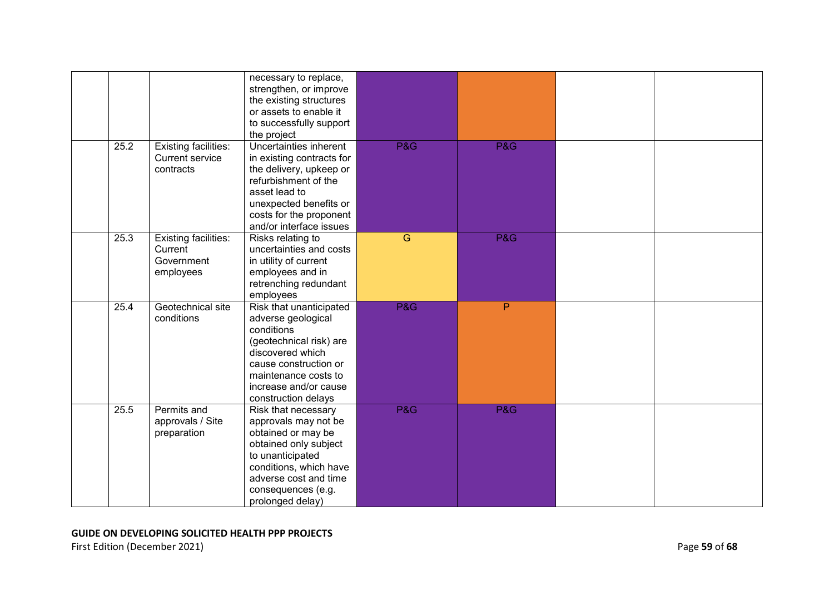|      |                                                                    | necessary to replace,<br>strengthen, or improve<br>the existing structures<br>or assets to enable it<br>to successfully support<br>the project                                                              |                |                |  |
|------|--------------------------------------------------------------------|-------------------------------------------------------------------------------------------------------------------------------------------------------------------------------------------------------------|----------------|----------------|--|
| 25.2 | <b>Existing facilities:</b><br><b>Current service</b><br>contracts | Uncertainties inherent<br>in existing contracts for<br>the delivery, upkeep or<br>refurbishment of the<br>asset lead to<br>unexpected benefits or<br>costs for the proponent<br>and/or interface issues     | <b>P&amp;G</b> | <b>P&amp;G</b> |  |
| 25.3 | <b>Existing facilities:</b><br>Current<br>Government<br>employees  | Risks relating to<br>uncertainties and costs<br>in utility of current<br>employees and in<br>retrenching redundant<br>employees                                                                             | $\overline{G}$ | <b>P&amp;G</b> |  |
| 25.4 | Geotechnical site<br>conditions                                    | Risk that unanticipated<br>adverse geological<br>conditions<br>(geotechnical risk) are<br>discovered which<br>cause construction or<br>maintenance costs to<br>increase and/or cause<br>construction delays | <b>P&amp;G</b> | P              |  |
| 25.5 | Permits and<br>approvals / Site<br>preparation                     | Risk that necessary<br>approvals may not be<br>obtained or may be<br>obtained only subject<br>to unanticipated<br>conditions, which have<br>adverse cost and time<br>consequences (e.g.<br>prolonged delay) | <b>P&amp;G</b> | P&G            |  |

### **GUIDE ON DEVELOPING SOLICITED HEALTH PPP PROJECTS**  First Edition (December 2021) **Page 59** of 68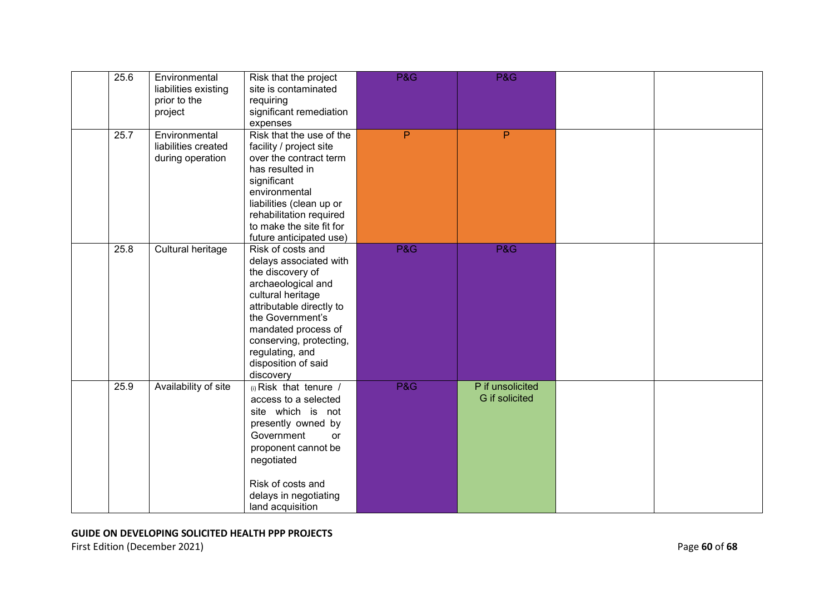| 25.6 | Environmental<br>liabilities existing<br>prior to the<br>project | Risk that the project<br>site is contaminated<br>requiring<br>significant remediation<br>expenses                                                                                                                                                                   | <b>P&amp;G</b> | P&G                                |  |
|------|------------------------------------------------------------------|---------------------------------------------------------------------------------------------------------------------------------------------------------------------------------------------------------------------------------------------------------------------|----------------|------------------------------------|--|
| 25.7 | Environmental<br>liabilities created<br>during operation         | Risk that the use of the<br>facility / project site<br>over the contract term<br>has resulted in<br>significant<br>environmental<br>liabilities (clean up or<br>rehabilitation required<br>to make the site fit for<br>future anticipated use)                      | P              | P                                  |  |
| 25.8 | Cultural heritage                                                | Risk of costs and<br>delays associated with<br>the discovery of<br>archaeological and<br>cultural heritage<br>attributable directly to<br>the Government's<br>mandated process of<br>conserving, protecting,<br>regulating, and<br>disposition of said<br>discovery | <b>P&amp;G</b> | P&G                                |  |
| 25.9 | Availability of site                                             | (i) Risk that tenure /<br>access to a selected<br>site which is not<br>presently owned by<br>Government<br>or<br>proponent cannot be<br>negotiated<br>Risk of costs and<br>delays in negotiating<br>land acquisition                                                | <b>P&amp;G</b> | P if unsolicited<br>G if solicited |  |

First Edition (December 2021) **Page 60** of 68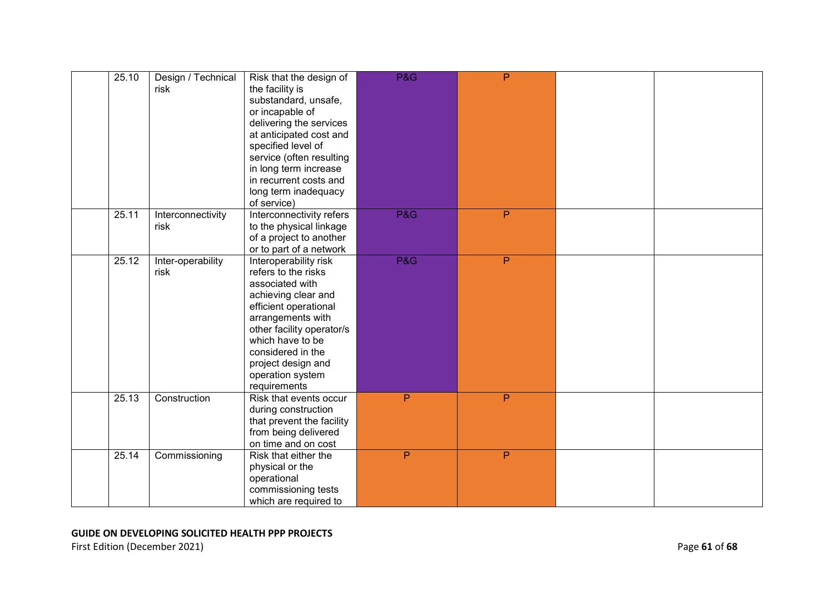| 25.10 | Design / Technical<br>risk | Risk that the design of<br>the facility is<br>substandard, unsafe,<br>or incapable of<br>delivering the services<br>at anticipated cost and<br>specified level of<br>service (often resulting<br>in long term increase<br>in recurrent costs and<br>long term inadequacy<br>of service) | <b>P&amp;G</b> | $\overline{P}$ |  |
|-------|----------------------------|-----------------------------------------------------------------------------------------------------------------------------------------------------------------------------------------------------------------------------------------------------------------------------------------|----------------|----------------|--|
| 25.11 | Interconnectivity<br>risk  | Interconnectivity refers<br>to the physical linkage<br>of a project to another<br>or to part of a network                                                                                                                                                                               | <b>P&amp;G</b> | P              |  |
| 25.12 | Inter-operability<br>risk  | Interoperability risk<br>refers to the risks<br>associated with<br>achieving clear and<br>efficient operational<br>arrangements with<br>other facility operator/s<br>which have to be<br>considered in the<br>project design and<br>operation system<br>requirements                    | <b>P&amp;G</b> | P              |  |
| 25.13 | Construction               | Risk that events occur<br>during construction<br>that prevent the facility<br>from being delivered<br>on time and on cost                                                                                                                                                               | P              | P              |  |
| 25.14 | Commissioning              | Risk that either the<br>physical or the<br>operational<br>commissioning tests<br>which are required to                                                                                                                                                                                  | P              | P              |  |

### **GUIDE ON DEVELOPING SOLICITED HEALTH PPP PROJECTS**  First Edition (December 2021) **Page 61** of 68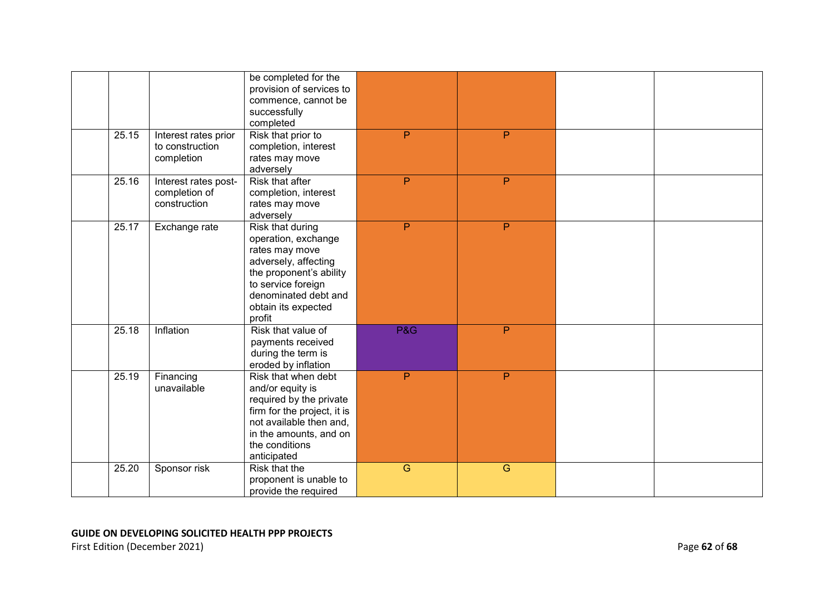| 25.15 | Interest rates prior<br>to construction<br>completion | be completed for the<br>provision of services to<br>commence, cannot be<br>successfully<br>completed<br>Risk that prior to<br>completion, interest<br>rates may move<br>adversely                  | P              | P              |  |
|-------|-------------------------------------------------------|----------------------------------------------------------------------------------------------------------------------------------------------------------------------------------------------------|----------------|----------------|--|
| 25.16 | Interest rates post-<br>completion of<br>construction | <b>Risk that after</b><br>completion, interest<br>rates may move<br>adversely                                                                                                                      | $\overline{P}$ | $\overline{P}$ |  |
| 25.17 | Exchange rate                                         | <b>Risk that during</b><br>operation, exchange<br>rates may move<br>adversely, affecting<br>the proponent's ability<br>to service foreign<br>denominated debt and<br>obtain its expected<br>profit | P              | P              |  |
| 25.18 | Inflation                                             | Risk that value of<br>payments received<br>during the term is<br>eroded by inflation                                                                                                               | <b>P&amp;G</b> | P              |  |
| 25.19 | Financing<br>unavailable                              | Risk that when debt<br>and/or equity is<br>required by the private<br>firm for the project, it is<br>not available then and,<br>in the amounts, and on<br>the conditions<br>anticipated            | P              | P              |  |
| 25.20 | Sponsor risk                                          | Risk that the<br>proponent is unable to<br>provide the required                                                                                                                                    | $\overline{G}$ | $\overline{G}$ |  |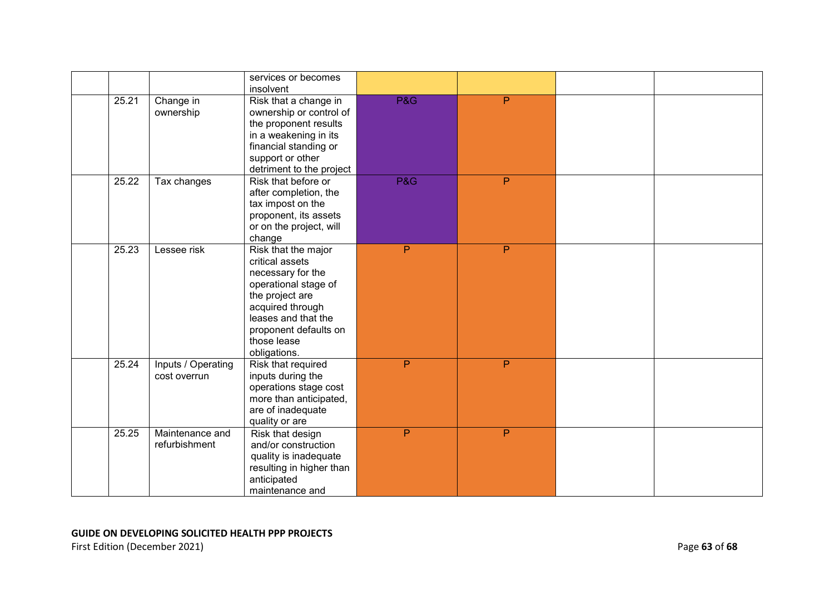|       |                                    | services or becomes<br>insolvent                                                                                                                                                                          |                |    |  |
|-------|------------------------------------|-----------------------------------------------------------------------------------------------------------------------------------------------------------------------------------------------------------|----------------|----|--|
| 25.21 | Change in<br>ownership             | Risk that a change in<br>ownership or control of<br>the proponent results<br>in a weakening in its<br>financial standing or<br>support or other<br>detriment to the project                               | P&G            | P  |  |
| 25.22 | Tax changes                        | Risk that before or<br>after completion, the<br>tax impost on the<br>proponent, its assets<br>or on the project, will<br>change                                                                           | <b>P&amp;G</b> | P  |  |
| 25.23 | Lessee risk                        | Risk that the major<br>critical assets<br>necessary for the<br>operational stage of<br>the project are<br>acquired through<br>leases and that the<br>proponent defaults on<br>those lease<br>obligations. | P              | P. |  |
| 25.24 | Inputs / Operating<br>cost overrun | Risk that required<br>inputs during the<br>operations stage cost<br>more than anticipated,<br>are of inadequate<br>quality or are                                                                         | P              | P. |  |
| 25.25 | Maintenance and<br>refurbishment   | Risk that design<br>and/or construction<br>quality is inadequate<br>resulting in higher than<br>anticipated<br>maintenance and                                                                            | P              | P  |  |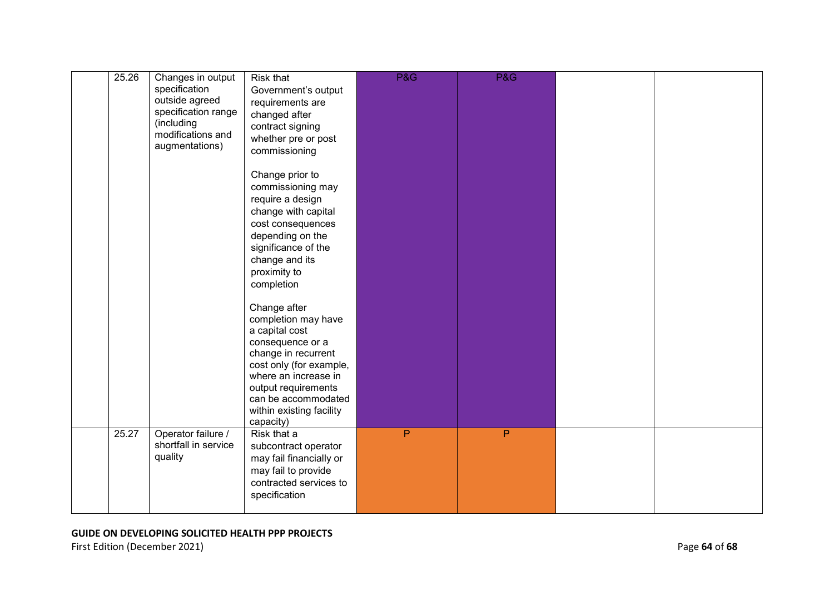| 25.26 | Changes in output<br>specification<br>outside agreed<br>specification range<br>(including<br>modifications and<br>augmentations) | Risk that<br>Government's output<br>requirements are<br>changed after<br>contract signing<br>whether pre or post<br>commissioning<br>Change prior to<br>commissioning may<br>require a design<br>change with capital<br>cost consequences<br>depending on the<br>significance of the<br>change and its<br>proximity to<br>completion<br>Change after<br>completion may have<br>a capital cost<br>consequence or a<br>change in recurrent<br>cost only (for example,<br>where an increase in<br>output requirements<br>can be accommodated<br>within existing facility<br>capacity) | P&G          | <b>P&amp;G</b> |  |
|-------|----------------------------------------------------------------------------------------------------------------------------------|------------------------------------------------------------------------------------------------------------------------------------------------------------------------------------------------------------------------------------------------------------------------------------------------------------------------------------------------------------------------------------------------------------------------------------------------------------------------------------------------------------------------------------------------------------------------------------|--------------|----------------|--|
| 25.27 | Operator failure /<br>shortfall in service<br>quality                                                                            | Risk that a<br>subcontract operator<br>may fail financially or<br>may fail to provide<br>contracted services to<br>specification                                                                                                                                                                                                                                                                                                                                                                                                                                                   | $\mathsf{P}$ | P              |  |

First Edition (December 2021) **Page 64** of 68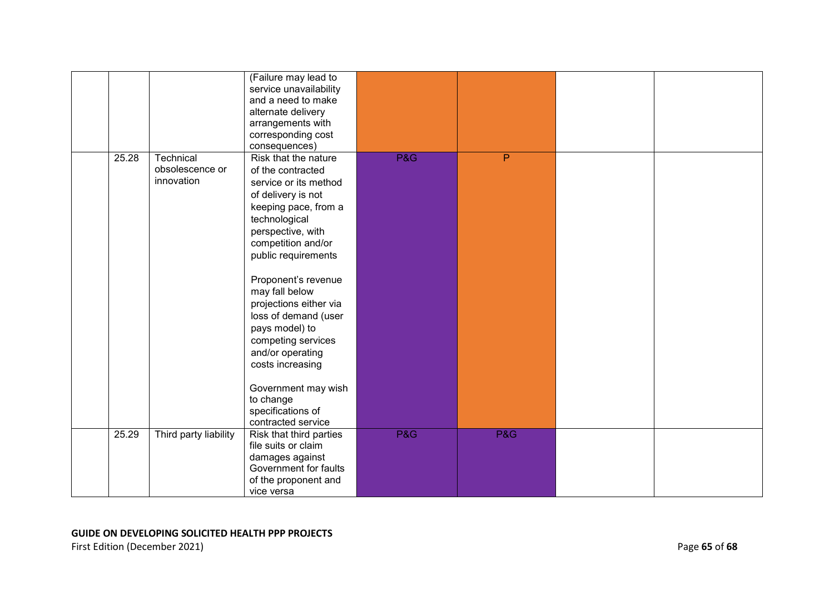|       |                                            | (Failure may lead to<br>service unavailability<br>and a need to make<br>alternate delivery<br>arrangements with<br>corresponding cost<br>consequences)                                                                                                                                                                                                                                                                                                        |     |                |  |
|-------|--------------------------------------------|---------------------------------------------------------------------------------------------------------------------------------------------------------------------------------------------------------------------------------------------------------------------------------------------------------------------------------------------------------------------------------------------------------------------------------------------------------------|-----|----------------|--|
| 25.28 | Technical<br>obsolescence or<br>innovation | Risk that the nature<br>of the contracted<br>service or its method<br>of delivery is not<br>keeping pace, from a<br>technological<br>perspective, with<br>competition and/or<br>public requirements<br>Proponent's revenue<br>may fall below<br>projections either via<br>loss of demand (user<br>pays model) to<br>competing services<br>and/or operating<br>costs increasing<br>Government may wish<br>to change<br>specifications of<br>contracted service | P&G | $\overline{P}$ |  |
| 25.29 | Third party liability                      | Risk that third parties<br>file suits or claim<br>damages against<br>Government for faults<br>of the proponent and<br>vice versa                                                                                                                                                                                                                                                                                                                              | P&G | P&G            |  |

### **GUIDE ON DEVELOPING SOLICITED HEALTH PPP PROJECTS**  First Edition (December 2021) **Page 65** of 68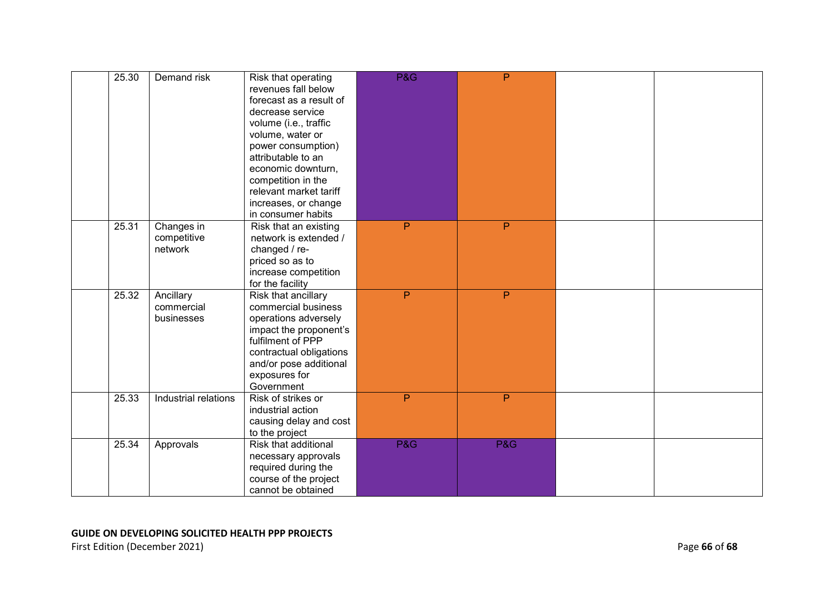| 25.30 | Demand risk                           | Risk that operating<br>revenues fall below<br>forecast as a result of<br>decrease service<br>volume (i.e., traffic<br>volume, water or<br>power consumption)<br>attributable to an<br>economic downturn,<br>competition in the<br>relevant market tariff<br>increases, or change<br>in consumer habits | <b>P&amp;G</b> | P   |  |
|-------|---------------------------------------|--------------------------------------------------------------------------------------------------------------------------------------------------------------------------------------------------------------------------------------------------------------------------------------------------------|----------------|-----|--|
| 25.31 | Changes in<br>competitive<br>network  | Risk that an existing<br>network is extended /<br>changed / re-<br>priced so as to<br>increase competition<br>for the facility                                                                                                                                                                         | $\mathsf{P}$   | P   |  |
| 25.32 | Ancillary<br>commercial<br>businesses | Risk that ancillary<br>commercial business<br>operations adversely<br>impact the proponent's<br>fulfilment of PPP<br>contractual obligations<br>and/or pose additional<br>exposures for<br>Government                                                                                                  | P              | P   |  |
| 25.33 | Industrial relations                  | Risk of strikes or<br>industrial action<br>causing delay and cost<br>to the project                                                                                                                                                                                                                    | P              | P   |  |
| 25.34 | Approvals                             | Risk that additional<br>necessary approvals<br>required during the<br>course of the project<br>cannot be obtained                                                                                                                                                                                      | <b>P&amp;G</b> | P&G |  |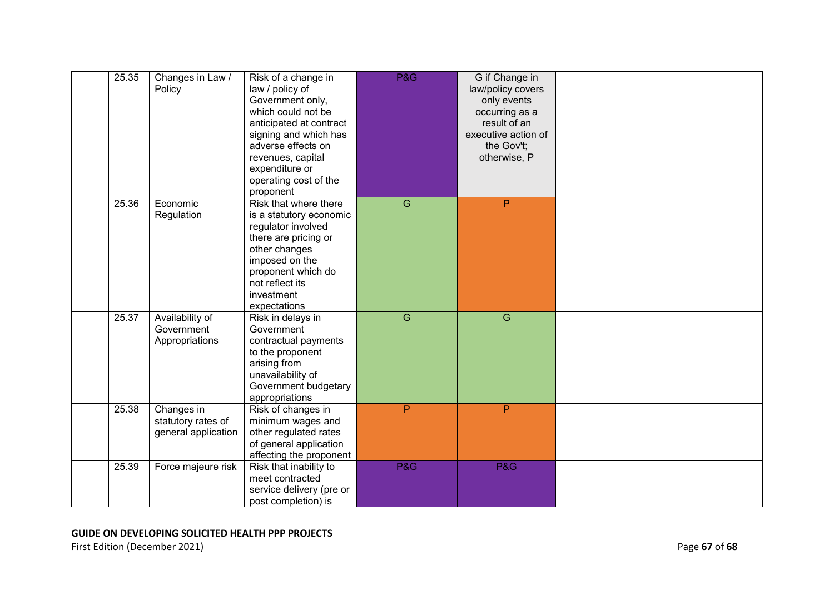| 25.35 | Changes in Law /<br>Policy                              | Risk of a change in<br>law / policy of<br>Government only,<br>which could not be<br>anticipated at contract<br>signing and which has<br>adverse effects on<br>revenues, capital<br>expenditure or<br>operating cost of the<br>proponent | P&G            | G if Change in<br>law/policy covers<br>only events<br>occurring as a<br>result of an<br>executive action of<br>the Gov't;<br>otherwise, P |  |
|-------|---------------------------------------------------------|-----------------------------------------------------------------------------------------------------------------------------------------------------------------------------------------------------------------------------------------|----------------|-------------------------------------------------------------------------------------------------------------------------------------------|--|
| 25.36 | Economic<br>Regulation                                  | Risk that where there<br>is a statutory economic<br>regulator involved<br>there are pricing or<br>other changes<br>imposed on the<br>proponent which do<br>not reflect its<br>investment<br>expectations                                | $\overline{G}$ | P                                                                                                                                         |  |
| 25.37 | Availability of<br>Government<br>Appropriations         | Risk in delays in<br>Government<br>contractual payments<br>to the proponent<br>arising from<br>unavailability of<br>Government budgetary<br>appropriations                                                                              | $\overline{G}$ | G                                                                                                                                         |  |
| 25.38 | Changes in<br>statutory rates of<br>general application | Risk of changes in<br>minimum wages and<br>other regulated rates<br>of general application<br>affecting the proponent                                                                                                                   | P              | P                                                                                                                                         |  |
| 25.39 | Force majeure risk                                      | Risk that inability to<br>meet contracted<br>service delivery (pre or<br>post completion) is                                                                                                                                            | P&G            | P&G                                                                                                                                       |  |

### **GUIDE ON DEVELOPING SOLICITED HEALTH PPP PROJECTS**  First Edition (December 2021) Page **67** of **68**